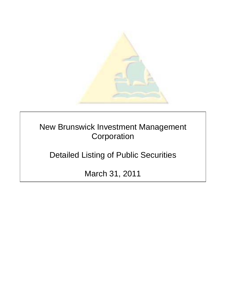

New Brunswick Investment Management **Corporation** 

Detailed Listing of Public Securities

March 31, 2011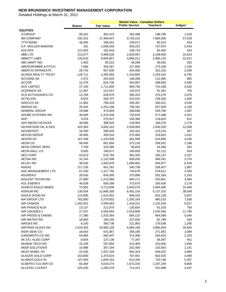|                                                 |                    | <b>Market Value - Canadian Dollars</b> |                       |                    |                |
|-------------------------------------------------|--------------------|----------------------------------------|-----------------------|--------------------|----------------|
|                                                 | <b>Shares</b>      | <b>Fair Value</b>                      | <b>Public Service</b> | <b>Teachers'</b>   | Judges'        |
| <b>EQUITIES</b>                                 |                    |                                        |                       |                    |                |
| 3I GROUP                                        | 99,252             | 462,415                                | 262,088               | 198,799            | 1,529          |
| <b>3M COMPANY</b>                               | 192,531            | 17,484,647                             | 9,743,123             | 7,684,506          | 57,019         |
| 77TH BANK                                       | 38,000             | 186,441                                | 105,671               | 80,154             | 616            |
| A.P. MOLLER-MAERSK                              | 181                | 1,646,550                              | 933,232               | 707,876            | 5,443          |
| A2A SPA                                         | 121,692            | 191,818                                | 108,719               | 82,465             | 634            |
| ABB LTD                                         | 213,077            | 4,998,530                              | 2,833,067             | 2,148,940          | 16,523         |
| <b>ABBOTT LABS</b>                              | 143,619            | 6,845,857                              | 3,858,211             | 2,965,125          | 22,521<br>282  |
| ABC-MART INC                                    | 2,400              | 85,215                                 | 48,298<br>227,850     | 36,635             |                |
| ABERCROMBIE & FITCH<br><b>ABERTIS INFRAESTR</b> | 7,086<br>28,745    | 404,287                                | 344,506               | 175,108<br>261,315 | 1,330          |
| <b>ACADIA REALTY TRUST</b>                      | 129,711            | 607,830<br>2,405,094                   | 1,154,892             | 1,243,410          | 2,009<br>6,792 |
| <b>ACCIONA SA</b>                               | 2,472              | 261,633                                | 148,288               | 112,480            | 865            |
| <b>ACCOR</b>                                    | 14,276             | 624,735                                | 354,087               | 268,582            | 2,065          |
| <b>ACE LIMITED</b>                              | 27,100             | 1,711,826                              | 964,756               | 741,438            | 5,632          |
| <b>ACERINOX SA</b>                              | 11,067             | 212,557                                | 120,473               | 91,381             | 703            |
| ACS ACTIVIDADES CO                              | 13,769             | 628,679                                | 356,323               | 270,278            | 2,078          |
| <b>ACTELION</b>                                 | 9,915              | 556,707                                | 315,531               | 239,336            | 1,840          |
| ADECCO SA                                       | 11,962             | 768,318                                | 435,467               | 330,311            | 2,540          |
| ADIDAS AG                                       | 20,344             | 1,251,246                              | 709,181               | 537,929            | 4,136          |
| <b>ADMIRAL GROUP</b>                            | 19,586             | 473,969                                | 268,636               | 203,766            | 1,567          |
| ADOBE SYSTEMS INC                               | 40,945             | 1,319,448                              | 743,619               | 571,488            | 4,341          |
| <b>ADP</b>                                      | 3,076              | 275,927                                | 156,390               | 118,625            | 912            |
| <b>ADV MICRO DEVICES</b>                        | 46,596             | 388,520                                | 218,963               | 168,278            | 1,278          |
| ADVANTAGE OIL & GAS                             | 424,300            | 3,691,410                              | 2,049,084             | 1,630,318          | 12,008         |
| <b>ADVANTEST</b>                                | 16,300             | 286,603                                | 162,441               | 123,215            | 947            |
| <b>AECON GROUP</b>                              | 49,600             | 493,510                                | 275,083               | 216,815            | 1,612          |
| <b>AEGON NV</b>                                 | 167,436            | 1,220,930                              | 691,999               | 524,895            | 4,036          |
| AEON CO                                         | 58,493             | 661,854                                | 375,126               | 284,541            | 2,188          |
| <b>AEON CREDIT SERV</b>                         | 7,700              | 103,485                                | 58,653                | 44,490             | 342            |
| AEON MALL CO                                    | 9,000              | 188,671                                | 106,935               | 81,112             | 624            |
| <b>AES CORP</b>                                 | 53,613             | 676,793                                | 381,429               | 293,137            | 2,227          |
| <b>AETNA INC</b>                                | 31,140             | 1,132,096                              | 638,030               | 490,341            | 3,724          |
| <b>AFLAC INC</b>                                | 38,035             | 1,950,876                              | 1,099,481             | 844,977            | 6,418          |
| <b>AGEAS</b>                                    | 217,235            | 601,181                                | 340,738               | 258,457            | 1,987          |
| AGF MANAGEMENT LTD                              | 67,200             | 1,317,792                              | 734,676               | 578,811            | 4,305          |
| <b>AGGREKO</b>                                  | 26,630             | 654,395                                | 370,898               | 281,334            | 2,163          |
| <b>AGILENT TECHN INC</b>                        | 27,890             | 1,213,966                              | 684,171               | 525,801            | 3,994          |
| <b>AGL ENERGY</b>                               | 46,028             | 659,286                                | 373,670               | 283,436            | 2,179          |
| <b>AGNICO EAGLE MINES</b>                       | 73,362             | 4,713,509                              | 2,633,579             | 2,064,489          | 15,440         |
| <b>AGRIUM INC</b>                               | 130,554            | 11,666,305                             | 6,491,154             | 5,137,102          | 38,049         |
| AHOLD (KON) NV                                  | 115,895            | 1,514,552                              | 858,418               | 651,128            | 5,007          |
| AIA GROUP LTD                                   | 762,800            | 2,279,832                              | 1,292,163             | 980,133            | 7,536          |
| AIR CANADA                                      | 1,282,821          | 2,559,563                              | 1,419,221             | 1,132,026          | 8,317          |
| AIR FRANCE-KLM                                  | 13,137             | 212,875                                | 120,654               | 91,518             | 704            |
| AIR LIQUIDE(L')                                 | 27,537             | 3,563,654                              | 2,019,808             | 1,532,066          | 11,780         |
| AIR PRODS & CHEMS                               | 17,380             | 1,533,264                              | 864,122               | 664,098            | 5,044          |
| AIR WATER INC                                   | 16,000             | 190,244                                | 107,826               | 81,789             | 629            |
| AIRGAS INC                                      | 6,100              | 393,736                                | 221,903               | 170,538            | 1,295          |
| AIRTRAN HLDGS INC                               | 1,519,355          | 10,985,228                             | 6,084,169             | 4,865,404          | 35,655         |
| AISIN SEIKI CO                                  | 18,643             | 631,967                                | 358,186               | 271,692            | 2,089          |
| AJINOMOTO CO INC                                | 64,895             | 660,407                                | 374,306               | 283,919            | 2,183          |
| AK STL HLDG CORP                                | 8,954              | 137,136                                | 77,287                | 59,397             | 451            |
| AKAMAI TECH INC<br>AKER SOLUTIONS               | 15,109             | 557,804                                | 314,369               | 241,600            | 1,835          |
| AKZO NOBEL NV                                   | 15,986<br>22,526   | 357,194<br>1,507,329                   | 202,450<br>854,324    | 153,563<br>648,022 | 1,181<br>4,983 |
| ALACER GOLD CORP                                |                    |                                        |                       |                    |                |
| ALAMOS GOLD IN                                  | 154,800<br>107,000 | 1,374,624<br>1,640,310                 | 767,591<br>914,205    | 602,535<br>720,748 | 4,498<br>5,357 |
| ALBERTO CULVER CO                               | 83,384             | 3,019,274                              | 1,672,225             | 1,337,249          | 9,800          |
| ALCATEL-LUCENT                                  | 225,430            | 1,260,478                              | 714,414               | 541,898            | 4,167          |
|                                                 |                    |                                        |                       |                    |                |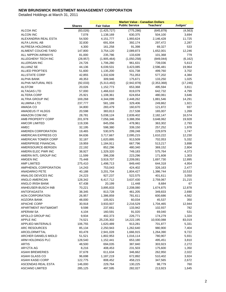|                                         |                   |                         | <b>Market Value - Canadian Dollars</b> |                       |                 |
|-----------------------------------------|-------------------|-------------------------|----------------------------------------|-----------------------|-----------------|
|                                         | <b>Shares</b>     | <b>Fair Value</b>       | <b>Public Service</b>                  | Teachers'             | Judges'         |
| ALCOA INC                               | (83,026)          | (1,425,727)             | (775, 286)                             | (645, 879)            | (4, 563)        |
| <b>ALCON INC</b>                        | 7,078             | 1,138,169               | 630,375                                | 504,100               | 3,694           |
| ALEXANDRIA REAL ESTA                    | 54,500            | 4,151,777               | 1,993,624                              | 2,146,428             | 11,725          |
| ALFA LAVAL AB                           | 32,830            | 691,934                 | 392,174                                | 297,472               | 2,287           |
| ALFRESA HOLDINGS                        | 4,300             | 161,258                 | 91,398                                 | 69,327                | 533             |
| ALIMENT COUCHE-TARD                     | 147,800           | 3,754,120               | 2,089,873                              | 1,652,001             | 12,246          |
| ALL NIPPON AIRWAYS                      | 81,000            | 235,786                 | 133,639                                | 101,368               | 779             |
| ALLEGHENY TECH INC                      | (28, 957)         | (1,905,464)             | (1,050,258)                            | (849, 044)            | (6, 162)        |
| ALLERGAN INC                            | 24,726            | 1,706,280               | 961,631                                | 739,036               | 5,613           |
| <b>ALLIANZ SE</b>                       | 44,136            | 6,039,531               | 3,423,085                              | 2,596,481             | 19,964          |
| <b>ALLIED PROPTIES</b>                  | 51,600            | 1,135,200               | 631,738                                | 499,760               | 3,702           |
| <b>ALLSTATE CORP</b>                    | 42,855            | 1,332,639               | 751,053                                | 577,202               | 4,384           |
| ALPHA BANK                              | 49,353            | 309,946                 | 175,671                                | 133,250               | 1,025           |
| ALPHA NATURAL RES                       | (92,033)          | (5,313,492)             | (2,942,878)                            | (2,353,368)           | (17, 246)       |
| <b>ALSTOM</b>                           | 20,026            | 1,152,773               | 653,368                                | 495,594               | 3,811           |
| <b>ALTAGAS LTD</b>                      | 57,000            | 1,466,610               | 819,079                                | 642,732               | 4,799           |
| <b>ALTERA CORP</b>                      | 25,921            | 1,108,361               | 624,654                                | 480,061               | 3,646           |
| <b>ALTRIA GROUP INC</b>                 | 169,268           | 4,344,099               | 2,448,262                              | 1,881,546             | 14,291          |
| ALUMINA LTD                             | 237,777           | 581,189                 | 329,406                                | 249,862               | 1,921           |
| AMADA CO                                | 34,800            | 283,479                 | 160,670                                | 121,872               | 937             |
| AMADEUS IT HLDGS                        | 20,598            | 383,813                 | 217,538                                | 165,007               | 1,269           |
| AMAZON COM INC                          | 28,781            | 5,038,124               | 2,839,402                              | 2,182,147             | 16,574          |
| AMB PROPERTY CORP                       | 201,978           | 7,056,346               | 3,388,356                              | 3,648,062             | 19,928          |
| <b>AMCOR LIMITED</b>                    | 119,336           | 845,056                 | 478,961                                | 363,302               | 2,793           |
| AMEC                                    | 32,195            | 598,380                 | 339,150                                | 257,252               | 1,978           |
| AMEREN CORPORATION                      | 19,465            | 530,975                 | 299,248                                | 229,979               | 1,747           |
| AMERICAN EXPRESS CO                     | 84,636            | 3,717,667               | 2,095,215                              | 1,610,222             | 12,230          |
| AMERICAN TOWER CORP                     | 32,187            | 1,620,895               | 913,509                                | 702,053               | 5,332           |
| AMERIPRISE FINANCIAL                    | 19,959            | 1,184,911               | 667,796                                | 513,217               | 3,898           |
| AMERISOURCE-BERGEN                      | 22,192            | 852,296                 | 480,340                                | 369,152               | 2,804           |
| AMERN ELEC PWR INC                      | 38,927            | 1,329,320               | 749,183                                | 575,764               | 4,373           |
| AMERN INTL GROUP INC                    | 11,599            | 396,208                 | 223,296                                | 171,608               | 1,303           |
| AMGEN INC                               | 75,448            | 3,919,707               | 2,209,081                              | 1,697,730             | 12,895          |
| AMP LIMITED                             | 275,410           | 1,498,713               | 849,440                                | 644,318               | 4,954           |
| AMPHENOL CORPORATION                    | 14,243            | 753,043                 | 424,402                                | 326,163               | 2,477           |
| <b>ANADARKO PETE</b>                    | 40,188            | 3,201,704               | 1,804,427                              | 1,386,744             | 10,533          |
| ANALOG DEVICES INC                      | 24,223            | 927,237                 | 522,575                                | 401,611               | 3,050           |
| ANGLO AMERICAN                          | 128,342           | 6,417,712               | 3,637,430                              | 2,759,067             | 21,215          |
| ANGLO IRISH BANK                        | 67,438            | 20,199                  | 11,448                                 | 8,684                 | 67              |
| ANHEUSER-BUSCH INB                      | 70,221            | 3,895,833               | 2,208,080                              | 1,674,875             | 12,878          |
| <b>ANTOFAGASTA</b>                      | 38,345            | 813,728                 | 461,205                                | 349,833               | 2,690           |
| AON CORPORATION                         | 26,957            | 1,386,859               | 781,611                                | 600,686               | 4,562           |
| AOZORA BANK                             | 48,000            | 105,921                 | 60,034                                 | 45,537                | 350             |
| <b>APACHE CORP</b>                      | 30,918            | 3,933,937               | 2,216,529                              | 1,704,465             | 12,944          |
| APARTMENT INVT&MGMT<br><b>APERAM SA</b> | 9,598             | 237,661                 | 133,942                                | 102,937               | 782<br>531      |
| APOLLO GROUP INC                        | 4,104             | 160,591                 | 91,020                                 | 69,040                |                 |
| <b>APPLE INC</b>                        | 9,934             | 402,373                 | 226,771                                | 174,279               | 1,324           |
| APPLIED MATERIALS                       | 74,521<br>106,755 | 25,235,302<br>1,620,489 | 14,222,195<br>913,281                  | 10,930,088<br>701,877 | 83,019<br>5,331 |
| <b>ARC RESOURCES</b>                    | 85,134            | 2,250,943               | 1,262,640                              | 980,900               | 7,404           |
| ARCELORMITTAL                           | 83,478            | 2,941,028               | 1,666,915                              | 1,264,390             | 9,722           |
| <b>ARCHER DANIELS MIDLD</b>             | 51,521            | 1,802,953               | 1,016,114                              | 780,907               | 5,931           |
| ARM HOLDINGS PLC                        | 128,540           | 1,152,441               | 653,180                                | 495,451               | 3,810           |
| <b>ARTIS</b>                            | 48,500            | 694,035                 | 387,840                                | 303,923               | 2,272           |
| ARYZTA AG                               | 8,216             | 408,453                 | 231,503                                | 175,600               | 1,350           |
| ASAHI BREWERIES                         | 37,678            | 611,634                 | 346,662                                | 262,950               | 2,022           |
| ASAHI GLASS CO                          | 96,698            | 1,187,219               | 672,892                                | 510,402               | 3,924           |
| ASAHI KASEI CORP                        | 122,775           | 808,452                 | 458,215                                | 347,565               | 2,672           |
| ASCENDAS REAL ESTA                      | 146,000           | 229,764                 | 130,225                                | 98,779                | 760             |
| <b>ASCIANO LIMITED</b>                  | 285,125           | 497,595                 | 282,027                                | 213,923               | 1,645           |
|                                         |                   |                         |                                        |                       |                 |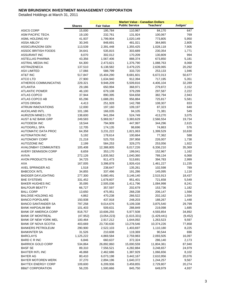|                               |               |                   | <b>Market Value - Canadian Dollars</b> |             |          |
|-------------------------------|---------------|-------------------|----------------------------------------|-------------|----------|
|                               | <b>Shares</b> | <b>Fair Value</b> | <b>Public Service</b>                  | Teachers'   | Judges'  |
| <b>ASICS CORP</b>             | 15,000        | 195,784           | 110,967                                | 84,170      | 647      |
| ASM PACIFIC TECH.             | 19,100        | 232,761           | 131,924                                | 100,067     | 769      |
| ASML HOLDING NV               | 41,937        | 1,799,904         | 1,020,149                              | 773,805     | 5,950    |
| <b>ASSA ABLOY</b>             | 30,345        | 848,691           | 481,021                                | 364,865     | 2,805    |
| <b>ASSICURAZIONI GEN</b>      | 113,539       | 2,391,448         | 1,355,425                              | 1,028,118   | 7,905    |
| <b>ASSOC BRITISH FOODS</b>    | 34,641        | 535,815           | 303,689                                | 230,354     | 1,771    |
| <b>ASSURANT INC</b>           | 8,070         | 302,012           | 170,209                                | 130,809     | 994      |
| ASTELLAS PHARMA               | 43,356        | 1,567,406         | 888,374                                | 673,850     | 5,181    |
| ASTRAL MEDIA INC              | 64,300        | 2,473,621         | 1,376,790                              | 1,088,763   | 8,068    |
| ASTRAZENECA                   | 137,510       | 6,138,582         | 3,479,225                              | 2,639,065   | 20,292   |
| <b>ASX LIMITED</b>            | 17,066        | 588,799           | 333,720                                | 253,133     | 1,946    |
| AT&T INC                      | 517,847       | 15,404,290        | 8,681,601                              | 6,672,013   | 50,677   |
| <b>ATCO LTD</b>               | 27,900        | 1,634,940         | 912,394                                | 717,195     | 5,351    |
| ATHEROS COMMUNICATNS          | 229,321       | 9,948,209         | 5,509,816                              | 4,406,104   | 32,289   |
| <b>ATLANTIA</b>               | 29,186        | 650,994           | 368,971                                | 279,872     | 2,152    |
| <b>ATLANTIC POWER</b>         | 46,100        | 679,108           | 379,299                                | 297,587     | 2,222    |
| <b>ATLAS COPCO</b>            | 37,944        | 890,395           | 504,658                                | 382,794     | 2,943    |
| ATLAS COPCO AB                | 65,296        | 1,688,281         | 956,884                                | 725,817     | 5,581    |
| <b>ATOS ORIGIN</b>            | 4,413         | 251,928           | 142,788                                | 108,307     | 833      |
| <b>ATRIUM INNOVATIONS</b>     | 12,000        | 197,160           | 109,197                                | 87,323      | 640      |
| <b>AUCKLAND INTL</b>          | 101,186       | 166,035           | 94,105                                 | 71,381      | 549      |
| <b>AURIZON MINES LTD</b>      | 138,600       | 941,094           | 524,749                                | 413,270     | 3,075    |
| <b>AUST &amp; NZ BANK GRP</b> | 249,583       | 5,969,917         | 3,383,629                              | 2,566,554   | 19,734   |
| <b>AUTODESK INC</b>           | 18,544        | 794,909           | 447,997                                | 344,296     | 2,615    |
| <b>AUTOGRILL SPA</b>          | 12,705        | 174,135           | 98,696                                 | 74,863      | 576      |
| <b>AUTOMATIC DATA PROC</b>    | 64,358        | 3,231,222         | 1,821,063                              | 1,399,529   | 10,630   |
| <b>AUTONATION INC</b>         | 5,192         | 178,614           | 100,664                                | 77,362      | 588      |
| <b>AUTONOMY CORP</b>          | 21,218        | 525,703           | 297,958                                | 226,007     | 1,738    |
| <b>AUTOZONE INC</b>           | 2,199         | 584,253           | 329,275                                | 253,056     | 1,922    |
| <b>AVALONBAY COMMUNTIES</b>   | 105,408       | 12,388,805        | 6,017,226                              | 6,336,210   | 35,369   |
| AVERY DENNISON CORP           | 8,659         | 353,170           | 199,041                                | 152,967     | 1,162    |
| AVIVA                         | 272,126       | 1,835,562         | 1,040,360                              | 789,134     | 6,068    |
| AVON PRODUCTS INC             | 34,725        | 911,473           | 513,691                                | 394,783     | 2,999    |
| AXA                           | 167,005       | 3,398,878         | 1,926,416                              | 1,461,227   | 11,235   |
| AXEL SPRINGER AG              | 1,518         | 238,647           | 135,261                                | 102,598     | 789      |
| <b>BABCOCK INTL</b>           | 34,855        | 337,496           | 191,286                                | 145,095     | 1,116    |
| <b>BADGER DAYLIGHTING</b>     | 277,300       | 5,680,491         | 3,146,140                              | 2,515,913   | 18,437   |
| <b>BAE SYSTEMS</b>            | 331,452       | 1,678,607         | 951,401                                | 721,658     | 5,549    |
| <b>BAKER HUGHES INC</b>       | 35,095        | 2,505,036         | 1,411,796                              | 1,084,998   | 8,241    |
| <b>BALFOUR BEATTY</b>         | 66,727        | 357,597           | 202,679                                | 153,736     | 1,182    |
| <b>BALL CORP</b>              | 13,650        | 475,951           | 268,238                                | 206,147     | 1,566    |
| <b>BALOISE HOLDING AG</b>     | 4,862         | 470,238           | 266,522                                | 202,162     | 1,554    |
| <b>BANCO POPOLARE</b>         | 150,938       | 437,918           | 248,203                                | 188,267     | 1,448    |
| <b>BANCO SANTANDER SA</b>     | 797,258       | 9,014,676         | 5,109,338                              | 3,875,540   | 29,799   |
| <b>BANK HAPOALIM BM</b>       | 101,403       | 509,631           | 288,849                                | 219,098     | 1,685    |
| <b>BANK OF AMERICA CORP</b>   | 818,757       | 10,606,255        | 5,977,508                              | 4,593,854   | 34,892   |
| <b>BANK OF MONTREAL</b>       | (47, 952)     | (3,054,223)       | (1,615,331)                            | (1,429,441) | (9, 452) |
| BANK OF NEW YORK MEL          | 100,464       | 2,917,212         | 1,644,092                              | 1,263,523   | 9,597    |
| <b>BANK OF NOVA SCOTIA</b>    | 403,669       | 23,730,630        | 13,278,546                             | 10,374,226  | 77,858   |
| <b>BANKERS PETROLEUM</b>      | 290,900       | 2,522,103         | 1,403,697                              | 1,110,180   | 8,225    |
| <b>BANKINTER SA</b>           | 31,526        | 210,608           | 119,369                                | 90,544      | 696      |
| <b>BARCLAYS</b>               | 1,125,222     | 4,869,584         | 2,759,983                              | 2,093,505   | 16,097   |
| <b>BARD C R INC</b>           | 6,846         | 660,637           | 372,324                                | 286,140     | 2,173    |
| <b>BARRICK GOLD CORP</b>      | 534,864       | 26,892,860        | 15,000,559                             | 11,804,361  | 87,940   |
| <b>BASF SE</b>                | 89,310        | 7,556,521         | 4,282,884                              | 3,248,657   | 24,979   |
| <b>BAXTER INTL INC</b>        | 46,868        | 2,462,686         | 1,387,929                              | 1,066,656   | 8,102    |
| BAYER AG                      | 80,410        | 6,073,198         | 3,442,167                              | 2,610,956   | 20,076   |
| BAYER MOTOREN WERK            | 37,270        | 2,894,196         | 1,640,372                              | 1,244,257   | 9,567    |
| <b>BAYTEX ENERGY CORP</b>     | 109,600       | 6,209,936         | 3,459,855                              | 2,729,807   | 20,274   |
| <b>BB&amp;T CORPORATION</b>   | 56,235        | 1,500,666         | 845,750                                | 649,979     | 4,937    |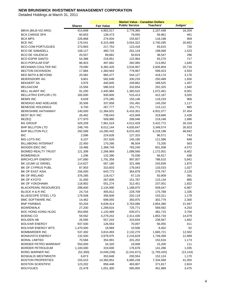|                                                      |                   |                    | <b>Market Value - Canadian Dollars</b> |                    |                |
|------------------------------------------------------|-------------------|--------------------|----------------------------------------|--------------------|----------------|
|                                                      | <b>Shares</b>     | <b>Fair Value</b>  | <b>Public Service</b>                  | Teachers'          | Judges'        |
| BBVA (BILB-VIZ-ARG)                                  | 414,848           | 4,902,017          | 2,778,365                              | 2,107,448          | 16,204         |
| <b>BCA CARIGE SPA</b>                                | 60,653            | 139,473            | 79,050                                 | 59,961             | 461            |
| <b>BCA MPS</b>                                       | 226,868           | 274,934            | 155,827                                | 118,198            | 909            |
| <b>BCE INC</b>                                       | 176,541           | 6,315,469          | 3,554,322                              | 2,740,295          | 20,852         |
| <b>BCO COM PORTUGUES</b>                             | 273,893           | 217,753            | 123,418                                | 93,615             | 720            |
| <b>BCO DE SABADELL</b>                               | 108,127           | 460,715            | 261,124                                | 198,068            | 1,523          |
| <b>BCO DE VALENCIA</b>                               | 20,557            | 89,662             | 50,819                                 | 38,547             | 296            |
| <b>BCO ESPIR SANTO</b>                               | 54,388            | 216,951            | 122,964                                | 93,270             | 717            |
| <b>BCO POPULAR ESP</b>                               | 86,923            | 497,662            | 282,065                                | 213,952            | 1,645          |
| BECKMAN COULTER INC                                  | 79,090            | 6,382,426          | 3,534,907                              | 2,826,804          | 20,716         |
| <b>BECTON DICKINSON</b>                              | 17,884            | 1,383,943          | 779,967                                | 599,423            | 4,553          |
| <b>BED BATH &amp; BEYOND</b>                         | 20,582            | 965,477            | 544,127                                | 418,174            | 3,176          |
| <b>BEIERSDORF AG</b>                                 | 9,801             | 582,648            | 330,233                                | 250,489            | 1,926          |
| <b>BEKAERT SA</b>                                    | 3,976             | 440,845            | 249,862                                | 189,525            | 1,457          |
| <b>BELGACOM</b>                                      | 15,556            | 586,919            | 332,654                                | 252,325            | 1,940          |
| <b>BELL ALIANT INC</b>                               | 91,200            | 2,445,984          | 1,365,522                              | 1,072,461          | 8,001          |
| BELLATRIX EXPLOR LTD                                 | 165,000           | 930,600            | 515,413                                | 412,167            | 3,020          |
| <b>BEMIS INC</b>                                     | 8,639             | 275,285            | 155,146                                | 119,233            | 906            |
| <b>BENDIGO AND ADELAIDE</b>                          | 35,506            | 337,858            | 191,491                                | 145,250            | 1,117          |
| <b>BENESSE HOLDINGS</b>                              | 6,700             | 267,777            | 151,771                                | 115,121            | 885            |
| <b>BERKSHIRE HATHAWAY</b>                            | 140,000           | 11,384,831         | 6,416,301                              | 4,931,077          | 37,454         |
| <b>BEST BUY INC</b>                                  | 26,462            | 738,043            | 415,949                                | 319,666            | 2,428          |
| <b>BEZEQ</b>                                         | 177,970           | 509,980            | 289,046                                | 219,248            | 1,686          |
| <b>BG GROUP</b>                                      | 329,209           | 7,961,519          | 4,512,429                              | 3,422,772          | 26,318         |
| <b>BHP BILLITON LTD</b>                              | 248,745           | 8,012,144          | 4,635,647                              | 3,349,574          | 26,923         |
| <b>BHP BILLITON PLC</b>                              | 292,589           | 14,280,442         | 8,015,402                              | 6,218,198          | 46,842         |
| <b>BIC</b>                                           | 2,596             | 224,628            | 127,315                                | 96,571             | 743            |
| <b>BIG LOTS INC</b>                                  | 6,107             | 257,629            | 145,195                                | 111,586            | 848            |
| <b>BILLABONG INTERNAT</b>                            | 22,450            | 170,266            | 96,504                                 | 73,200             | 563            |
| <b>BIOGEN IDEC INC</b>                               | 19,486            | 1,389,749          | 783,240                                | 601,938            | 4,572          |
| <b>BIOMED REALTY TRUST</b>                           | 121,308           | 2,266,969          | 1,088,566                              | 1,172,001          | 6,402          |
| <b>BIOMERIEUX</b>                                    | 1,296             | 132,390            | 75,036                                 | 56,917             | 438            |
| <b>BIRCHCLIFF ENERGY</b>                             | 147,680           | 1,791,358          | 997,007                                | 788,510            | 5,842          |
| BK LEUMI LE ISRAEL                                   | 114,627           | 567,180            | 321,466                                | 243,839            | 1,875          |
| BK OF CYPRUS PUBL                                    | 87,903            | 310,603            | 176,043                                | 133,533            | 1,027          |
| BK OF EAST ASIA                                      | 156,000           | 643,773            | 364,878                                | 276,767            | 2,128          |
| <b>BK OF IRELAND</b>                                 | 376,285           | 118,417            | 67,116                                 | 50,909             | 391            |
| <b>BK OF KYOTO</b>                                   | 31,000            | 267,806            | 151,787                                | 115,134            | 885            |
| <b>BK OF YOKOHAMA</b><br><b>BLACKPEARL RESOURCES</b> | 118,902           | 551,274            | 312,451                                | 237,001            | 1,822          |
| BLOCK H & R INC                                      | 298,600           | 2,134,990          | 1,188,975                              | 939,047            | 6,967          |
| <b>BLUESCOPE STEEL LTD</b>                           | 24,716<br>179,508 | 405,812<br>356,609 | 228,709<br>202,119                     | 175,768<br>153,311 | 1,335<br>1,179 |
| <b>BMC SOFTWARE INC</b>                              | 14,462            | 699,055            | 393,975                                | 302,779            | 2,300          |
| <b>BNP PARIBAS</b>                                   | 93,204            | 6,639,414          | 3,763,086                              | 2,854,380          | 21,947         |
| <b>BOARDWALK</b>                                     | 27,200            | 1,299,616          | 725,771                                | 569,592            | 4,253          |
| <b>BOC HONG KONG HLDG</b>                            | 354,856           | 1,120,489          | 635,071                                | 481,715            | 3,704          |
| BOEING CO                                            | 59,562            | 4,279,242          | 2,411,430                              | 1,853,734          | 14,079         |
| BOLIDEN AB                                           | 26,595            | 557,243            | 315,834                                | 239,567            | 1,842          |
| <b>BOLIVAR ENERGY</b>                                | 937,500           | 126,563            | 70,097                                 | 56,055             | 411            |
| <b>BOLIVAR ENERGY WTS</b>                            | 1,470,500         | 18,969             | 10,506                                 | 8,402              | 62             |
| <b>BOMBARDIER INC</b>                                | 537,492           | 3,810,493          | 2,132,270                              | 1,665,721          | 12,502         |
| <b>BONAVISTA ENERGY</b>                              | 132,500           | 3,978,975          | 2,216,629                              | 1,749,358          | 12,989         |
| <b>BORAL LIMITED</b>                                 | 70,584            | 354,991            | 201,202                                | 152,616            | 1,173          |
| BORDER PETRO WARRANT                                 | 550,000           | 34,320             | 19,008                                 | 15,200             | 111            |
| <b>BORDER PETROLEUM</b>                              | 1,100,000         | 319,000            | 176,678                                | 141,286            | 1,035          |
| <b>BORG WARNER INC</b>                               | (52,300)          | (4,049,239)        | (2, 242, 671)                          | (1,793,425)        | (13, 143)      |
| <b>BOSKALIS WESTMNSTR</b>                            | 6,873             | 353,848            | 200,554                                | 152,124            | 1,170          |
| <b>BOSTON PROPERTIES</b>                             | 155,015           | 14,360,852         | 6,985,228                              | 7,334,569          | 41,055         |
| <b>BOSTON SCIENTIFIC</b>                             | 123,202           | 858,448            | 483,807                                | 371,817            | 2,824          |
| <b>BOUYGUES</b>                                      | 22,478            | 1,051,300          | 595,855                                | 451,969            | 3,475          |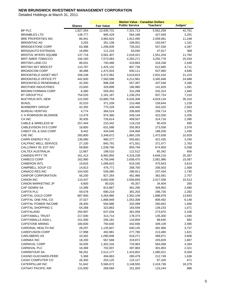|                                 |               |                   | <b>Market Value - Canadian Dollars</b> |                  |         |
|---------------------------------|---------------|-------------------|----------------------------------------|------------------|---------|
|                                 | <b>Shares</b> | <b>Fair Value</b> | <b>Public Service</b>                  | <b>Teachers'</b> | Judges' |
| BP PLC                          | 1,827,354     | 12,935,731        | 7,331,713                              | 5,561,258        | 42,761  |
| <b>BRAMBLES LTD</b>             | 139,777       | 995,429           | 564,189                                | 427,949          | 3,291   |
| <b>BRE PROPERTIES INC</b>       | 86,941        | 3,982,824         | 1,912,495                              | 2,059,081        | 11,248  |
| <b>BRENNTAG AG</b>              | 3,255         | 351,108           | 199,001                                | 150,947          | 1,161   |
| <b>BRIDGESTONE CORP</b>         | 63,388        | 1,296,839         | 735,022                                | 557,530          | 4,287   |
| BRISA(AUTO-ESTRADA)             | 16,890        | 111,224           | 63,040                                 | 47,817           | 368     |
| <b>BRISTOL MYERS SQUIBB</b>     | 137,718       | 3,581,407         | 2,018,421                              | 1,551,204        | 11,782  |
| <b>BRIT AMER TOBACCO</b>        | 194,160       | 7,573,083         | 4,292,271                              | 3,255,778        | 25,034  |
| <b>BRITISH LAND CO</b>          | 86,031        | 740,468           | 419,683                                | 318,338          | 2,448   |
| BRITISH SKY BRDCST              | 110,787       | 1,425,132         | 807,736                                | 612,685          | 4,711   |
| <b>BROADCOM CORP</b>            | 38,488        | 1,472,916         | 830,111                                | 637,960          | 4,846   |
| <b>BROOKFIELD ASSET MGT</b>     | 206,248       | 6,472,062         | 3,619,823                              | 2,831,016        | 21,223  |
| <b>BROOKFIELD OFFICE PT</b>     | 442,600       | 7,583,598         | 4,212,962                              | 3,345,948        | 24,688  |
| <b>BROOKFIELD RENEWABLE</b>     | 42,300        | 998,209           | 557,397                                | 437,546          | 3,266   |
| <b>BROTHER INDUSTRIES</b>       | 23,000        | 329,899           | 186,980                                | 141,828          | 1,091   |
| <b>BROWN FORMAN CORP</b>        | 8,380         | 559,452           | 315,298                                | 242,314          | 1,840   |
| <b>BT GROUP PLC</b>             | 754,520       | 2,181,187         | 1,236,253                              | 937,724          | 7,210   |
| <b>BUCYRUS INTL NEW</b>         | 122,500       | 10,880,759        | 6,026,308                              | 4,819,134        | 35,316  |
| <b>BUNZL</b>                    | 32,010        | 371,339           | 210,468                                | 159,644          | 1,228   |
| <b>BURBERRY GROUP</b>           | 42,355        | 775,328           | 439,440                                | 333,325          | 2,563   |
| <b>BUREAU VERITAS</b>           | 4,774         | 364,524           | 206,605                                | 156,714          | 1,205   |
| C H ROBINSON WLDWIDE            | 13,479        | 974,380           | 549,144                                | 422,030          | 3,205   |
| CA INC                          | 30,935        | 726,614           | 409,507                                | 314,716          | 2,390   |
| <b>CABLE &amp; WIRELESS W</b>   | 257,444       | 210,342           | 119,218                                | 90,429           | 695     |
| <b>CABLEVISION SYS CORP</b>     | 18,800        | 631,588           | 355,953                                | 273,558          | 2,078   |
| <b>CABOT OIL &amp; GAS CORP</b> | 8,442         | 434,645           | 244,958                                | 188,256          | 1,430   |
| CAE INC                         | 260,800       | 3,348,672         | 1,865,105                              | 1,472,638        | 10,929  |
| <b>CAIRN ENERGY PLC</b>         | 136,080       | 980,277           | 555,601                                | 421,435          | 3,240   |
| CALFRAC WELL SERVICE            | 27,100        | 845,791           | 471,551                                | 371,477          | 2,763   |
| CALLOWAY RL EST INV             | 59,800        | 1,539,790         | 859,794                                | 674,959          | 5,038   |
| CALTEX AUSTRALIA                | 12,667        | 198,510           | 112,512                                | 85,342           | 656     |
| <b>CAMDEN PPTY TR</b>           | 161,413       | 8,992,850         | 4,318,238                              | 4,649,216        | 25,397  |
| CAMECO CORP                     | 162,990       | 4,756,048         | 2,658,475                              | 2,081,986        | 15,587  |
| <b>CAMERON INTL</b>             | 19,816        | 1,098,623         | 619,165                                | 475,843          | 3,614   |
| CAMPBELL SOUP CO                | 14,813        | 476,771           | 268,700                                | 206,503          | 1,568   |
| CANACO RES INC                  | 104,500       | 536,085           | 296,911                                | 237,434          | 1,740   |
| <b>CANFOR CORPORATION</b>       | 56,200        | 827,264           | 461,966                                | 362,591          | 2,707   |
| <b>CANON INC</b>                | 110,447       | 4,692,930         | 2,659,859                              | 2,017,558        | 15,513  |
| <b>CANON MARKETING JP</b>       | 6,600         | 80,025            | 45,357                                 | 34,404           | 265     |
| <b>CAP GEMINI SA</b>            | 14,389        | 813,887           | 461,295                                | 349,902          | 2,690   |
| <b>CAPITA PLC</b>               | 59,578        | 690,219           | 391,203                                | 296,735          | 2,282   |
| CAPITAL GOLD CORP               | 687,900       | 4,264,980         | 2,362,159                              | 1,888,978        | 13,843  |
| CAPITAL ONE FINL CO             | 37,027        | 1,868,949         | 1,053,308                              | 809,492          | 6,148   |
| CAPITAL POWER INCOME            | 28,400        | 594,886           | 332,099                                | 260,842          | 1,946   |
| CAPITAL SHOPPING C              | 54,288        | 323,863           | 183,559                                | 139,233          | 1,071   |
| CAPITALAND                      | 250,997       | 637,034           | 361,058                                | 273,870          | 2,106   |
| <b>CAPITAMALL TRUST</b>         | 217,000       | 314,714           | 178,373                                | 135,300          | 1,040   |
| CAPITAMALLS ASIA L              | 151,000       | 206,181           | 116,859                                | 88,640           | 682     |
| <b>CAPSTONE MINING</b>          | 180,600       | 794,640           | 442,936                                | 349,109          | 2,595   |
| CARDINAL HEALTH INC             | 28,297        | 1,135,847         | 640,145                                | 491,966          | 3,737   |
| <b>CAREFUSION CORP</b>          | 17,998        | 492,881           | 277,780                                | 213,480          | 1,621   |
| <b>CARLSBERG AS</b>             | 10,402        | 1,090,848         | 618,271                                | 468,971          | 3,606   |
| <b>CARMAX INC</b>               | 18,200        | 567,568           | 319,872                                | 245,829          | 1,867   |
| CARNIVAL CORP                   | 34,935        | 1,302,316         | 733,963                                | 564,068          | 4,284   |
| CARNIVAL PLC                    | 18,369        | 702,007           | 397,883                                | 301,803          | 2,321   |
| <b>CARREFOUR SA</b>             | 58,261        | 2,512,177         | 1,423,852                              | 1,080,021        | 8,304   |
| CASINO GUICHARD-PERR            | 5,368         | 494,863           | 280,479                                | 212,749          | 1,636   |
| CASIO COMPUTER CO               | 26,300        | 203,125           | 115,127                                | 87,326           | 671     |
| <b>CATERPILLAR INC</b>          | 51,642        | 5,586,672         | 3,148,555                              | 2,419,738        | 18,379  |
| <b>CATHAY PACIFIC AIR</b>       | 115,000       | 268,064           | 151,933                                | 115,244          | 886     |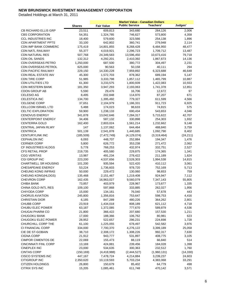|                             |               |                   | <b>Market Value - Canadian Dollars</b> |                  |           |
|-----------------------------|---------------|-------------------|----------------------------------------|------------------|-----------|
|                             | <b>Shares</b> | <b>Fair Value</b> | <b>Public Service</b>                  | <b>Teachers'</b> | Judges'   |
| <b>CB RICHARD ELLIS GRP</b> | 23,511        | 609,813           | 343,680                                | 264,126          | 2,006     |
| <b>CBS CORPORATION</b>      | 54,351        | 1,324,785         | 746,627                                | 573,800          | 4,358     |
| <b>CCL INDUSTRIES INC</b>   | 18,400        | 579,600           | 323,566                                | 254,138          | 1,896     |
| <b>CDN APARTMENT PPTS</b>   | 33,100        | 642,802           | 360,741                                | 279,948          | 2,114     |
| <b>CDN IMP BANK COMMERC</b> | 175,419       | 14,801,855        | 8,268,428                              | 6,484,950        | 48,477    |
| <b>CDN NATL RAILWAY</b>     | 55,377        | 4,019,921         | 2,296,723                              | 1,709,712        | 13,487    |
| <b>CDN NATURAL RES</b>      | 507,768       | 24,349,583        | 13,596,450                             | 10,673,416       | 79,718    |
| CDN OIL SANDS               | 132,312       | 4,292,201         | 2,410,392                              | 1,867,673        | 14,136    |
| CDN OVERSEAS PETRO          | 1,250,000     | 687,500           | 380,772                                | 304,497          | 2,231     |
| CDN OVERSEAS PETROL         | 625,000       | 90,563            | 50,158                                 | 40,111           | 294       |
| <b>CDN PACIFIC RAILWAY</b>  | 229,150       | 14,330,228        | 7,959,892                              | 6,323,688        | 46,648    |
| CDN REAL ESTATE INV         | 45,300        | 1,572,703         | 878,362                                | 689,194          | 5,147     |
| <b>CDN TIRE CORP</b>        | 51,985        | 3,333,798         | 1,857,112                              | 1,465,799        | 10,887    |
| <b>CDN UTILITIES LTD</b>    | 61,300        | 3,233,575         | 1,800,939                              | 1,422,083        | 10,553    |
| <b>CDN WESTERN BANK</b>     | 181,350       | 3,947,293         | 2,193,063                              | 1,741,378        | 12,851    |
| <b>CDON GROUP AB</b>        | 5,590         | 29,476            | 16,706                                 | 12,672           | 97        |
| <b>CELESIO AG</b>           | 8,495         | 202,848           | 114,970                                | 87,207           | 671       |
| CELESTICA INC               | 134,700       | 1,395,492         | 779,327                                | 611,599          | 4,566     |
| <b>CELGENE CORP</b>         | 37,651        | 2,104,979         | 1,186,331                              |                  | 6,925     |
| <b>CELLCOM ISRAEL LTD</b>   |               |                   |                                        | 911,723          |           |
|                             | 5,488         | 174,023           | 98,633                                 | 74,815           | 575       |
| CELTIC EXPLORATION          | 59,900        | 1,238,133         | 690,434                                | 543,653          | 4,046     |
| <b>CENOVUS ENERGY</b>       | 341,878       | 13,042,646        | 7,284,317                              | 5,715,622        | 42,707    |
| <b>CENTERPOINT ENERGY</b>   | 34,406        | 587,132           | 330,898                                | 254,303          | 1,932     |
| <b>CENTERRA GOLD</b>        | 162,400       | 2,803,024         | 1,561,214                              | 1,232,662        | 9,148     |
| <b>CENTRAL JAPAN RLWY</b>   | 147           | 1,137,062         | 644,464                                | 488,840          | 3,759     |
| <b>CENTRICA</b>             | 501,139       | 2,541,878         | 1,440,685                              | 1,092,790        | 8,402     |
| <b>CENTURYLINK INC</b>      | (185, 509)    | (7, 472, 749)     | (4, 129, 074)                          | (3,319,464)      | (24, 211) |
| <b>CEPHALON INC</b>         | 6,093         | 448,707           | 252,884                                | 194,347          | 1,476     |
| <b>CERNER CORP</b>          | 5,800         | 626,772           | 353,238                                | 271,472          | 2,062     |
| CF INDUSTRIES HLDGS         | 5,778         | 768,253           | 432,974                                | 332,751          | 2,527     |
| <b>CFS RETAIL PROP</b>      | 219,735       | 405,580           | 229,875                                | 174,365          | 1,341     |
| <b>CGG VERITAS</b>          | 13,987        | 491,234           | 278,422                                | 211,189          | 1,624     |
| <b>CGI GROUP INC</b>        | 223,200       | 4,537,656         | 2,528,303                              | 1,994,538        | 14,815    |
| <b>CHARTWELL SR HOUSING</b> | 101,200       | 935,594           | 522,420                                | 410,112          | 3,061     |
| <b>CHESAPEAKE ENERGY</b>    | 53,224        | 1,736,603         | 978,720                                | 752,169          | 5,713     |
| <b>CHEUNG KONG INFRAS</b>   | 50,000        | 229,472           | 130,060                                | 98,653           | 759       |
| CHEUNG KONG(HLDGS)          | 135,468       | 2,151,467         | 1,219,408                              | 924,947          | 7,112     |
| <b>CHEVRON CORP</b>         | 162,435       | 16,963,027        | 9,560,079                              | 7,347,143        | 55,805    |
| CHIBA BANK                  | 73,857        | 403,979           | 228,967                                | 173,677          | 1,335     |
| CHINA GOLD INTL RES         | 109,100       | 597,868           | 333,885                                | 262,027          | 1,956     |
| CHIYODA CORP                | 15,000        | 134,161           | 76,040                                 | 57,678           | 443       |
| <b>CHORUS AVIATION</b>      | 245,800       | 1,356,816         | 753,647                                | 598,753          | 4,416     |
| CHRISTIAN DIOR              | 6,185         | 847,289           | 480,226                                | 364,262          | 2,801     |
| <b>CHUBB CORP</b>           | 23,919        | 1,434,018         | 808,189                                | 621,112          | 4,718     |
| CHUBU ELEC POWER            | 63,187        | 1,372,085         | 777,670                                | 589,879          | 4,536     |
| CHUGAI PHARM CO             | 21,800        | 366,422           | 207,680                                | 157,530          | 1,211     |
| <b>CHUGOKU BANK</b>         | 17,000        | 188,366           | 106,762                                | 80,981           | 623       |
| CHUGOKU ELEC POWER          | 28,952        | 522,657           | 296,231                                | 224,698          | 1,728     |
| CHURCHILL CORP THE          | 61,100        | 1,225,055         | 678,497                                | 542,582          | 3,976     |
| CI FINANCIAL CORP           | 334,000       | 7,700,370         | 4,276,122                              | 3,399,189        | 25,058    |
| CIE DE ST-GOBAIN            | 38,710        | 2,308,172         | 1,308,226                              | 992,317          | 7,630     |
| <b>CIGNA CORP</b>           | 21,912        | 943,777           | 531,897                                | 408,775          | 3,105     |
| <b>CIMPOR CIMENTOS DE</b>   | 22,069        | 155,473           | 88,119                                 | 66,840           | 514       |
| CINCINNATI FINL CORP        | 13,169        | 424,881           | 239,456                                | 184,028          | 1,398     |
| CINEPLEX INC                | 23,000        | 534,635           | 300,363                                | 232,512          | 1,760     |
| <b>CINTAS CORP</b>          | (150, 169)    | (4, 418, 988)     | (2, 444, 527)                          | (1,960,131)      | (14, 330) |
| CISCO SYSTEMS INC           | 447,167       | 7,478,724         | 4,214,884                              | 3,239,237        | 24,603    |
| CITIGROUP INC               | 2,350,620     | 10,119,593        | 5,703,234                              | 4,383,068        | 33,291    |
| <b>CITIZEN HOLDINGS</b>     | 26,800        | 150,679           | 85,402                                 | 64,779           | 498       |
| CITRIX SYS INC              | 15,205        | 1,085,461         | 611,748                                | 470,142          | 3,571     |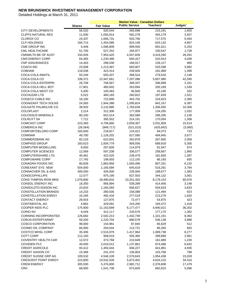|                             |               |                   | <b>Market Value - Canadian Dollars</b> |            |                 |
|-----------------------------|---------------|-------------------|----------------------------------------|------------|-----------------|
|                             | <b>Shares</b> | <b>Fair Value</b> | <b>Public Service</b>                  | Teachers'  | Judges'         |
| <b>CITY DEVELOPMENTS</b>    | 56,520        | 500,544           | 283,698                                | 215,191    | 1,655           |
| <b>CLIFFS NATURAL RES</b>   | 11,000        | 1,050,914         | 592,278                                | 455,179    | 3,457           |
| CLOROX CO                   | 24,337        | 1,656,731         | 933,706                                | 717,575    | 5,450           |
| <b>CLP HOLDINGS</b>         | 184,714       | 1,454,085         | 824,146                                | 625,132    | 4,807           |
| CME GROUP INC               | 5,449         | 1,596,809         | 899,935                                | 691,621    | 5,253           |
| <b>CML HEALTHCARE</b>       | 51,700        | 527,252           | 294,977                                | 230,547    | 1,728           |
| CMNWLTH BK OF AUST          | 150,926       | 7,953,420         | 4,507,839                              | 3,419,290  | 26,291          |
| <b>CMS ENERGY CORP</b>      | 64,465        | 1,230,389         | 693,427                                | 532,914    | 4,048           |
| <b>CNP ASSURANCES</b>       | 14,443        | 298,030           | 168,917                                | 128,127    | 985             |
| <b>COACH INC</b>            | 23,938        | 1,213,497         | 683,907                                | 525,598    | 3,992           |
| <b>COBHAM</b>               | 118,038       | 423,314           | 239,926                                | 181,989    | 1,399           |
| COCA-COLA AMATIL            | 55,249        | 650,207           | 368,524                                | 279,533    | 2,149           |
| COCA-COLA CO                | 199,372       | 12,947,661        |                                        | 5,607,980  |                 |
| COCA-COLA ENTERPRI          | 26,708        |                   | 7,297,086<br>399,337                   |            | 42,595<br>2,331 |
| COCA-COLA HELL BOT          | 17,801        | 708,567           | 263,894                                | 306,899    |                 |
|                             |               | 465,602           |                                        | 200,169    | 1,539           |
| COCA-COLA WEST CO           | 5,400         | 100,463           | 56,940                                 | 43,190     | 332             |
| <b>COCHLEAR LTD</b>         | 5,522         | 460,183           | 260,822                                | 197,839    | 1,521           |
| COGECO CABLE INC            | 16,100        | 722,890           | 403,702                                | 316,823    | 2,365           |
| <b>COGNIZANT TECH SOLNS</b> | 24,583        | 1,944,388         | 1,095,824                              | 842,167    | 6,397           |
| COLGATE PALMOLIVE CO        | 39,933        | 3,132,880         | 1,765,639                              | 1,356,935  | 10,306          |
| COLOPLAST                   | 2,214         | 312,306           | 177,009                                | 134,265    | 1,032           |
| <b>COLOSSUS MINERALS</b>    | 80,100        | 652,014           | 363,589                                | 286,295    | 2,130           |
| <b>COLRUYT SA</b>           | 7,712         | 395,552           | 224,191                                | 170,054    | 1,308           |
| <b>COMCAST CORP</b>         | 223,383       | 4,706,680         | 2,659,307                              | 2,031,859  | 15,514          |
| <b>COMERICA INC</b>         | (26, 564)     | (949, 717)        | (521, 015)                             | (425, 642) | (3,060)         |
| COMFORTDELGRO CORP          | 183,000       | 218,817           | 124,021                                | 94,073     | 723             |
| <b>COMINAR</b>              | 49,700        | 1,126,202         | 627,580                                | 494,945    | 3,677           |
| COMMERZBANK AG              | 82,133        | 622,601           | 352,878                                | 267,665    | 2,058           |
| <b>COMPASS GROUP</b>        | 183,623       | 1,604,779         | 909,556                                | 689,918    | 5,305           |
| <b>COMPUTER MODELLING</b>   | 8,000         | 207,600           | 114,979                                | 91,947     | 674             |
| <b>COMPUTER SCIENCES</b>    | 12,569        | 597,208           | 336,577                                | 258,667    | 1,965           |
| <b>COMPUTERSHARE LTD</b>    | 45,461        | 422,525           | 239,479                                | 181,650    | 1,397           |
| <b>COMPUWARE CORP</b>       | 17,745        | 199,003           | 112,155                                | 86,193     | 655             |
| <b>CONAGRA FOODS INC</b>    | 80,828        | 1,863,959         | 1,050,496                              | 807,331    | 6,132           |
| <b>CONEXANT SYS NEW</b>     | 504,000       | 1,165,694         | 645,619                                | 516,291    | 3,784           |
| CONNACHER OIL & GAS         | 300,000       | 426,000           | 235,940                                | 188,677    | 1,383           |
| <b>CONOCOPHILLIPS</b>       | 12,577        | 975,195           | 627,503                                | 344,132    | 3,561           |
| CONS THMPSN IRON MNS        | 1,078,800     | 18,490,632        | 10,251,403                             | 8,179,153  | 60,076          |
| CONSOL ENERGY INC           | 18,350        | 956,894           | 539,289                                | 414,456    | 3,148           |
| CONSOLDTD EDISON INC        | 23,633        | 1,165,093         | 656,627                                | 504,633    | 3,833           |
| <b>CONSTELLATION BRANDS</b> | 14,233        | 280,505           | 158,088                                | 121,494    | 923             |
| <b>CONSTELLATION ENRGY</b>  | 16,165        | 492,418           | 277,519                                | 213,279    | 1,620           |
| <b>CONTACT ENERGY</b>       | 29,916        | 127,875           | 72,477                                 | 54,975     | 423             |
| <b>CONTINENTAL AG</b>       | 4,862         | 429,091           | 243,200                                | 184,472    | 1,418           |
| COOPER INDS PLC             | 175,900       | 11,153,699        | 6,177,477                              | 4,940,021  | 36,202          |
| <b>CORIO NV</b>             | 6,049         | 412,117           | 233,579                                | 177,175    | 1,362           |
| <b>CORNING INCORPORATED</b> | 126,682       | 2,542,213         | 1,432,749                              | 1,101,101  | 8,363           |
| <b>CORUS ENTERTAINMT</b>    | 59,200        | 1,220,704         | 680,578                                | 536,138    | 3,988           |
| <b>COSCO CORPORATION</b>    |               |                   |                                        |            |                 |
|                             | 98,000        | 154,981           | 87,840                                 | 66,629     | 512             |
| COSMO OIL COMPANY           | 66,000        | 200,644           | 113,721                                | 86,260     | 663             |
| <b>COSTCO WHSL CORP</b>     | 35,306        | 2,515,979         | 1,417,964                              | 1,089,738  | 8,277           |
| <b>COTT CORP</b>            | 112,100       | 908,010           | 505,360                                | 399,689    | 2,961           |
| <b>COVENTRY HEALTH CAR</b>  | 12,072        | 373,768           | 210,649                                | 161,889    | 1,230           |
| COVIDIEN PLC                | 40,000        | 2,019,012         | 1,137,881                              | 874,488    | 6,642           |
| <b>CREDIT AGRICOLE</b>      | 93,412        | 1,493,044         | 846,227                                | 641,881    | 4,935           |
| <b>CREDIT SAISON CO</b>     | 15,369        | 241,370           | 136,804                                | 103,768    | 798             |
| <b>CREDIT SUISSE GRP AG</b> | 109,532       | 4,546,109         | 2,576,643                              | 1,954,438  | 15,028          |
| <b>CRESCENT POINT ENRGY</b> | 223,800       | 10,532,028        | 5,873,402                              | 4,624,210  | 34,416          |
| <b>CREW ENERGY</b>          | 305,500       | 5,376,800         | 2,982,712                              | 2,376,608  | 17,479          |
| <b>CRH</b>                  | 68,950        | 1,541,738         | 873,826                                | 662,815    | 5,096           |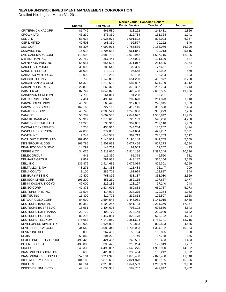|                           |                   |                    | <b>Market Value - Canadian Dollars</b> |           |         |
|---------------------------|-------------------|--------------------|----------------------------------------|-----------|---------|
|                           | <b>Shares</b>     | <b>Fair Value</b>  | <b>Public Service</b>                  | Teachers' | Judges' |
| <b>CRITERIA CAIXACORP</b> | 81,749            | 561,580            | 318,292                                | 241,431   | 1,856   |
| <b>CROWN LTD</b>          | 46,239            | 375,339            | 212,734                                | 161,364   | 1,241   |
| <b>CSL LTD</b>            | 53,634            | 1,925,972          | 1,091,602                              | 828,003   | 6,367   |
| <b>CSR LIMITED</b>        | 49,508            | 163,339            | 92,577                                 | 70,222    | 540     |
| <b>CSX CORP</b>           | 65,307            | 4,990,915          | 2,786,539                              | 2,188,076 | 16,300  |
| <b>CUMMINS INC</b>        | 16,018            | 1,706,688          | 961,861                                | 739,213   | 5,615   |
| <b>CVS CAREMARK CORP</b>  | 110,698           | 3,688,792          | 2,078,942                              | 1,597,715 | 12,135  |
| D R HORTON INC            | 22,759            | 257,444            | 145,091                                | 111,506   | 847     |
| <b>DAI NIPPON PRINTNG</b> |                   |                    |                                        |           | 2,164   |
|                           | 55,054            | 654,606            | 371,017                                | 281,425   |         |
| DAICEL CHEM INDS          | 30,000            | 180,643            | 102,385                                | 77,661    | 597     |
| DAIDO STEEL CO            | 31,000            | 172,109            | 97,548                                 | 73,992    | 569     |
| DAIHATSU MOTOR CO         | 19,000            | 270,295            | 153,198                                | 116,204   | 893     |
| <b>DAI-ICHI LIFE INS</b>  | 780               | 1,149,000          | 651,230                                | 493,972   | 3,798   |
| DAIICHI SANKYO COM        | 64,379            | 1,213,588          | 687,837                                | 521,739   | 4,012   |
| <b>DAIKIN INDUSTRIES</b>  | 22,892            | 669,328            | 379,362                                | 287,754   | 2,213   |
| DAIMLER AG                | 87,747            | 6,049,028          | 3,428,468                              | 2,600,565 | 19,996  |
| DAINIPPON SUMITOMO        | 17,700            | 161,011            | 91,258                                 | 69,221    | 532     |
| DAITO TRUST CONST         | 7,414             | 498,642            | 282,620                                | 214,373   | 1,648   |
| DAIWA HOUSE INDS          | 46,720            | 560,448            | 317,651                                | 240,945   | 1,853   |
| DAIWA SECS GROUP          | 162,166           | 727,118            | 412,116                                | 312,598   | 2,404   |
| <b>DANAHER CORP</b>       | 43,746            | 2,205,541          | 1,243,006                              | 955,279   | 7,256   |
| <b>DANONE</b>             | 56,702            | 3,607,560          | 2,044,692                              | 1,550,942 | 11,925  |
| DANSKE BANK A/S           | 58,917            | 1,270,616          | 720,159                                | 546,256   | 4,200   |
| DARDEN RESTAURANT         | 11,220            | 535,912            | 302,031                                | 232,118   | 1,763   |
| DASSAULT SYSTEMES         | 5,758             | 430,916            | 244,234                                | 185,257   | 1,424   |
| DAVIS + HENDERSON         | 47,800            | 977,032            | 544,634                                | 429,207   | 3,191   |
| DAVITA INC                | 7,743             | 643,583            | 362,713                                | 278,753   | 2,117   |
| DAYLIGHT ENERGY LTD       | 189,400           | 2,145,902          | 1,196,148                              | 942,745   | 7,009   |
| DBS GROUP HLDGS           | 168,785           | 1,901,013          | 1,077,456                              | 817,273   | 6,284   |
| DEAN FOODS CO NEW         | 14,791            | 143,739            | 81,009                                 | 62,257    | 473     |
| DEERE & CO                | 34,075            | 3,219,020          | 1,814,186                              | 1,394,244 | 10,590  |
| <b>DELEK GROUP</b>        | 441               | 115,350            | 65,378                                 | 49,590    | 381     |
| <b>DELHAIZE GROUP</b>     | 9,861             | 781,938            | 443,187                                | 336,166   | 2,585   |
| DELL INC                  | 135,879           | 1,914,685          | 1,079,084                              | 829,301   | 6,299   |
| DELTA LLOYD NV            | 8,271             | 214,338            | 121,483                                | 92,147    | 709     |
| DENA CO LTD               | 8,100             | 285,701            | 161,929                                | 122,827   | 944     |
| DENBURY RES INC           | 32,400            | 768,896            | 433,337                                | 333,030   | 2,529   |
| <b>DENISON MINES CORP</b> | 196,200           | 451,260            | 252,115                                | 197,667   | 1,477   |
| DENKI KAGAKU KOGYO        | 47,000            | 226,185            | 128,197                                | 97,240    | 748     |
| <b>DENSO CORP</b>         | 47,373            | 1,534,693          | 869,833                                | 659,787   | 5,073   |
| DENTSPLY INTL INC         | 11,504            | 414,092            | 233,375                                | 179,354   | 1,362   |
| <b>DENTSU INC</b>         | 16,300            | 410,772            | 232,818                                | 176,597   | 1,358   |
| DETOUR GOLD CORP          | 84,900            | 2,594,544          | 1,445,061                              | 1,141,015 | 8,468   |
| DEUTSCHE BANK AG          | 90,382            | 5,190,256          | 2,941,733                              | 2,231,366 | 17,157  |
| DEUTSCHE BOERSE AG        | 18,961            | 1,404,605          | 796,102                                | 603,860   | 4,643   |
| DEUTSCHE LUFTHANSA        | 23,720            | 490,770            | 278,158                                | 210,989   | 1,622   |
| DEUTSCHE POST AG          | 82,293            | 1,447,084          | 820,178                                | 622,122   | 4,784   |
| DEUTSCHE TELEKOM          | 275,653           | 4,149,060          | 2,351,604                              | 1,783,741 | 13,715  |
| DEVELOPERS DIVER RTY      | 119,000           | 1,624,002          | 779,823                                | 839,593   | 4,586   |
| DEVON ENERGY CORP         | 34,540            | 3,080,349          | 1,736,033                              | 1,334,182 | 10,134  |
| DEVRY INC DEL             | 5,000             | 267,439            | 150,724                                | 115,835   | 880     |
| <b>DEXIA</b>              |                   |                    |                                        |           |         |
| DEXUS PROPERTY GROUP      | 53,862<br>499,420 | 204,222<br>424,487 | 115,749                                | 87,798    | 675     |
|                           |                   |                    | 240,591                                | 182,493   | 1,403   |
| DHX MEDIA LTD             | 433,800           | 390,420            | 216,234                                | 172,919   | 1,267   |
| <b>DIAGEO</b>             | 243,333           | 4,496,057          | 2,548,275                              | 1,932,920 | 14,862  |
| DIAMOND OFFSHORE DRL      | 5,600             | 423,067            | 238,434                                | 183,242   | 1,392   |
| DIAMONDROCK HOSPITAL      | 357,184           | 3,911,946          | 1,878,460                              | 2,022,438 | 11,048  |
| DIGITAL RLTY TR INC       | 104,100           | 5,876,639          | 2,821,878                              | 3,038,165 | 16,596  |
| <b>DIRECTV</b>            | 64,161            | 2,918,058          | 1,644,569                              | 1,263,889 | 9,600   |
| <b>DISCOVER FINL SVCS</b> | 44,149            | 1,033,986          | 582,737                                | 447,847   | 3,402   |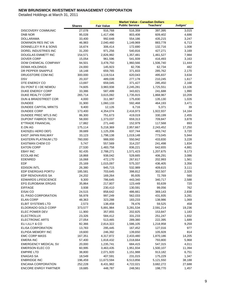|                                 |                  |                      | <b>Market Value - Canadian Dollars</b> |                     |                |
|---------------------------------|------------------|----------------------|----------------------------------------|---------------------|----------------|
|                                 | <b>Shares</b>    | <b>Fair Value</b>    | <b>Public Service</b>                  | <b>Teachers'</b>    | Judges'        |
| DISCOVERY COMMUNIC              | 27,078           | 916,768              | 516,359                                | 397,395             | 3,015          |
| <b>DNB NOR</b>                  | 95,028           | 1,417,496            | 803,408                                | 609,402             | 4,686          |
| DOLLARAMA                       | 33,400           | 992,648              | 554,186                                | 435,215             | 3,247          |
| DOMINION RES INC VA             | 46,983           | 2,040,460            | 1,149,969                              | 883,778             | 6,713          |
| DONNELLEY R R & SONS            | 16,674           | 306,414              | 172,690                                | 132,716             | 1,008          |
| DOREL INDUSTRIES INC            | 31,200           | 971,256              | 540,816                                | 427,271             | 3,169          |
| DOUGLAS EMMETT INC              | 154,571          | 2,826,992            | 1,357,481                              | 1,461,527           | 7,984          |
| DOVER CORP                      | 15,054           | 961,596              | 541,939                                | 416,493             | 3,163          |
| DOW CHEMICAL COMPANY            | 94,501           | 3,478,750            | 1,960,566                              | 1,506,740           | 11,444         |
| <b>DOWA HOLDINGS</b>            | 24,000           | 145,923              | 82,706                                 | 62,734              | 482            |
| DR PEPPER SNAPPLE               | 18,148           | 659,765              | 371,833                                | 285,762             | 2,170          |
| DRUGSTORE COM INC               | 300,000          | 1,119,514            | 620,043                                | 495,837             | 3,634          |
| <b>DSV</b>                      | 20,337           | 489,039              | 277,178                                | 210,245             | 1,617          |
| DTE ENERGY CO                   | 13,697           | 659,045              | 371,427                                | 285,450             | 2,168          |
| DU PONT E I DE NEMOU            | 74,605           | 3,983,938            | 2,245,281                              | 1,725,551           | 13,106         |
| DUKE ENERGY CORP                | 33,386           | 587,499              | 343,821                                | 241,688             | 1,990          |
| DUKE REALTY CORP                | 265,714          | 3,615,092            | 1,735,915                              | 1,868,967           | 10,209         |
| DUN & BRADSTREET COR            | 4,000            | 311,987              | 175,830                                | 135,130             | 1,026          |
| <b>DUNDEE</b>                   | 31,900           | 1,060,133            | 592,468                                | 464,193             | 3,471          |
| DUNDEE CAPITAL MRKTS            | 9,400            | 12,126               | 6,716                                  | 5,371               | 39             |
| <b>DUNDEE CORP</b>              | 173,400          | 4,354,074            | 2,416,973                              | 1,922,937           | 14,164         |
| DUNDEE PREC MTLS INC            | 86,300           | 751,673              | 419,019                                | 330,199             | 2,455          |
| DUPONT FABROS TECH              | 58,000           | 1,373,037            | 659,313                                | 709,847             | 3,878          |
| <b>E*TRADE FINANCIAL</b>        | 17,882           | 271,440              | 152,979                                | 117,568             | 893            |
| E.ON AG                         | 175,114          | 5,218,369            | 2,957,667                              | 2,243,452           | 17,250         |
| EADS(EU AERO DEF)               | 39,689           | 1,125,206            | 637,744                                | 483,742             | 3,720          |
| EAST JAPAN RAILWAY              | 33,123           | 1,798,138            | 1,019,148                              | 773,045             | 5,944          |
| <b>EASTERN PLATINUM LTD</b>     | 760,000          | 988,000              | 550,942                                | 433,830             | 3,228          |
| EASTMAN CHEM CO                 | 5,747            | 557,569              | 314,237                                | 241,498             | 1,834          |
| <b>EATON CORP</b>               | 27,530           | 1,483,758            | 836,221                                | 642,655             | 4,881          |
| <b>EBAY INC</b>                 | 92,435           | 2,788,271            | 1,571,423                              | 1,207,675           | 9,173          |
| <b>ECOLAB INC</b>               | 18,868           | 938,042              | 528,665                                | 406,291             | 3,086          |
| <b>EDENRED</b>                  | 16,068           | 472,170              | 267,617                                | 202,993             | 1,561          |
| EDF                             | 25,169           | 1,015,097            | 575,337                                | 436,405             | 3,356          |
| <b>EDISON INTL</b>              | 26,380           | 945,715              | 532,989                                | 409,615             | 3,111          |
| EDP ENERGIAS PORTU              | 185,581          | 703,645              | 398,812                                | 302,507             | 2,326          |
| EDP RENOVAVEIS SA               | 24,202           | 169,264              | 95,935                                 | 72,769              | 560            |
| <b>EDWARDS LIFESCIENCE</b>      | 9,300            | 786,645              | 443,340                                | 340,717             | 2,588          |
| <b>EFG EUROBANK ERGAS</b>       | 35,864           | 217,807              | 123,449                                | 93,639              | 720            |
| <b>EIFFAGE</b>                  | 3,938            | 230,410              | 130,591                                | 99,056              | 762            |
| EISAI CO<br>EL PASO CORPORATION | 24,515           | 858,642              | 486,661                                | 369,143             | 2,838          |
| <b>ELAN CORP</b>                | 56,978<br>48,363 | 997,249<br>323,288   | 562,033<br>183,233                     | 431,935<br>138,986  | 3,281<br>1,069 |
| <b>ELBIT SYSTEMS LTD</b>        |                  |                      |                                        |                     |                |
| ELDORADO GOLD CORP              | 2,573<br>373,577 | 138,459<br>5,891,984 | 78,476<br>3,281,534                    | 59,525<br>2,591,214 | 458<br>19,236  |
| ELEC POWER DEV                  | 11,900           | 357,855              | 202,825                                | 153,847             | 1,183          |
| <b>ELECTROLUX</b>               | 23,326           | 584,412              | 331,233                                | 251,247             | 1,932          |
| <b>ELECTRONIC ARTS</b>          | 27,054           | 513,465              | 289,380                                | 222,395             | 1,689          |
| ELI LILLY & CO                  | 82,366           | 2,814,322            | 1,586,105                              | 1,218,958           | 9,259          |
| <b>ELISA CORPORATION</b>        | 13,783           | 295,445              | 167,452                                | 127,016             | 977            |
| ELPIDA MEMORY INC               | 19,600           | 246,392              | 139,650                                | 105,928             | 814            |
| <b>EMC CORP MASS</b>            | 167,351          | 4,317,872            | 2,433,480                              | 1,870,186           | 14,205         |
| <b>EMERA INC</b>                | 57,400           | 1,818,432            | 1,018,664                              | 793,800             | 5,968          |
| <b>EMERGENCY MEDICAL SV</b>     | 20,000           | 1,235,741            | 684,415                                | 547,315             | 4,011          |
| EMERSON ELEC CO                 | 60,995           | 3,463,435            | 1,951,934                              | 1,500,107           | 11,394         |
| <b>EMPIRE LTD</b>               | 38,800           | 2,071,920            | 1,151,988                              | 913,182             | 6,751          |
| <b>ENAGAS SA</b>                | 18,549           | 407,591              | 231,015                                | 175,229             | 1,347          |
| ENBRIDGE INC                    | 196,459          | 11,673,594           | 6,513,856                              | 5,121,550           | 38,188         |
| ENCANA CORPORATION              | 252,228          | 8,431,982            | 4,722,021                              | 3,682,272           | 27,688         |
| <b>ENCORE ENRGY PARTNER</b>     | 19,685           | 448,787              | 248,561                                | 198,770             | 1,457          |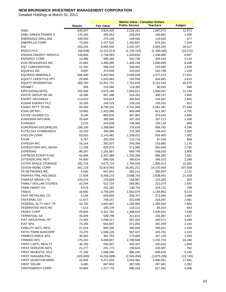|                             |               |                   | <b>Market Value - Canadian Dollars</b> |                    |           |
|-----------------------------|---------------|-------------------|----------------------------------------|--------------------|-----------|
|                             | <b>Shares</b> | <b>Fair Value</b> | <b>Public Service</b>                  | Teachers'          | Judges'   |
| <b>ENEL</b>                 | 640,047       | 3,924,205         | 2,224,161                              | 1,687,073          | 12,972    |
| <b>ENEL GREEN POWER S</b>   | 170,165       | 455,652           | 258,254                                | 195,891            | 1,506     |
| <b>ENERGOLD DRILLING</b>    | 109,500       | 270,100           | 149,595                                | 119,628            | 877       |
| <b>ENERPLUS CORP</b>        | 73,050        | 2,237,522         | 1,250,837                              | 979,351            | 7,334     |
| ENI                         | 253,155       | 6,055,450         | 3,432,107                              | 2,603,325          | 20,017    |
| <b>ENSCO PLC</b>            | (56,038)      | (3, 152, 013)     | (1,745,743)                            | (1,396,040)        | (10, 231) |
| <b>ENSIGN ENERGY SERVCS</b> | 149,800       | 2,746,583         | 1,528,630                              | 1,208,995          | 8,957     |
| <b>ENTERGY CORP</b>         | 14,466        | 945,264           | 532,735                                | 409,419            | 3,110     |
| EOG RESOURCES INC           | 21,663        | 2,495,095         | 1,406,194                              | 1,080,693          | 8,208     |
| <b>EQT CORPORATION</b>      | 12,100        | 586,410           | 330,491                                | 253,990            | 1,929     |
| <b>EQUIFAX INC</b>          | 9,897         | 373,559           | 210,532                                | 161,799            | 1,229     |
| <b>EQUINOX MINERALS</b>     | 946,400       | 5,403,944         | 3,008,839                              | 2,377,474          | 17,631    |
| <b>EQUITY LIFESTYLE PPT</b> | 29,000        | 1,633,863         | 784,558                                | 844,691            | 4,614     |
| <b>EQUITY RESIDENTIAL</b>   | 288,750       | 15,921,737        | 7,754,630                              | 8,121,533          | 45,575    |
| <b>ERAMET</b>               | 585           | 210,584           | 119,355                                | 90,533             | 696       |
| ERICSSON(LM)TEL             | 292,838       | 3,675,166         | 2,083,011                              | 1,580,007          | 12,149    |
| <b>ERSTE GROUP BK AG</b>    | 18,386        | 907,499           | 514,352                                | 390,147            | 3,000     |
| <b>ESPRIT HOLDINGS</b>      | 113,010       | 503,814           | 285,552                                | 216,597            | 1,665     |
| <b>ESSAR ENERGY PLC</b>     | 33,325        | 245,519           | 139,155                                | 105,552            | 812       |
| <b>ESSEX PPTY TR INC</b>    | 80,600        | 9,790,102         | 4,701,066                              | 5,061,387          | 27,648    |
| <b>ESSILOR INTL</b>         | 19,662        | 1,422,068         | 805,999                                | 611,367            | 4,701     |
| <b>ESTEE LAUDER CO</b>      | 9,246         | 865,820           | 487,962                                | 375,010            | 2,848     |
| EURASIAN NATURAL            | 25,043        | 365,685           | 207,263                                | 157,213            | 1,209     |
| <b>EURAZEO</b>              | 3,215         | 244,508           |                                        |                    | 808       |
| EUROPEAN GOLDFIELDS         | 106,100       | 1,298,664         | 138,582<br>724,626                     | 105,118<br>569,792 | 4,246     |
|                             |               |                   |                                        |                    |           |
| EUTELSAT COMMUNICA          | 10,130        | 394,084           | 223,359                                | 169,422            | 1,303     |
| <b>EXELON CORP</b>          | 53,510        | 2,143,482         | 1,208,031                              | 928,400            | 7,052     |
| <b>EXOR</b>                 | 6,767         | 202,403           | 114,718                                | 87,016             | 669       |
| <b>EXPEDIA INC</b>          | 16,144        | 355,507           | 200,358                                | 153,980            | 1,170     |
| <b>EXPEDITORS INTL WASH</b> | 17,158        | 835,875           | 471,085                                | 362,040            | 2,750     |
| <b>EXPERIAN</b>             | 98,167        | 1,181,667         | 669,745                                | 508,016            | 3,906     |
| <b>EXPRESS SCRIPTS INC</b>  | 42,696        | 2,307,369         | 1,300,394                              | 999,383            | 7,591     |
| <b>EXTENDICARE REIT</b>     | 54,900        | 699,426           | 390,624                                | 306,513            | 2,289     |
| <b>EXTRA SPACE STORAGE</b>  | 182,724       | 3,675,723         | 1,765,030                              | 1,900,313          | 10,381    |
| <b>EXXON MOBIL CORP</b>     | 401,119       | 32,810,093        | 18,491,221                             | 14,210,934         | 107,938   |
| <b>F5 NETWORKS INC</b>      | 6,500         | 647,841           | 365,112                                | 280,597            | 2,131     |
| <b>FAIRFAX FINL HOLDNGS</b> | 17,634        | 6,438,173         | 3,588,743                              | 2,828,401          | 21,029    |
| FAIRFAX MEDIA LTD           | 216,476       | 279,804           | 158,587                                | 120,292            | 925       |
| <b>FAMILY DOLLAR STORES</b> | 10,244        | 512,724           | 288,962                                | 222,074            | 1,687     |
| <b>FAMILYMART CO</b>        | 6,578         | 241,282           | 136,754                                | 103,731            | 798       |
| <b>FANUC</b>                | 18,650        | 2,756,044         | 1,562,070                              | 1,184,863          | 9,110     |
| <b>FAST RETAILING CO</b>    | 5,194         | 634,650           | 359,707                                | 272,845            | 2,098     |
| <b>FASTENAL CO</b>          | 11,877        | 748,157           | 421,649                                | 324,047            | 2,461     |
| FEDERAL RLTY INVT TR        | 33,700        | 2,692,667         | 1,292,980                              | 1,392,083          | 7,604     |
| FEDERATED INVS INC          | 7,513         | 195,378           | 110,112                                | 84,624             | 643       |
| <b>FEDEX CORP</b>           | 25,500        | 2,321,792         | 1,308,523                              | 1,005,631          | 7,638     |
| <b>FERROVIAL SA</b>         | 45,009        | 549,799           | 311,615                                | 236,367            | 1,817     |
| FIAT INDUSTRIAL SP          | 74,345        | 1,036,417         | 587,420                                | 445,571            | 3,426     |
| <b>FIAT SPA</b>             | 74,345        | 654,687           | 371,063                                | 281,459            | 2,164     |
| FIDELITY NATL INFO          | 21,519        | 683,200           | 385,040                                | 295,912            | 2,248     |
| FIFTH THIRD BANCORP         | 74,270        | 1,006,128         | 567,037                                | 435,781            | 3,310     |
| FINMECCANICA SPA            | 39,352        | 481,783           | 273,065                                | 207,126            | 1,593     |
| <b>FINNING INTL</b>         | 175,310       | 5,008,607         | 2,789,508                              | 2,202,753          | 16,346    |
| FIRST CAPTL REALTY          | 36,700        | 594,907           | 332,457                                | 260,502            | 1,948     |
| FIRST HORIZON NATL          | 21,277        | 231,773           | 130,624                                | 100,387            | 762       |
| FIRST MAJESTIC SILV         | 77,100        | 1,588,260         | 886,150                                | 696,918            | 5,192     |
| FIRST NIAGARA FINL          | (320, 600)    | (4,234,088)       | (2,345,050)                            | (1,875,295)        | (13, 743) |
| FIRST QUANTUM MNRL          | 43,916        | 5,471,934         | 3,053,482                              | 2,400,551          | 17,901    |
| <b>FIRST SOLAR</b>          | 4,400         | 687,653           | 387,550                                | 297,841            | 2,262     |
| <b>FIRSTENERGY CORP</b>     | 33,804        | 1,217,776         | 686,318                                | 527,452            | 4,006     |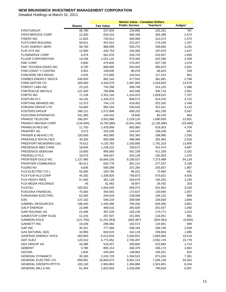|                                   |                   |                      | <b>Market Value - Canadian Dollars</b> |                      |                 |
|-----------------------------------|-------------------|----------------------|----------------------------------------|----------------------|-----------------|
|                                   | <b>Shares</b>     | <b>Fair Value</b>    | <b>Public Service</b>                  | Teachers'            | Judges'         |
| <b>FIRSTGROUP</b>                 | 46,780            | 237,934              | 134,856                                | 102,291              | 787             |
| <b>FIRSTSERVICE CORP</b>          | 22,300            | 818,410              | 456,338                                | 359,398              | 2,674           |
| <b>FISERV INC</b>                 | 11,823            | 720,512              | 406,069                                | 312,073              | 2,370           |
| <b>FLETCHER BUILDING</b>          | 58,911            | 407,614              | 231,027                                | 175,239              | 1,347           |
| FLINT ENERGY SERV                 | 58,700            | 989,095              | 550,270                                | 435,600              | 3,225           |
| FLIR SYS INC                      | 12,900            | 433,753              | 244,456                                | 187,870              | 1,427           |
| <b>FLOWSERVE CORP</b>             | 4,479             | 561,976              | 316,720                                | 243,407              | 1,849           |
| <b>FLUOR CORPORATION</b>          | 14,236            | 1,021,131            | 575,493                                | 442,280              | 3,359           |
| <b>FMC CORP</b>                   | 5,800             | 479,605              | 270,297                                | 207,730              | 1,578           |
| FMC TECHNOLOGIES INC              | 9,700             | 890,895              | 502,093                                | 385,870              | 2,931           |
| FOM CONST Y CONTRA                | 4,951             | 159,635              | 90,478                                 | 68,629               | 528             |
| FONCIERE DES REGIO                | 2,635             | 272,665              | 154,541                                | 117,223              | 901             |
| <b>FORBES ENERGY SRVCS</b>        | 439,920           | 862,243              | 477,553                                | 381,891              | 2,799           |
| FORD MOTOR CO                     | 305,983           | 4,430,579            | 2,497,000                              | 1,919,003            | 14,576          |
| <b>FOREST LABS INC</b>            | 23,120            | 725,268              | 408,749                                | 314,133              | 2,386           |
| FORTESCUE METALS                  | 121,303           | 780,896              | 442,596                                | 335,718              | 2,581           |
| <b>FORTIS INC</b>                 | 71,139            | 2,351,144            | 1,314,423                              | 1,029,015            | 7,707           |
| FORTUM OYJ                        | 43,191            | 1,428,372            | 809,573                                | 614,078              | 4,722           |
| FORTUNE BRANDS INC                | 12,373            | 744,170              | 419,402                                | 322,320              | 2,448           |
| FORZANI GROUP LTD                 | 54,800            | 955,164              | 530,633                                | 421,421              | 3,110           |
| <b>FOSTERS GROUP</b>              | 188,121           | 1,072,906            | 608,102                                | 461,258              | 3,547           |
| <b>FOXCONN INTERNATIO</b>         | 241,000           | 140,442              | 79,600                                 | 60,378               | 464             |
| <b>FRANCE TELECOM</b>             | 180,287           | 3,932,966            | 2,229,126                              | 1,690,839            | 13,001          |
| <b>FRANCO NEVADA CORP</b>         | (134, 400)        | (4,792,080)          | (2,641,204)                            | (2, 135, 396)        | (15, 480)       |
| <b>FRANKLIN RES INC</b>           | 11,750            | 1,429,958            | 805,900                                | 619,353              | 4,704           |
| <b>FRAPORT AG</b>                 | 3,573             | 254,326              | 144,147                                | 109,339              | 841             |
| <b>FRASER &amp; NEAVE LTD</b>     | 100,000           | 462,860              | 262,340                                | 198,990              | 1,530           |
| <b>FREEHOLD ROYALTIES</b>         | 39,200            | 893,368              | 498,066                                | 392,383              | 2,918           |
| FREEPORT-MCMORAN C&G              | 76,612            | 4,135,783            | 2,330,858                              | 1,791,319            | 13,606          |
| <b>FRESENIUS MED CARE</b>         | 18,834            | 1,236,232            | 700,672                                | 531,474              | 4,087           |
| <b>FRESENIUS SE&amp;KGAA</b>      | 10,600            | 956,560              | 542,159                                | 411,239              | 3,162           |
| <b>FRESNILLO PLC</b>              | 18,575            | 446,607              | 253,128                                | 192,003              | 1,476           |
| FRONTEER GOLD INC                 | 1,137,485         | 16,664,155           | 9,236,537                              | 7,373,489            | 54,129          |
| <b>FRONTIER COMMUNICA</b>         | 80,411            | 640,776              | 361,131                                | 277,537              | 2,108           |
| <b>FUGRO NV</b>                   | 6,936             | 595,088              | 337,284                                | 255,837              | 1,967           |
| FUJI ELECTRIC CO L                | 55,000            | 169,785              | 96,231                                 | 72,993               | 561             |
| FUJI FILM HLD CORP                | 44,282            | 1,338,920            | 758,873                                | 575,621              | 4,426           |
| FUJI HEAVY INDS                   | 57,400            | 361,126              | 204,679                                | 155,253              | 1,194           |
| <b>FUJI MEDIA HOLDINGS</b>        | 45                | 61,482               | 34,847                                 | 26,432               | 203             |
| <b>FUJITSU</b>                    | 182,001           | 1,004,045            | 569,073                                | 431,653              | 3,319           |
| <b>FUKUOKA FINANCIAL</b>          | 75,000            | 304,592              | 172,637                                | 130,949              | 1,007           |
| <b>FURUKAWA ELECTRIC</b>          | 62,000            | 244,519              | 138,588                                | 105,122              | 808             |
| G4S                               | 137,162           | 546,219              | 309,586                                | 234,828              | 1,806           |
| <b>GABRIEL RESOURCES</b>          | 198,400           | 1,426,496            | 795,430                                | 626,406              | 4,661           |
| <b>GALP ENERGIA</b>               | 22,496            | 469,016              | 265,829                                | 201,637              | 1,550           |
| <b>GAM HOLDING AG</b>             | 21,406            | 397,220              | 225,136                                | 170,771              | 1,313           |
| <b>GAMESTOP CORP HLDG</b>         | 12,243            | 267,937              | 151,005                                | 116,051              | 881<br>(4,005)  |
| GAMMON GOLD<br><b>GANNETT INC</b> | (121, 700)        | (1,241,953)          | (683, 367)                             | (554, 581)           |                 |
| <b>GAP INC</b>                    | 19,438<br>35,321  | 288,464<br>777,460   | 162,573<br>438,164                     | 124,941<br>336,739   | 949<br>2,558    |
| <b>GAS NATURAL SDG</b>            | 32,993            | 603,619              | 342,119                                | 259,504              | 1,995           |
| <b>GASFRAC ENERGY SVCS</b>        | 483,800           | 6,013,634            | 3,330,651                              | 2,663,464            | 19,519          |
| <b>GDF SUEZ</b>                   |                   |                      |                                        |                      |                 |
| <b>GEA GROUP AG</b>               | 120,312<br>16,086 | 4,773,452<br>518,437 | 2,705,497<br>293,840                   | 2,052,176<br>222,884 | 15,779<br>1,714 |
| <b>GEBERIT</b>                    | 3,786             | 805,213              | 456,379                                | 346,173              | 2,662           |
| <b>GECINA</b>                     | 1,826             | 245,004              | 138,863                                | 105,331              | 810             |
| <b>GENERAL DYNAMICS</b>           | 30,165            | 2,243,720            | 1,264,523                              | 971,816              | 7,381           |
| <b>GENERAL ELECTRIC CO</b>        | 858,991           | 16,840,674           | 9,491,123                              | 7,294,149            | 55,402          |
| <b>GENERAL GROWTH PPTYS</b>       | 193,100           | 2,904,893            | 1,394,888                              | 1,501,801            | 8,204           |
| <b>GENERAL MILLS INC</b>          | 51,404            | 1,825,834            | 1,029,009                              | 790,818              | 6,007           |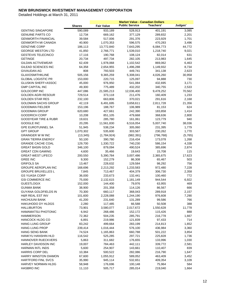|                                 |               |                   | <b>Market Value - Canadian Dollars</b> |            |         |
|---------------------------------|---------------|-------------------|----------------------------------------|------------|---------|
|                                 | <b>Shares</b> | <b>Fair Value</b> | <b>Public Service</b>                  | Teachers'  | Judges' |
| <b>GENTING SINGAPORE</b>        | 590,089       | 933,189           | 528,913                                | 401,191    | 3,085   |
| <b>GENUINE PARTS CO</b>         | 12,734        | 669,162           | 377,129                                | 289,832    | 2,201   |
| <b>GENWORTH FINANCIAL</b>       | 39,584        | 517,006           | 291,376                                | 223,929    | 1,701   |
| <b>GENWORTH MI CANADA</b>       | 40,900        | 1,070,353         | 596,575                                | 470,283    | 3,496   |
| <b>GENZYME CORP</b>             | 186,113       | 13,772,840        | 7,643,295                              | 6,084,773  | 44,772  |
| <b>GEORGE WESTON LTD</b>        | 41,850        | 2,766,771         | 1,539,010                              | 1,218,740  | 9,021   |
| <b>GESTEVIS TELECINCO</b>       | 17,116        | 190,768           | 108,124                                | 82,014     | 631     |
| <b>GETINGE</b>                  | 20,734        | 497,734           | 282,105                                | 213,983    | 1,645   |
| <b>GILDAN ACTIVEWEAR</b>        | 62,439        | 1,978,068         | 1,102,542                              | 869,062    | 6,463   |
| GILEAD SCIENCES INC             | 64,358        | 2,654,955         | 1,496,288                              | 1,149,932  | 8,734   |
| <b>GIVAUDAN AG</b>              | 808           | 793,503           | 449,741                                | 341,138    | 2,623   |
| <b>GLAXOSMITHKLINE</b>          | 505,156       | 9,365,259         | 5,308,041                              | 4,026,260  | 30,958  |
| <b>GLOBAL LOGISTIC PR</b>       | 153,000       | 220,715           | 125,097                                | 94,888     | 730     |
| <b>GLUSKIN SHEFF+ASSOC</b>      | 45,000        | 976,950           | 541,084                                | 432,695    | 3,171   |
| <b>GMP CAPITAL INC</b>          | 49,300        | 775,489           | 432,202                                | 340,755    | 2,533   |
| <b>GOLDCORP INC</b>             | 447,086       | 21,585,213        | 12,036,400                             | 9,478,252  | 70,562  |
| <b>GOLDEN AGRI RESOUR</b>       | 729,514       | 373,118           | 211,476                                | 160,409    | 1,233   |
| <b>GOLDEN STAR RES</b>          | 232,100       | 663,806           | 370,021                                | 291,616    | 2,168   |
| <b>GOLDMAN SACHS GROUP</b>      | 42,119        | 6,491,695         | 3,658,611                              | 2,811,728  | 21,356  |
| <b>GOODMAN FIELDER</b>          | 153,196       | 188,767           | 106,989                                | 81,153     | 624     |
| <b>GOODMAN GROUP</b>            | 620,680       | 427,661           | 242,390                                | 183,858    | 1,414   |
| <b>GOODRICH CORP</b>            | 10,208        | 851,105           | 479,668                                | 368,636    | 2,800   |
| <b>GOODYEAR TIRE &amp; RUBR</b> | 19,631        | 285,780           | 161,061                                | 123,779    | 940     |
| <b>GOOGLE INC</b>               | 20,295        | 11,561,830        | 6,516,054                              | 5,007,740  | 38,036  |
| <b>GPE EUROTUNNEL SA</b>        | 51,945        | 538,234           | 305,060                                | 231,395    | 1,779   |
| <b>GPT GROUP</b>                | 1,070,302     | 535,600           | 303,567                                | 230,262    | 1,770   |
| <b>GRAINGER W W INC</b>         | (13, 345)     | (1,784,924)       | (982, 391)                             | (796, 768) | (5,765) |
| <b>GRAN TIERRA ENERGY</b>       | 50,100        | 390,780           | 216,434                                | 173,078    | 1,268   |
| <b>GRANDE CACHE COAL</b>        | 129,700       | 1,330,722         | 740,230                                | 586,154    | 4,338   |
| <b>GREAT BASIN GOLD</b>         | 346,100       | 879,094           | 490,524                                | 385,696    | 2,874   |
| <b>GREAT CDN GAMING</b>         | 4,600         | 35,466            | 19,643                                 | 15,708     | 115     |
| <b>GREAT-WEST LIFECO</b>        | 200,550       | 5,390,784         | 3,007,486                              | 2,365,675  | 17,623  |
| <b>GREE INC</b>                 | 9,300         | 152,279           | 86,308                                 | 65,467     | 503     |
| <b>GRIFOLS SA</b>               | 13,467        | 228,632           | 129,584                                | 98,292     | 756     |
| <b>GROUPE AEROPLAN INC</b>      | 168,696       | 2,213,292         | 1,233,583                              | 972,480    | 7,228   |
| <b>GROUPE BRUXELLES L</b>       | 7,845         | 713,467           | 404,379                                | 306,730    | 2,358   |
| <b>GS YUASA CORP</b>            | 36,000        | 233,673           | 132,441                                | 100,460    | 772     |
| <b>GSI COMMERCE INC</b>         | 75,000        | 2,132,615         | 1,181,149                              | 944,544    | 6,922   |
| <b>GUESTLOGIX</b>               | 152,000       | 144,400           | 79,976                                 | 63,955     | 469     |
| <b>GUNMA BANK</b>               | 38,900        | 201,358           | 114,126                                | 86,567     | 666     |
| <b>GUYANA GOLDFIELDS IN</b>     | 70,300        | 660,117           | 368,043                                | 289,918    | 2,157   |
| H&R REAL EST INV                | 101,600       | 2,228,088         | 1,244,190                              | 976,608    | 7,290   |
| HACHIJUNI BANK                  | 41,200        | 231,640           | 131,289                                | 99,586     | 766     |
| HAKUHODO DY HLDGS               | 2,280         | 117,485           | 66,588                                 | 50,508     | 388     |
| <b>HALLIBURTON</b>              | 73,901        | 3,580,077         | 2,017,672                              | 1,550,628  | 11,778  |
| HAMAMATSU PHOTONIC              | 6,942         | 268,486           | 152,172                                | 115,426    | 888     |
| <b>HAMMERSON</b>                | 72,362        | 504,235           | 285,791                                | 216,778    | 1,667   |
| <b>HANCOCK HLDG CO</b>          | 6,891         | 219,986           | 121,839                                | 97,433     | 714     |
| HANG LUNG GROUP                 | 83,242        | 499,664           | 283,199                                | 214,813    | 1,652   |
| <b>HANG LUNG PROP</b>           | 239,414       | 1,016,444         | 576,100                                | 436,984    | 3,360   |
| <b>HANG SENG BANK</b>           | 74,524        | 1,165,863         | 660,788                                | 501,222    | 3,854   |
| HANKYU HANSHIN HLD              | 116,542       | 525,285           | 297,721                                | 225,828    | 1,736   |
| <b>HANNOVER RUECKVERS</b>       | 5,863         | 311,682           | 176,655                                | 133,996    | 1,030   |
| HARLEY DAVIDSON INC             | 19,007        | 784,463           | 442,111                                | 339,772    | 2,581   |
| HARMAN INTL INDS                | 5,600         | 254,907           | 143,661                                | 110,407    | 839     |
| <b>HARRIS CORP DEL</b>          | 10,384        | 500,522           | 282,086                                | 216,790    | 1,647   |
| HARRY WINSTON DIAMON            | 67,600        | 1,055,912         | 589,052                                | 463,409    | 3,452   |
| HARTFORD FINL SVCS              | 35,990        | 945,114           | 532,651                                | 409,354    | 3,109   |
| HARVEY NORMAN HLDG              | 58,948        | 176,696           | 100,148                                | 75,964     | 584     |
| <b>HASBRO INC</b>               | 11,110        | 505,717           | 285,014                                | 219,040    | 1,664   |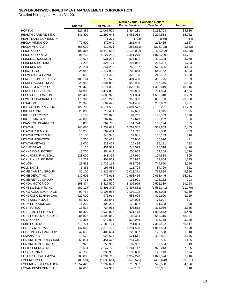|                                                  |                  |                      | <b>Market Value - Canadian Dollars</b> |             |           |
|--------------------------------------------------|------------------|----------------------|----------------------------------------|-------------|-----------|
|                                                  | <b>Shares</b>    | <b>Fair Value</b>    | <b>Public Service</b>                  | Teachers'   | Judges'   |
| HCP INC                                          | 327,386          | 12,067,570           | 5,894,231                              | 6,138,703   | 34,636    |
| HEALTH CARE REIT INC                             | 241,400          | 12,292,648           | 5,963,058                              | 6,294,538   | 35,052    |
| <b>HEARTLAND EXPRESS IN</b>                      |                  | (1,279)              | (708)                                  | (566)       | (4)       |
| <b>HECLA MINING CO</b>                           | 72,500           | 479,640              | 265,649                                | 212,435     | 1,557     |
| <b>HECLA MNG CO</b>                              | (58,032)         | (512,071)            | (283, 611)                             | (226, 798)  | (1,662)   |
| <b>HEICO CORP</b>                                | (92, 855)        | (5,640,683)          | (3, 124, 092)                          | (2,498,282) | (18, 308) |
| <b>HEICO CORP NEW</b>                            | 96,730           | 4,227,280            | 2,341,279                              | 1,872,280   | 13,721    |
| <b>HEIDELBERGCEMENT</b>                          | 13,674           | 931,228              | 527,801                                | 400,348     | 3,078     |
| <b>HEINEKEN HOLDING</b>                          | 11,203           | 524,121              | 297,061                                | 225,327     | 1,733     |
| <b>HEINEKEN NV</b>                               | 25,204           | 1,341,255            | 760,197                                | 576,625     | 4,434     |
| HEINZ H J CO                                     | 26,046           | 1,247,098            | 702,843                                | 540,152     | 4,103     |
| <b>HELMERICH &amp; PAYNE</b>                     | 8,600            | 574,410              | 323,728                                | 248,792     | 1,890     |
| HENDERSON LAND DEV                               | 106,161          | 713,572              | 404,438                                | 306,775     | 2,359     |
| HENKEL AG&CO. KGAA                               | 29,955           | 1,691,838            | 958,900                                | 727,346     | 5,593     |
| <b>HENNES &amp; MAURITZ</b>                      | 99,422           | 3,211,380            | 1,820,146                              | 1,380,619   | 10,616    |
| <b>HERSHA HOSPIT TR</b>                          | 254,300          | 1,477,830            | 709,633                                | 764,024     | 4,174     |
| <b>HESS CORPORATION</b>                          | 125,482          | 10,385,920           | 5,771,804                              | 4,580,318   | 33,799    |
| HEWLETT PACKARD CO                               | 175,905          | 7,018,227            | 3,955,356                              | 3,039,783   | 23,088    |
| <b>HEXAGON</b>                                   | 25,946           | 602,449              | 341,456                                | 259,002     | 1,991     |
| HIGHWOODS PPTYS INC                              | 122,700          | 4,174,588            | 2,004,577                              | 2,158,221   | 11,789    |
| <b>HINO MOTORS</b>                               | 25,000           | 119,431              | 67,691                                 | 51,345      | 395       |
| <b>HIROSE ELECTRIC</b>                           | 3,100            | 326,025              | 184,785                                | 140,163     | 1,078     |
| <b>HIROSHIMA BANK</b>                            | 49,000           | 207,627              | 117,679                                | 89,262      | 686       |
| <b>HISAMITSU PHARM CO</b>                        | 6,800            | 267,783              | 151,774                                | 115,124     | 885       |
| <b>HITACHI</b>                                   | 440,665          | 2,239,639            | 1,269,382                              | 962,853     | 7,403     |
| <b>HITACHI CHEMICAL</b>                          | 10,200           | 202,454              | 114,747                                | 87,038      | 669       |
| HITACHI CONST MACH                               | 10,100           | 246,940              | 139,961                                | 106,163     | 816       |
| HITACHI HIGH-TECH                                | 6,700            | 130,468              | 73,946                                 | 56,090      | 431       |
| <b>HITACHI METALS</b>                            | 18,000           | 221,419              | 125,496                                | 95,191      | 732       |
| <b>HOCHTIEF AG</b>                               | 4,118            | 431,523              | 244,579                                | 185,518     | 1,426     |
| <b>HOKKAIDO ELECTRIC</b>                         | 18,700           | 354,044              | 200,665                                | 152,209     | 1,170     |
| HOKUHOKU FINANCIAL                               | 128,000          | 243,392              | 137,950                                | 104,638     | 805       |
| HOKURIKU ELEC PWR                                | 18,261           | 403,819              | 228,877                                | 173,608     | 1,335     |
| <b>HOLCIM</b>                                    | 23,538           | 1,732,112            | 981,726                                | 744,660     | 5,726     |
| <b>HOLMEN AB</b>                                 | 5,861            | 197,085              | 111,704                                | 84,729      | 651       |
| <b>HOME CAPITAL GROUP</b>                        | 32,100           | 1,815,897            | 1,011,371                              | 798,599     | 5,926     |
| HOME DEPOT INC                                   | 132,601          | 4,775,613            | 2,691,456                              | 2,068,446   | 15,711    |
| HOME RETAIL GROUP                                | 79,731           | 239,937              | 135,991                                | 103,152     | 793       |
| HONDA MOTOR CO                                   | 158,874          | 5,827,529            | 3,302,926                              | 2,505,339   | 19,264    |
| HONEYWELL INTL INC                               | (60, 127)        | (3, 491, 342)        | (1,897,831)                            | (1,582,341) | (11, 170) |
| HONG KONG EXCHANGE                               | 99,784           | 2,105,088            | 1,193,122                              | 905,008     | 6,959     |
| HONGKONG&CHINA GAS                               | 420,000          | 976,914              | 553,695                                | 419,990     | 3,229     |
| <b>HOPEWELL HLDGS</b>                            | 63,400           | 183,542              | 104,028                                | 78,907      | 607       |
| HORMEL FOODS CORP                                | 11,200           | 303,233              | 170,897                                | 131,338     | 998       |
| <b>HOSPIRA INC</b>                               | 13,514           | 724,936              | 408,562                                | 313,989     | 2,385     |
| <b>HOSPITALITY PPTYS TR</b>                      | 86,300           | 1,939,828            | 931,478                                | 1,002,872   | 5,478     |
| <b>HOST HOTELS &amp; RESRTS</b>                  | 985,876          | 16,890,850           | 8,189,394                              | 8,653,315   | 48,141    |
| <b>HOYA CORP</b>                                 | 42,366           | 943,833              | 534,946                                | 405,768     | 3,120     |
| <b>HSBC HOLDINGS</b>                             | 1,719,721        | 17,188,124           | 9,741,884                              | 7,389,422   | 56,817    |
| <b>HUDBAY MINERALS</b>                           | 147,000          | 2,316,720            | 1,291,588                              | 1,017,564   | 7,568     |
| <b>HUDSON CITY BANCORP</b>                       | 42,636           | 400,664              | 225,807                                | 173,538     | 1,318     |
| <b>HUMANA INC</b>                                |                  | 925,527              |                                        | 400,871     |           |
| HUNTINGTON BANCSHARE                             | 13,623<br>69,851 | 451,427              | 521,611                                |             | 3,045     |
|                                                  |                  |                      | 254,416                                | 195,525     | 1,485     |
| HUNTINGTON INGALLS<br>HUSKY ENERGY INC           | 3,926            | 155,969              | 87,901                                 | 67,554      | 513       |
| HUSQVARNA AB                                     | 75,681           | 2,247,726            | 1,261,117                              | 979,213     | 7,395     |
|                                                  | 40,792           | 339,935              | 192,668                                | 146,143     | 1,124     |
| <b>HUTCHISON WHAMPOA</b><br><b>HYPERCOM CORP</b> | 208,035          | 2,394,718            | 1,357,278                              | 1,029,524   | 7,916     |
| <b>HYPERION EXPLORATION</b>                      | (88, 584)        | (1,035,614)          | (573, 575)                             | (458, 678)  | (3, 361)  |
| HYSAN DEVELOPMENT                                | 1,057,425        | 1,292,691<br>247,330 | 715,957                                | 572,538     | 4,196     |
|                                                  | 62,000           |                      | 140,182                                | 106,331     | 818       |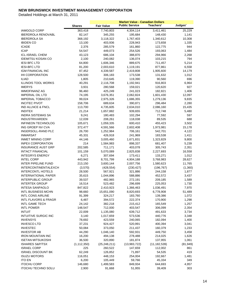|                                 |                  |                      | <b>Market Value - Canadian Dollars</b> |                   |              |
|---------------------------------|------------------|----------------------|----------------------------------------|-------------------|--------------|
|                                 | <b>Shares</b>    | <b>Fair Value</b>    | <b>Public Service</b>                  | <b>Teachers'</b>  | Judges'      |
| <b>IAMGOLD CORP</b>             | 363,418          | 7,740,803            | 4,304,114                              | 3,411,461         | 25,229       |
| <b>IBERDROLA RENOVABL</b>       | 82,147           | 345,255              | 195,684                                | 148,430           | 1,141        |
| <b>IBERDROLA SA</b>             | 368,192          | 3,118,322            | 1,767,403                              | 1,340,612         | 10,308       |
| <b>IBIDEN CO</b>                | 13,100           | 403,936              | 228,943                                | 173,658           | 1,335        |
| <b>ICADE</b>                    | 2,376            | 285,579              | 161,860                                | 122,775           | 944          |
| <b>ICAP</b>                     | 54,547           | 449,073              | 254,526                                | 193,063           | 1,484        |
| <b>ICL-ISRAEL CHEM</b>          | 43,123           | 686,104              | 388,870                                | 294,966           | 2,268        |
| <b>IDEMITSU KOSAN CO</b>        | 2,100            | 240,082              | 136,074                                | 103,215           | 794          |
| <b>IESI BFC LTD</b>             | 64,800           | 1,606,346            | 889,675                                | 711,457           | 5,214        |
| <b>IESI-BFC LTD</b>             | 81,200           | 2,003,610            | 1,119,191                              | 877,861           | 6,558        |
| <b>IGM FINANCIAL INC</b>        | 87,452           | 4,339,587            | 2,419,808                              | 1,905,600         | 14,179       |
| <b>IHI CORPORATION</b>          | 128,500          | 306,183              | 173,538                                | 131,632           | 1,012        |
| <b>ILIAD</b>                    | 1,805            | 210,645              | 119,390                                | 90,560            | 696          |
| <b>ILLINOIS TOOL WORKS</b>      | 40,291           | 2,116,708            | 1,192,941                              | 916,803           | 6,964        |
| <b>IMERYS</b>                   | 3,931            | 280,568              | 159,021                                | 120,620           | 927          |
| <b>IMMOFINANZ AG</b>            | 96,460           | 425,249              | 241,023                                | 182,821           | 1,406        |
| <b>IMPERIAL OIL LTD</b>         | 74,195           | 3,676,351            | 2,062,824                              | 1,601,430         | 12,097       |
| <b>IMPERIAL TOBACCO</b>         | 99,024           | 2,975,326            | 1,686,355                              | 1,279,136         | 9,835        |
| <b>INCITEC PIVOT</b>            | 158,706          | 689,634              | 390,871                                | 296,484           | 2,280        |
| <b>IND ALLNCE &amp; FNCL</b>    | 113,700          | 4,735,605            | 2,634,010                              | 2,086,160         | 15,435       |
| <b>INDITEX</b>                  | 21,214           | 1,657,882            | 939,655                                | 712,748           | 5,480        |
| <b>INDRA SISTEMAS SA</b>        | 9,241            | 180,483              | 102,294                                | 77,592            | 597          |
| <b>INDUSTRIVARDEN</b>           | 12,039           | 208,261              | 118,038                                | 89,535            | 688          |
| <b>INFINEON TECHNOLOG</b>       | 105,671          | 1,059,335            | 600,410                                | 455,423           | 3,502        |
| ING GROEP NV CVA                | 372,477          | 4,591,566            | 2,602,408                              | 1,973,981         | 15,178       |
| INGERSOLL-RAND PLC              | 26,700           | 1,252,984            | 706,161                                | 542,701           | 4,122        |
| <b>INMARSAT</b>                 | 45,331           | 426,918              | 241,969                                | 183,538           | 1,411        |
| <b>INMET MINING CORP</b>        | 44,146           | 3,005,460            | 1,671,831                              | 1,323,829         | 9,800        |
| <b>INPEX CORPORATION</b>        | 214              | 1,584,983            | 898,337                                | 681,407           | 5,239        |
| <b>INSURANCE AUST GRP</b>       | 202,585          | 711,171              | 403,078                                | 305,743           | 2,351        |
| <b>INTACT FINANCIAL</b>         | 101,159          | 5,070,089            | 2,825,838                              | 2,227,693         | 16,558       |
| <b>INTEGRYS ENERGY</b>          | 6,271            | 307,694              | 173,411                                | 133,271           | 1,012        |
| <b>INTEL CORP</b>               | 443,942          | 8,701,799            | 4,904,188                              | 3,768,983         | 28,627       |
| INTER PIPELINE FUND             | 213,150          | 3,600,144            | 2,007,756                              | 1,580,623         | 11,765       |
| INTERCONTINENTALEXCH            | (3,570)          | (428, 554)           | (230, 427)                             | (196, 767)        | (1,360)      |
| <b>INTERCONTL HOTELS</b>        | 28,500           | 567,921              | 321,886                                | 244,158           | 1,877        |
| <b>INTERNATIONAL PAPER</b>      | 35,615           | 1,044,896            | 588,886                                | 452,572           | 3,437        |
| <b>INTERPUBLIC GROUP</b>        | 39,537           | 482,965              | 272,191                                | 209,185           | 1,589        |
| <b>INTERTEK GROUP</b>           | 16,514           | 523,482              | 296,699                                | 225,053           | 1,730        |
| <b>INTESA SANPAOLO</b>          | 847,822          | 2,410,923            | 1,366,463                              | 1,036,491         | 7,970        |
| <b>INTL BUSINESS MCHN</b>       | 98,660           | 15,651,090           | 8,820,693                              | 6,778,908         | 51,489       |
| <b>INTL CONS AIRLINE</b>        | 91,399           | 324,217              | 183,760                                | 139,386           | 1,072        |
| <b>INTL FLAVORS &amp; FRAGR</b> | 6,487            | 394,572              | 222,374                                | 170,900           | 1,298        |
| <b>INTL GAME TECH</b>           | 24,142           | 382,218              | 215,412                                | 165,549           | 1,257        |
| <b>INTL POWER</b>               | 148,547          | 712,000              | 403,547                                | 306,099           | 2,354        |
| <b>INTUIT</b>                   | 22,009           | 1,135,080            | 639,712                                | 491,633           | 3,734        |
| <b>INTUITIVE SURGIC INC</b>     | 3,140            | 1,017,659            | 573,536                                | 440,776           | 3,348        |
| <b>INVENSYS</b>                 | 78,692           | 423,559              | 240,065                                | 182,094           | 1,400        |
| INVESCO LTD                     | 37,231           | 924,427              | 520,991                                | 400,394           | 3,041        |
| <b>INVESTEC</b>                 | 50,084           | 373,050              | 211,437                                | 160,379           | 1,233        |
| <b>INVESTOR AB</b>              | 44,290           | 1,046,140            | 592,931                                | 449,750           | 3,458        |
| <b>IRON MOUNTAIN INC</b>        | 16,200           | 494,138              | 278,488                                | 214,025           | 1,626        |
| <b>ISETAN MITSUKOSHI</b>        | 36,500           | 320,890              | 181,874                                | 137,955           | 1,061        |
| <b>ISHARES S&amp;P/TSX</b>      | (1, 112, 350)    | (25, 248, 211)       | (13,983,722)                           | (11, 182, 539)    | (81, 949)    |
| <b>ISRAEL CORP</b>              | 225              | 260,522              | 147,659                                | 112,002           | 861          |
| <b>ISRAEL DISCOUNT BK</b>       | 62,249           | 126,852              | 71,897                                 | 54,535            | 419          |
| <b>ISUZU MOTORS</b>             | 116,051          | 448,153              | 254,004                                | 192,667           | 1,481        |
| <b>ITO EN</b>                   |                  |                      |                                        |                   |              |
| <b>ITOCHU CORP</b>              | 6,200<br>146,680 | 105,449<br>1,499,583 | 59,766<br>849,934                      | 45,334<br>644,693 | 349<br>4,957 |
| <b>ITOCHU TECHNO SOLU</b>       | 2,900            | 91,668               | 51,955                                 | 39,409            | 303          |
|                                 |                  |                      |                                        |                   |              |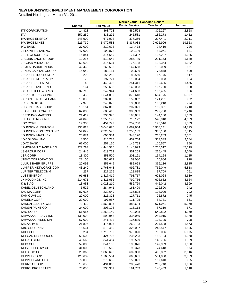|                           |               |                   | <b>Market Value - Canadian Dollars</b> |           |         |
|---------------------------|---------------|-------------------|----------------------------------------|-----------|---------|
|                           | <b>Shares</b> | <b>Fair Value</b> | <b>Public Service</b>                  | Teachers' | Judges' |
| <b>ITT CORPORATION</b>    | 14,828        | 868,723           | 489,598                                | 376,267   | 2,858   |
| <b>ITV</b>                | 359,259       | 433,292           | 245,581                                | 186,278   | 1,432   |
| <b>IVANHOE ENERGY</b>     | 248,900       | 677,008           | 377,356                                | 297,441   | 2,211   |
| <b>IVANHOE MINES</b>      | 225,730       | 5,979,588         | 3,337,038                              | 2,622,996 | 19,553  |
| <b>IYO BANK</b>           | 27,000        | 219,623           | 124,478                                | 94,419    | 726     |
| J FRONT RETAILING         | 47,000        | 190,878           | 108,186                                | 82,061    | 631     |
| <b>JABIL CIRCUIT INC</b>  | 15,841        | 314,659           | 177,337                                | 136,287   | 1,035   |
| JACOBS ENGR GROUP         | 10,215        | 510,642           | 287,789                                | 221,173   | 1,680   |
| JAGUAR MINING INC         | 62,600        | 315,504           | 176,108                                |           |         |
|                           |               |                   |                                        | 138,364   | 1,032   |
| JAMES HARDIE INDUS        | 42,462        | 260,538           | 147,668                                | 112,009   | 861     |
| JANUS CAPITAL GROUP       | 15,040        | 182,114           | 102,636                                | 78,878    | 599     |
| JAPAN PETROLEUM EX        | 3,200         | 156,252           | 88,560                                 | 67,175    | 517     |
| <b>JAPAN PRIME REALTY</b> | 75            | 197,721           | 112,064                                | 85,003    | 654     |
| <b>JAPAN REAL ESTATE</b>  | 48            | 443,402           | 251,311                                | 190,625   | 1,466   |
| JAPAN RETAIL FUND         | 164           | 250,632           | 142,053                                | 107,750   | 828     |
| JAPAN STEEL WORKS         | 32,710        | 249,944           | 141,663                                | 107,455   | 826     |
| JAPAN TOBACCO INC         | 438           | 1,544,899         | 875,618                                | 664,175   | 5,107   |
| JARDINE CYCLE & CARR      | 10,000        | 282,036           | 159,852                                | 121,251   | 932     |
| <b>JC DECAUX SA</b>       | 7,370         | 240,072           | 136,068                                | 103,210   | 794     |
| JDS UNIPHASE CORP         | 18,164        | 367,863           | 207,321                                | 159,331   | 1,210   |
| <b>JEAN COUTU GROUP</b>   | 67,000        | 685,410           | 383,383                                | 299,780   | 2,246   |
| JERONIMO MARTINS          | 21,417        | 335,370           | 190,081                                | 144,180   | 1,109   |
| JFE HOLDINGS INC          | 44,040        | 1,258,199         | 713,122                                | 540,918   | 4,159   |
| <b>JGC CORP</b>           | 19,900        | 454,779           | 257,760                                | 195,516   | 1,503   |
| JOHNSON & JOHNSON         | 236,823       | 13,640,670        | 7,687,654                              | 5,908,141 | 44,875  |
| JOHNSON CONTROLS INC      | 54,827        | 2,223,598         | 1,253,183                              | 963,100   | 7,315   |
| <b>JOHNSON MATTHEY</b>    | 20,874        | 605,384           | 343,120                                | 260,263   | 2,001   |
| <b>JOY GLOBAL INC</b>     | 8,500         | 815,787           | 459,764                                | 353,339   | 2,684   |
| JOYO BANK                 | 67,000        | 257,160           | 145,753                                | 110,557   | 850     |
| JPMORGAN CHASE & CO       | 322,283       | 14,444,536        | 8,140,699                              | 6,256,317 | 47,519  |
| <b>JS GROUP CORP</b>      | 24,445        | 619,763           | 351,269                                | 266,445   | 2,049   |
| JSR CORP                  | 18,300        | 358,500           | 203,191                                | 154,124   | 1,185   |
| <b>JTEKT CORPORATION</b>  | 22,100        | 280,673           | 159,080                                | 120,666   | 928     |
| <b>JULIUS BAER GRUPPE</b> | 20,092        | 851,649           | 482,698                                | 366,136   | 2,815   |
| JUNIPER NETWORKS COM      | 43,240        | 1,768,648         | 996,781                                | 766,049   | 5,818   |
| JUPITER TELECOMM          | 237           | 227,275           | 128,815                                | 97,709    | 751     |
| <b>JUST ENERGY</b>        | 91,683        | 1,417,419         | 791,717                                | 621,064   | 4,639   |
| JX HOLDINGS INC           | 214,671       | 1,411,052         | 799,756                                | 606,632   | 4,664   |
| K & S AG                  | 13,958        | 1,028,210         | 582,769                                | 442,042   | 3,399   |
| KABEL DEUTSCHLAND         | 5,522         | 284,941           | 161,499                                | 122,500   | 942     |
| <b>KAJIMA CORP</b>        | 87,627        | 239,649           | 135,828                                | 103,029   | 792     |
| KAMIGUMI CO               | 27,000        | 225,328           | 127,711                                | 96,872    | 745     |
| KANEKA CORP               | 29,000        | 197,087           | 111,705                                | 84,731    | 651     |
| KANSAI ELEC POWER         | 73,430        | 1,560,895         | 884,684                                | 671,051   | 5,160   |
| KANSAI PAINT CO           | 24,000        | 203,108           | 115,118                                | 87,319    | 671     |
| KAO CORP                  | 51,657        | 1,258,140         | 713,088                                | 540,892   | 4,159   |
| KAWASAKI HEAVY IND        | 138,023       | 592,945           | 336,069                                | 254,915   | 1,960   |
| KAWASAKI KISEN KAI        | 67,000        | 241,432           | 136,839                                | 103,795   | 798     |
| KAZAKHMYS                 | 21,895        | 475,905           | 269,733                                | 204,598   | 1,573   |
| <b>KBC GROEP NV</b>       | 15,661        | 573,480           | 325,037                                | 246,547   | 1,896   |
| <b>KDDI CORP</b>          | 284           | 1,716,750         | 973,020                                | 738,056   | 5,675   |
|                           |               | 424,705           |                                        |           |         |
| <b>KEEGAN RESOURCES</b>   | 50,500        |                   | 235,223                                | 188,104   | 1,378   |
| <b>KEIKYU CORP</b>        | 48,565        | 341,454           | 193,529                                | 146,796   | 1,129   |
| <b>KEIO CORP</b>          | 59,000        | 344,183           | 195,076                                | 147,969   | 1,138   |
| KEISEI ELEC RY CO         | 31,000        | 173,565           | 98,373                                 | 74,618    | 574     |
| KELLOGG CO                | 20,365        | 1,068,698         | 602,300                                | 462,882   | 3,516   |
| <b>KEPPEL CORP</b>        | 123,639       | 1,165,534         | 660,601                                | 501,080   | 3,853   |
| KEPPEL LAND LTD           | 79,000        | 273,635           | 155,091                                | 117,640   | 905     |
| <b>KERRY GROUP</b>        | 13,653        | 494,862           | 280,478                                | 212,748   | 1,636   |
| <b>KERRY PROPERTIES</b>   | 70,000        | 338,331           | 191,759                                | 145,453   | 1,118   |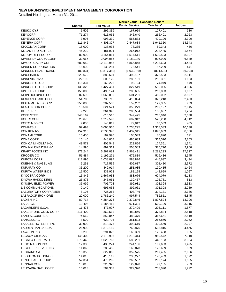|                            |               |                   | <b>Market Value - Canadian Dollars</b> |            |         |
|----------------------------|---------------|-------------------|----------------------------------------|------------|---------|
|                            | <b>Shares</b> | <b>Fair Value</b> | <b>Public Service</b>                  | Teachers'  | Judges' |
| <b>KESKO OYJ</b>           | 6,506         | 296,339           | 167,959                                | 127,401    | 980     |
| <b>KEYCORP</b>             | 71,274        | 615,065           | 346,640                                | 266,401    | 2,023   |
| <b>KEYENCE CORP</b>        | 3,995         | 998,330           | 565,833                                | 429,196    | 3,300   |
| <b>KEYERA CORP</b>         | 111,846       | 4,403,377         | 2,447,684                              | 1,941,350  | 14,343  |
| KIKKOMAN CORP              | 15,000        | 138,035           | 78,235                                 | 59,343     | 456     |
| <b>KILLAM PROPERTIES</b>   | 46,220        | 481,921           | 266,912                                | 213,445    | 1,564   |
| <b>KILROY RLTY CORP</b>    | 82,900        | 3,154,011         | 1,514,511                              | 1,630,593  | 8,907   |
| KIMBERLY CLARK CORP        | 32,667        | 2,094,066         | 1,180,180                              | 906,996    | 6,889   |
| KIMCO REALTY CORP          | 680,059       | 12,113,955        | 5,865,848                              | 6,213,623  | 34,484  |
| KINDEN CORPORATION         | 15,000        | 133,281           | 75,541                                 | 57,299     | 441     |
| KINDRED HEALTHCARE         | (80, 831)     | (1,877,382)       | (1,039,788)                            | (831, 501) | (6,094) |
| <b>KINGFISHER</b>          | 229,672       | 880,601           | 499,107                                | 378,583    | 2,911   |
| KINNEVIK INV AB            | 22,199        | 503,125           | 285,161                                | 216,301    | 1,663   |
| <b>KINROSS GOLD</b>        | 118,337       | 169,222           | 93,724                                 | 74,949     | 549     |
| KINROSS GOLD CORP          | 133,322       | 1,427,461         | 827,519                                | 595,085    | 4,856   |
| <b>KINTETSU CORP</b>       | 158,003       | 495,174           | 280,655                                | 212,883    | 1,637   |
| KIRIN HOLDINGS CO          | 82,693        | 1,060,890         | 601,291                                | 456,092    | 3,507   |
| KIRKLAND LAKE GOLD         | 54,700        | 735,715           | 410,094                                | 323,218    | 2,403   |
| <b>KISKA METALS CORP</b>   | 250,000       | 287,500           | 159,232                                | 127,335    | 933     |
| <b>KLA-TENCOR CORP</b>     | 13,507        | 621,521           | 350,279                                | 269,197    | 2,045   |
| KLEPIERRE                  | 9,220         | 364,346           | 206,504                                | 156,637    | 1,204   |
| <b>KOBE STEEL</b>          | 243,167       | 616,510           | 349,425                                | 265,046    | 2,038   |
| KOHLS CORP                 | 23,670        | 1,219,593         | 687,342                                | 528,238    | 4,012   |
| KOITO MFG CO               | 9,000         | 140,817           | 79,812                                 | 60,539     | 465     |
| <b>KOMATSU</b>             | 92,493        | 3,066,966         | 1,738,295                              | 1,318,533  | 10,138  |
| KON KPN NV                 | 152,916       | 2,536,990         | 1,437,915                              | 1,090,689  | 8,386   |
| <b>KONAMI CORP</b>         | 10,400        | 187,990           | 106,549                                | 80,820     | 621     |
| <b>KONE CORP</b>           | 15,140        | 848,007           | 480,633                                | 364,570    | 2,803   |
| KONICA MINOLTA HOL         | 49,571        | 405,548           | 229,856                                | 174,351    | 1,341   |
| KONINKLIJKE DSM NV         | 14,995        | 897,319           | 508,583                                | 385,770    | 2,966   |
| <b>KRAFT FOODS INC</b>     | 171,244       | 5,267,032         | 2,968,411                              | 2,281,293  | 17,327  |
| <b>KROGER CO</b>           | 51,484        | 1,199,271         | 675,889                                | 519,436    | 3,945   |
| KUBOTA CORP                | 112,895       | 1,038,897         | 588,826                                | 446,637    | 3,434   |
| KUEHNE & NAGEL AG          | 5,251         | 717,539           | 406,687                                | 308,480    | 2,372   |
| <b>KURARAY CO</b>          | 35,200        | 442,914           | 251,035                                | 190,415    | 1,464   |
| KURITA WATER INDS          | 11,500        | 331,923           | 188,128                                | 142,699    | 1,097   |
| <b>KYOCERA CORP</b>        | 15,846        | 1,567,938         | 888,676                                | 674,079    | 5,183   |
| KYOWA HAKKO KIRIN          | 26,875        | 246,051           | 139,457                                | 105,781    | 813     |
| KYUSHU ELEC POWER          | 36,999        | 705,708           | 399,981                                | 303,394    | 2,333   |
| L-3 COMMUNICATIONS         | 9,140         | 695,658           | 392,061                                | 301,308    | 2,289   |
| LABORATORY CORP AMER       | 8,105         | 725,263           | 408,746                                | 314,131    | 2,386   |
| <b>LABRADOR IRON ORE</b>   | 22,000        | 1,786,240         | 997,544                                | 782,851    | 5,845   |
| <b>LADISH INC</b>          | 80,714        | 4,284,276         | 2,372,846                              | 1,897,524  | 13,906  |
| LAFARGE                    | 19,498        | 1,184,412         | 671,301                                | 509,196    | 3,915   |
| LAGARDERE S.C.A.           | 11,476        | 477,097           | 270,409                                | 205,111    | 1,577   |
| LAKE SHORE GOLD CORP       | 211,400       | 862,512           | 480,860                                | 378,834    | 2,818   |
| <b>LAND SECURITIES</b>     | 74,569        | 852,847           | 483,376                                | 366,651    | 2,819   |
| <b>LANXESS AG</b>          | 8,509         | 620,704           | 351,803                                | 266,850    | 2,052   |
| <b>LASALLE HOTEL PPTYS</b> | 30,900        | 813,475           | 390,619                                | 420,559    | 2,297   |
| LAURENTIAN BK CDA          | 26,900        | 1,372,169         | 763,876                                | 603,816    | 4,476   |
| <b>LAWSON INC</b>          | 6,200         | 291,822           | 165,399                                | 125,458    | 965     |
| LEGACY OIL+GAS             | 148,400       | 2,179,996         | 1,213,314                              | 959,572    | 7,110   |
| LEGAL & GENERAL GP         | 570,445       | 1,023,768         | 580,251                                | 440,133    | 3,384   |
| <b>LEGG MASON INC</b>      | 12,336        | 433,274           | 244,186                                | 187,663    | 1,425   |
| LEGGETT & PLATT INC        | 11,865        | 285,456           | 160,878                                | 123,639    | 939     |
| <b>LEGRAND SA</b>          | 15,353        | 622,066           | 352,575                                | 267,435    | 2,056   |
| LEIGHTON HOLDINGS          | 14,018        | 415,112           | 235,277                                | 178,463    | 1,372   |
| LEND LEASE GROUP           | 52,354        | 470,265           | 266,537                                | 202,174    | 1,555   |
| <b>LENNAR CORP</b>         | 13,015        | 228,928           | 129,020                                | 99,155     | 753     |
| LEUCADIA NATL CORP         | 16,013        | 584,332           | 329,320                                | 253,090    | 1,922   |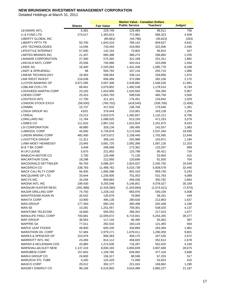|                                      |                   |                       | <b>Market Value - Canadian Dollars</b> |                     |                |
|--------------------------------------|-------------------|-----------------------|----------------------------------------|---------------------|----------------|
|                                      | <b>Shares</b>     | <b>Fair Value</b>     | <b>Public Service</b>                  | Teachers'           | Judges'        |
| <b>LEXMARK INTL</b>                  | 6,381             | 229,749               | 129,483                                | 99,511              | 756            |
| LI & FUNG LTD                        | 274,017           | 1,363,813             | 772,982                                | 586,323             | 4,508          |
| LIBERTY GLOBAL INC                   |                   | (80, 881)             | (44, 796)                              | (35, 823)           | (263)          |
| <b>LIBERTY PPTY TR</b>               | 50,700            | 1,643,410             | 789,142                                | 849,627             | 4,641          |
| LIFE TECHNOLOGIES                    | 14,594            | 743,444               | 418,993                                | 322,006             | 2,446          |
| LIFESTYLE INTERNAT                   | 57,000            | 132,154               | 74,902                                 | 56,815              | 437            |
| <b>LIMITED BRANDS INC</b>            | 21,437            | 685,388               | 386,274                                | 296,860             | 2,255          |
| LINAMAR CORPORATION                  | 27,300            | 574,392               | 321,199                                | 251,311             | 1,882          |
| LINCOLN NATL CORP                    | 25,536            | 745,966               | 420,414                                | 323,098             | 2,454          |
| <b>LINDE AG</b>                      | 16,440            | 2,525,564             | 1,431,439                              | 1,085,776           | 8,349          |
| <b>LINDT &amp; SPRUENGLI</b>         | 98                | 594,792               | 337,116                                | 255,710             | 1,966          |
| LINEAR TECHNOLOGY                    | 18,363            | 599,954               | 338,124                                | 259,856             | 1,974          |
| LINK R/EST INVEST                    | 216,038           | 656,494               | 372,088                                | 282,236             | 2,170          |
| LLOYDS BANKING GP                    | 3,971,585         | 3,597,308             | 2,038,882                              | 1,546,535           | 11,891         |
| LOBLAW COS LTD                       | 68,941            | 2,679,802             | 1,492,538                              | 1,178,514           | 8,749          |
| LOCKHEED MARTIN CORP                 | 23,183            | 1,810,900             | 1,020,593                              | 784,350             | 5,957          |
| <b>LOEWS CORP</b>                    | 25,410            | 1,063,793             | 599,536                                | 460,758             | 3,500          |
| <b>LOGITECH INTL</b>                 | 17,700            | 311,321               | 176,451                                | 133,842             | 1,029          |
| LONDON STOCK EXCH                    | (58, 500)         | (760, 702)            | (418, 545)                             | (339,700)           | (2, 456)       |
| <b>LONMIN</b>                        | 15,737            | 417,632               | 236,706                                | 179,546             | 1,381          |
| LONZA GROUP AG                       | 4,631             | 379,444               | 215,061                                | 163,128             | 1,254          |
| <b>L'OREAL</b>                       | 23,212            | 2,633,575             | 1,492,657                              | 1,132,212           | 8,706          |
| LORILLARD INC                        | 11,784            | 1,088,025             | 613,193                                | 471,253             | 3,579          |
| LOWES CO                             | 111,632           | 2,867,232             | 1,615,924                              | 1,241,875           | 9,433          |
| <b>LSI CORPORATION</b>               | 49,880            | 329,134               | 185,495                                | 142,557             | 1,083          |
| <b>LUBRIZOL CORP</b>                 | 44,000            | 5,728,878             | 3,172,939                              | 2,537,344           | 18,595         |
| <b>LUNDIN MINING CORP</b>            | 482,400           | 3,873,672             | 2,158,440                              | 1,702,585           | 12,648         |
| LUXOTTICA GROUP                      | 11,311            | 358,142               | 202,988                                | 153,971             | 1,184          |
| LVMH MOET HENNESSY                   | 23,945            | 3,691,725             | 2,092,396                              | 1,587,126           | 12,203         |
| M & T BK CORP                        | 3,449             | 296,568               | 172,362                                | 123,207             | 999            |
| M UFJ LEASE                          | 5,670             | 221,953               | 125,798                                | 95,421              | 734            |
| <b>MABUCHI MOTOR CO</b>              | 2,700             | 125,499               | 71,130                                 | 53,954              | 415            |
| <b>MACARTHUR COAL</b>                | 18,298            | 212,950               | 120,696                                | 91,550              | 704            |
| MACDONALD DETTWILER                  | 94,700            | 5,086,337             | 2,824,037                              | 2,245,750           | 16,549         |
| <b>MACERICH CO</b>                   | 238,783           | 11,488,762            | 5,516,739                              | 5,939,578           | 32,445         |
| <b>MACK CALI RLTY CORP</b>           | 56,400            | 1,856,398             | 891,416                                | 959,740             | 5,243          |
| <b>MACQUARIE GP LTD</b>              | 33,644            | 1,236,905             | 701,053                                | 531,763             | 4,089          |
| <b>MACYS INC</b>                     | 34,294            | 809,883               | 456,436                                | 350,782             | 2,664          |
| <b>MAGNA INTL INC</b>                | 199,430           | 9,255,546             | 5,146,851                              | 4,078,527           | 30,169         |
| MAGNUM HUNTER RESC                   | (291, 986)        | (2,426,080)           | (1,343,684)                            | (1,074,521)         | (7, 874)       |
| <b>MAJOR DRILLING GRP</b>            | 74,750            | 1,228,143             | 683,976                                | 540,159             | 4,008          |
| MAKHTESHIM AGAN IN                   | 26,542            | 135,679               | 76,900                                 | 58,331              | 449            |
| MAKITA CORP                          | 10,900            | 495,130               | 280,630                                | 212,863             | 1,637          |
| <b>MAN GROUP</b>                     | 177,393           | 680,154               | 385,498                                | 292,408             |                |
| <b>MAN SE</b>                        | 10,281            | 1,251,457             | 709,301                                | 538,020             | 2,248<br>4,137 |
| <b>MANITOBA TELECOM</b>              | 16,600            | 505,553               | 286,352                                | 217,524             | 1,677          |
| <b>MANULIFE FINCL CORP</b>           |                   |                       |                                        |                     |                |
| MAP GROUP                            | 700,681<br>38,563 | 12,009,672<br>117,144 | 6,715,941<br>66,395                    | 5,254,355<br>50,362 | 39,377<br>387  |
|                                      |                   | 282,533               |                                        |                     |                |
| <b>MAPFRE SA</b><br>MAPLE LEAF FOODS | 77,011            |                       | 160,134                                | 121,465             | 934            |
| <b>MARATHON OIL CORP</b>             | 48,800            | 600,240               | 334,894                                | 263,384             | 1,962          |
|                                      | 57,484            | 2,979,171             | 1,679,011                              | 1,290,359           | 9,801          |
| <b>MARKS &amp; SPENCER GP</b>        | 153,979           | 808,383               | 458,175                                | 347,535             | 2,672          |
| <b>MARRIOTT INTL INC</b>             | 23,493            | 814,112               | 458,820                                | 352,614             | 2,678          |
| <b>MARSH &amp; MCLENNAN COS</b>      | 43,980            | 1,274,500             | 718,287                                | 552,020             | 4,193          |
| MARSHALL&ILSLEY NEW                  | 1,137,224         | 8,830,183             | 4,893,839                              | 3,907,668           | 28,675         |
| <b>MARUBENI CORP</b>                 | 157,842           | 1,109,765             | 628,992                                | 477,104             | 3,668          |
| MARUI GROUP CO                       | 24,800            | 156,317               | 88,598                                 | 67,203              | 517            |
| <b>MARUICHI STL TUBE</b>             | 5,200             | 125,429               | 71,090                                 | 53,924              | 415            |
| MASCO CORP                           | 29,012            | 392,177               | 221,024                                | 169,862             | 1,290          |
| MASSEY ENERGY CO                     | 98,158            | 6,519,903             | 3,616,489                              | 2,882,227           | 21,187         |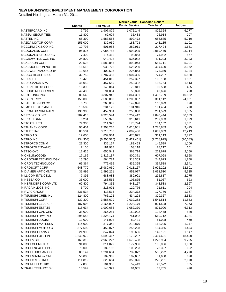|                            |               |                   | <b>Market Value - Canadian Dollars</b> |             |           |
|----------------------------|---------------|-------------------|----------------------------------------|-------------|-----------|
|                            | <b>Shares</b> | <b>Fair Value</b> | <b>Public Service</b>                  | Teachers'   | Judges'   |
| <b>MASTERCARD INC</b>      | 7,799         | 1,907,879         | 1,075,249                              | 826,354     | 6,277     |
| <b>MATSUI SECURITIES</b>   | 11,800        | 62,604            | 35,483                                 | 26,914      | 207       |
| <b>MATTEL INC</b>          | 65,390        | 1,583,566         | 892,472                                | 685,885     | 5,210     |
| <b>MAZDA MOTOR CORP</b>    | 155,000       | 332,939           | 188,703                                | 143,135     | 1,101     |
| MCCORMICK & CO INC         | 10,793        | 501,986           | 282,911                                | 217,424     | 1,651     |
| MCDONALDS CORP             | 95,827        | 7,086,788         | 3,993,995                              | 3,069,479   | 23,314    |
| MCDONALD'S HOLDING         | 7,400         | 174,412           | 98,853                                 | 74,982      | 577       |
| MCGRAW HILL COS INC        | 24,809        | 949,428           | 535,082                                | 411,223     | 3,123     |
| <b>MCKESSON CORP</b>       | 20,528        | 1,580,855         | 890,943                                | 684,711     | 5,201     |
| <b>MEAD JOHNSON NUTRIT</b> | 16,518        | 933,722           | 526,230                                | 404,420     | 3,072     |
| MEADWESTVACO CORP          | 13,657        | 402,536           | 226,863                                | 174,349     | 1,324     |
| MEDCO HEALTH SOL           | 32,752        | 1,787,483         | 1,007,395                              | 774,207     | 5,880     |
| <b>MEDIASET</b>            | 73,423        | 454,016           | 257,327                                | 195,188     | 1,501     |
| <b>MEDIOBANCA SPA</b>      | 46,052        | 457,659           | 259,392                                | 196,754     | 1,513     |
|                            |               |                   |                                        |             |           |
| MEDIPAL HLDG CORP          | 16,300        | 140,814           | 79,811                                 | 60,538      | 465       |
| <b>MEDORO RESOURCES</b>    | 49,400        | 91,884            | 50,890                                 | 40,696      | 298       |
| <b>MEDTRONIC INC</b>       | 86,548        | 3,307,942         | 1,864,301                              | 1,432,759   | 10,882    |
| <b>MEG ENERGY</b>          | 155,000       | 7,588,800         | 4,203,057                              | 3,361,112   | 24,631    |
| <b>MEIJI HOLDINGS CO</b>   | 6,700         | 263,059           | 149,096                                | 113,093     | 870       |
| <b>MEMC ELECTR MATLS</b>   | 18,589        | 234,120           | 131,946                                | 101,404     | 770       |
| <b>MERCATOR MINERALS</b>   | 136,900       | 459,984           | 256,880                                | 201,599     | 1,505     |
| <b>MERCK &amp; CO INC</b>  | 287,418       | 9,328,544         | 5,257,412                              | 4,040,444   | 30,689    |
| <b>MERCK KGAA</b>          | 6,284         | 553,373           | 313,641                                | 237,903     | 1,829     |
| <b>METCASH LTD</b>         | 74,905        | 311,927           | 176,794                                | 134,102     | 1,031     |
| <b>METHANEX CORP</b>       | 96,454        | 2,903,265         | 1,616,901                              | 1,276,889   | 9,475     |
| <b>METLIFE INC</b>         | 85,531        | 3,713,758         | 2,092,486                              | 1,609,053   | 12,219    |
| <b>METRO AG</b>            | 12,606        | 839,964           | 476,075                                | 361,113     | 2,777     |
| <b>METRO INC</b>           | (134, 304)    | (6, 206, 520)     | (3,427,461)                            | (2,758,975) | (20, 083) |
| <b>METROPCS COMM</b>       | 21,300        | 336,157           | 189,453                                | 145,599     | 1,106     |
| METROPOLE TV-(M6)          | 7,156         | 181,937           | 103,118                                | 78,217      | 601       |
| <b>METSO OYJ</b>           | 12,426        | 650,542           | 368,714                                | 279,678     | 2,150     |
| MICHELIN(CGDE)             | 17,166        | 1,412,137         | 800,371                                | 607,098     | 4,668     |
| MICROCHIP TECHNOLOGY       | 15,290        | 564,784           | 318,303                                | 244,623     | 1,858     |
| <b>MICRON TECHNOLOGY</b>   | 69,364        | 772,495           | 435,365                                | 334,588     | 2,541     |
| MICROSOFT CORP             | 648,779       | 15,989,060        | 9,011,167                              | 6,925,292   | 52,601    |
| MID-AMER APT CMNTYS        | 31,995        | 1,995,221         | 958,077                                | 1,031,510   | 5,635     |
| <b>MILLICOM INTL CELL</b>  | 7,395         | 688,083           | 389,991                                | 295,817     | 2,275     |
| <b>MINEBEA CO</b>          | 35,000        | 188,566           | 106,875                                | 81,067      | 623       |
| MINEFINDERS CORP LTD       | 62,400        | 794,352           | 443,167                                | 348,588     | 2,597     |
| MIRACA HLDGS INC           | 5,700         | 213,091           | 120,776                                | 91,611      | 704       |
| <b>MIRVAC GROUP</b>        | 331,534       | 413,515           | 234,372                                | 177,776     | 1,367     |
| MITSUBISHI CHEM HL         | 124,800       | 766,122           | 434,223                                | 329,367     | 2,533     |
| <b>MITSUBISHI CORP</b>     | 132,300       | 3,585,629         | 2,032,263                              | 1,541,514   | 11,853    |
| MITSUBISHI ELEC CP         | 187,998       | 2,166,937         | 1,228,176                              | 931,598     | 7,163     |
| <b>MITSUBISHI ESTATE</b>   | 115,634       | 1,909,683         | 1,082,370                              | 821,000     | 6,313     |
| MITSUBISHI GAS CHM         | 38,000        | 266,281           | 150,922                                | 114,478     | 880       |
| MITSUBISHI HVY IND         | 295,548       | 1,325,174         | 751,082                                | 569,712     | 4,381     |
| MITSUBISHI LOGISTI         | 13,000        | 141,908           | 80,431                                 | 61,008      | 469       |
| <b>MITSUBISHI MATERLS</b>  | 114,000       | 377,342           | 213,870                                | 162,225     | 1,247     |
| MITSUBISHI MOTOR C         | 377,599       | 452,077           | 256,228                                | 194,355     | 1,494     |
| MITSUBISHI TANABE          | 21,900        | 347,024           | 196,686                                | 149,191     | 1,147     |
| MITSUBISHI UFJ FIN         | 1,240,979     | 5,593,417         | 3,170,237                              | 2,404,691   | 18,490    |
| <b>MITSUI &amp; CO</b>     | 169,319       | 2,963,227         | 1,679,498                              | 1,273,934   | 9,795     |
| <b>MITSUI CHEMICALS</b>    |               |                   |                                        |             |           |
|                            | 91,000        | 314,029           | 177,986                                | 135,006     | 1,038     |
| MITSUI ENG&SHIPBG          | 78,000        | 182,192           | 103,263                                | 78,327      | 602       |
| MITSUI FUDOSAN CO          | 80,147        | 1,291,634         | 732,072                                | 555,292     | 4,270     |
| MITSUI MINING & SM         | 56,000        | 189,962           | 107,667                                | 81,668      | 628       |
| MITSUI O.S.K.LINES         | 111,819       | 628,684           | 356,326                                | 270,281     | 2,078     |
| MITSUMI ELECTRIC           | 7,800         | 101,350           | 57,443                                 | 43,572      | 335       |
| MIZRAHI TEFAHOT BK         | 13,592        | 148,321           | 84,065                                 | 63,765      | 490       |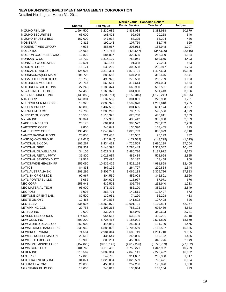|                               |               |                   | <b>Market Value - Canadian Dollars</b> |               |           |
|-------------------------------|---------------|-------------------|----------------------------------------|---------------|-----------|
|                               | <b>Shares</b> | <b>Fair Value</b> | <b>Public Service</b>                  | Teachers'     | Judges'   |
| <b>MIZUHO FINL GP</b>         | 1,994,500     | 3,230,686         | 1,831,088                              | 1,388,918     | 10,679    |
| MIZUHO SECURITIES             | 63,000        | 163,423           | 92,625                                 | 70,258        | 540       |
| <b>MIZUHO TRUST &amp; BKG</b> | 167,000       | 147,014           | 83,325                                 | 63,204        | 486       |
| <b>MOBISTAR</b>               | 2,816         | 190,143           | 107,769                                | 81,745        | 629       |
| MODERN TIMES GROUP            | 4,935         | 365,067           | 206,913                                | 156,948       | 1,207     |
| MOLEX INC                     | 14,668        | (778, 763)        | (428, 647)                             | (347,600)     | (2,516)   |
| <b>MOLSON COORS BREWING</b>   | 12,829        | 584,837           | 329,605                                | 253,309       | 1,924     |
| <b>MONSANTO CO</b>            | 18,739        | 1,315,109         | 758,051                                | 552,655       | 4,403     |
| <b>MONSTER WORLDWIDE</b>      | 10,501        | 162,155           | 91,388                                 | 70,234        | 533       |
| MOODYS CORP                   | 16,171        | 533,209           | 300,508                                | 230,947       | 1,754     |
| <b>MORGAN STANLEY</b>         | 125,024       | 3,319,334         | 1,870,721                              | 1,437,693     | 10,920    |
| MORRISON(W)SUPMART            | 206,728       | 889,653           | 504,238                                | 382,475       | 2,941     |
| <b>MOSAID TECHNOLOGIES</b>    | 15,750        | 493,920           | 273,558                                | 218,759       | 1,603     |
| <b>MOTOROLA MOBILITY</b>      | 23,767        | 563,561           | 317,614                                | 244,094       | 1,854     |
| MOTOROLA SOLUTIONS            | 27,248        | 1,183,374         | 666,930                                | 512,551       | 3,893     |
| MS&AD INS GP HLDGS            | 52,466        | 1,166,379         | 661,080                                | 501,443       | 3,856     |
| MSC INDL DIRECT INC           | (139, 850)    | (9,302,781)       | (5, 152, 346)                          | (4, 120, 241) | (30, 195) |
| <b>MTR CORP</b>               | 148,394       | 532,589           | 301,861                                | 228,968       | 1,761     |
| MUENCHENER RUECKVE            | 18,326        | 2,808,973         | 1,592,070                              | 1,207,618     | 9,285     |
| <b>MULLEN GROUP</b>           | 66,800        | 1,437,536         | 801,665                                | 631,174       | 4,697     |
| <b>MURATA MFG CO</b>          | 19,703        | 1,385,290         | 785,155                                | 595,556       | 4,579     |
| MURPHY OIL CORP               | 15,566        | 1,110,325         | 625,760                                | 480,911       | 3,653     |
| <b>MYLAN INC</b>              | 35,341        | 777,900           | 438,412                                | 336,930       | 2,559     |
| NABORS INDS LTD               | 23,170        | 684,054           | 385,522                                | 296,282       | 2,250     |
| NABTESCO CORP                 | 9,800         | 240,641           | 136,390                                | 103,455       | 795       |
| <b>NAL ENERGY CORP</b>        | 138,400       | 1,840,673         | 1,025,739                              | 808,923       | 6,010     |
| NAMCO BANDAI HLDGS            | 20,800        | 221,438           | 125,507                                | 95,199        | 732       |
| NASDAQ OMX GROUP              | (12, 613)     | (316, 846)        | (172, 532)                             | (143, 299)    | (1,015)   |
| NATIONAL BK CDA               | 106,267       | 8,434,412         | 4,726,509                              | 3,680,199     | 27,704    |
| <b>NATIONAL GRID</b>          | 339,931       | 3,148,398         | 1,784,449                              | 1,353,542     | 10,407    |
| NATIONAL OILWELL VAR          | 34,106        | 2,627,342         | 1,480,726                              | 1,137,972     | 8,643     |
| NATIONAL RETAIL PPTY          | 39,800        | 1,011,034         | 485,484                                | 522,694       | 2,855     |
| NATIONAL SEMICONDUCT          | 19,514        | 273,496           | 154,137                                | 118,458       | 900       |
| NATIONWIDE HEALTH PP          | 255,050       | 10,536,426        | 5,522,154                              | 4,981,868     | 32,405    |
| <b>NATIXIS</b>                | 84,833        | 467,196           | 264,797                                | 200,854       | 1,544     |
| NATL AUSTRALIA BK             | 208,295       | 5,409,742         | 3,066,133                              | 2,325,726     | 17,883    |
| <b>NATL BK OF GREECE</b>      | 92,967        | 804,559           | 456,008                                | 345,891       | 2,660     |
| NATL PORTEFEUILLE             | 3,052         | 204,625           | 115,977                                | 87,971        | 676       |
| <b>NEC CORP</b>               | 253,941       | 539,502           | 305,779                                | 231,940       | 1,783     |
| NEO MATERIAL TECH             | 93,900        | 871,392           | 486,190                                | 382,353       | 2,849     |
| <b>NEOPOST</b>                | 3,093         | 263,791           | 149,511                                | 113,407       | 872       |
| NEPTUNE ORIENT LNS            | 87,500        | 130,951           | 74,220                                 | 56,298        | 433       |
| NESTE OIL OYJ                 | 12,466        | 249,836           | 141,602                                | 107,408       | 826       |
| <b>NESTLE SA</b>              | 336,926       | 18,863,972        | 10,691,721                             | 8,109,894     | 62,357    |
| NETAPP INC COM                | 29,756        | 1,393,215         | 785,193                                | 603,439       | 4,583     |
| NETFLIX INC                   | 3,600         | 830,294           | 467,940                                | 359,623       | 2,731     |
| <b>NEVSUN RESOURCES</b>       | 174,500       | 954,515           | 532,106                                | 419,291       | 3,118     |
| NEW GOLD INC                  | 503,200       | 5,726,416         | 3,185,921                              | 2,521,826     | 18,669    |
| NEW WORLD DEVEL CO            | 260,000       | 446,089           | 252,834                                | 191,780       | 1,475     |
| NEWALLIANCE BANCSHRS          | 338,960       | 4,885,022         | 2,705,569                              | 2,163,597     | 15,856    |
| <b>NEWCREST MINING</b>        | 74,564        | 2,981,314         | 1,689,749                              | 1,281,710     | 9,855     |
| NEWELL RUBBERMAID IN          | 23,512        | 436,644           | 246,085                                | 189,122       | 1,436     |
| NEWFIELD EXPL CO              | 10,900        | 805,251           | 453,826                                | 348,776       | 2,649     |
| NEWMONT MINING CORP           | (157, 826)    | (8,373,147)       | (4,617,296)                            | (3,728,769)   | (27,082)  |
| <b>NEWS CORP LTD</b>          | 184,769       | 3,110,482         | 1,752,271                              | 1,347,982     | 10,229    |
| <b>NEXEN INC</b>              | 210,567       | 5,089,314         | 2,846,141                              | 2,226,492     | 16,682    |
| NEXT PLC                      | 17,826        | 549,785           | 311,607                                | 236,360       | 1,817     |
| NEXTERA ENERGY INC            | 34,071        | 1,825,034         | 1,028,559                              | 790,471       | 6,004     |
| <b>NGK INSULATORS</b>         | 26,000        | 453,801           | 257,206                                | 195,096       | 1,500     |
| NGK SPARK PLUG CO             | 18,000        | 240,012           | 136,034                                | 103,184       | 793       |
|                               |               |                   |                                        |               |           |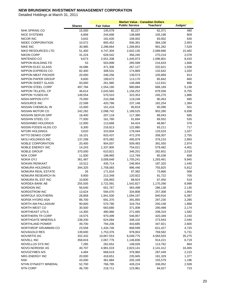|                           |                  |                    | <b>Market Value - Canadian Dollars</b> |                    |                |
|---------------------------|------------------|--------------------|----------------------------------------|--------------------|----------------|
|                           | <b>Shares</b>    | <b>Fair Value</b>  | <b>Public Service</b>                  | Teachers'          | Judges'        |
| NHK SPRING CO             | 15,000           | 145,078            | 82,227                                 | 62,371             | 480            |
| <b>NICE SYSTEMS</b>       | 6,858            | 244,696            | 138,689                                | 105,198            | 809            |
| <b>NICOR INC</b>          | 3,642            | 191,635            | 108,002                                | 83,002             | 630            |
| NIDEC CORPORATION         | 10,572           | 893,452            | 506,391                                | 384,108            | 2,953          |
| <b>NIKE INC</b>           | 30,985           | 2,288,664          | 1,289,853                              | 991,282            | 7,529          |
| NIKO RESOURCES LTD        | 51,400           | 4,747,304          | 2,642,135                              | 2,089,686          | 15,482         |
| <b>NIKON CORP</b>         | 31,224           | 628,542            | 356,245                                | 270,219            | 2,078          |
| NINTENDO CO               | 9,673            | 2,551,208          | 1,445,973                              | 1,096,801          | 8,433          |
| NIPPON BUILDING FD        | 53               | 503,898            | 285,599                                | 216,633            | 1,666          |
| NIPPON ELEC GLASS         | 34,086           | 471,306            | 267,127                                | 202,621            | 1,558          |
| NIPPON EXPRESS CO         | 82,400           | 308,531            | 174,869                                | 132,642            | 1,020          |
| NIPPON MEAT PACKER        | 20,000           | 246,256            | 139,573                                | 105,869            | 814            |
| NIPPON PAPER GROUP        | 9,600            | 199,672            | 113,170                                | 85,842             | 660            |
| <b>NIPPON SHEET GLASS</b> | 93,000           | 261,985            | 148,488                                | 112,631            | 866            |
| NIPPON STEEL CORP         | 497,784          | 1,554,190          | 880,884                                | 668,169            | 5,138          |
| NIPPON TEL&TEL CP         | 46,614           | 2,043,565          | 1,158,252                              | 878,558            | 6,755          |
| <b>NIPPON YUSEN KK</b>    | 149,554          | 570,510            | 323,353                                | 245,270            | 1,886          |
| NISHI-NIPPON CITY         | 75,000           | 210,398            | 119,249                                | 90,453             | 695            |
| NISOURCE INC              | 22,599           | 420,786            | 237,148                                | 182,254            | 1,384          |
| NISSAN CHEMICAL IN        | 15,000           | 151,416            | 85,819                                 | 65,096             | 501            |
| NISSAN MOTOR CO           | 242,282          | 2,098,742          | 1,189,525                              | 902,280            | 6,938          |
| NISSHIN SEIFUN GRP        | 18,400           | 207,118            | 117,390                                | 89,043             | 685            |
| NISSHIN STEEL CO          | 77,000           | 161,780            | 91,694                                 | 69,552             | 535            |
| NISSHINBO HOLDINGS        | 12,000           | 113,668            | 64,424                                 | 48,867             | 376            |
| NISSIN FOODS HLDG CO      | 6,300            | 216,813            | 122,885                                | 93,211             | 717            |
| NITORI HOLDINGS           | 3,620            | 310,604            | 176,044                                | 133,533            | 1,027          |
| NITTO DENKO CORP          | 16,101           | 833,437            | 472,376                                | 358,307            | 2,755          |
| NKSJ HOLDINGS INC         | 137,299          | 875,082            | 495,979                                | 376,210            | 2,893          |
| NOBLE CORPORATION         | 20,400           | 904,007            | 509,483                                | 391,550            | 2,974          |
| NOBLE ENERGY INC          | 14,243           | 1,337,905          | 754,021                                | 579,482            | 4,401          |
| <b>NOBLE GROUP</b>        | 370,000          | 610,821            | 346,201                                | 262,601            | 2,019          |
| <b>NOK CORP</b>           | 11,500           | 198,965            | 112,769                                | 85,538             | 658            |
| <b>NOKIA OYJ</b>          | 361,487          | 3,008,648          | 1,705,241                              | 1,293,461          | 9,945          |
| <b>NOKIAN RENKAAT</b>     | 10,512           | 435,714            | 246,954                                | 187,320            | 1,440          |
| NOMURA HOLDINGS           | 344,325          | 1,758,083          | 996,446                                | 755,825            | 5,812          |
| NOMURA REAL ESTATE        | 26               | 171,816            | 97,382                                 | 73,866             | 568            |
| NOMURA RESEARCH IN        | 9,900            | 213,348            | 120,922                                | 91,722             | 705            |
| NOMURA RL EST INC         | 10,600           | 156,893            | 88,924                                 | 67,450             | 519            |
| NORDEA BANK AB            | 255,505          | 2,722,091          | 1,542,827                              | 1,170,266          | 8,998          |
| <b>NORDION INC</b>        | 56,640           | 651,767            | 363,498                                | 286,138            | 2,130          |
| NORDSTROM INC             | 13,624           | 594,070            | 334,808                                | 257,308            | 1,954          |
| NORFOLK SOUTHERN          | 28,858           | 1,941,500          | 1,094,197                              | 840,916            | 6,387          |
| NORSK HYDRO ASA           | 86,700           | 691,370            | 391,855                                | 297,230            | 2,285          |
| NORTH AM PALLADIUM        | 90,600           | 570,780            | 318,754                                | 250,158            | 1,868          |
| NORTH WEST CO             | 30,500           | 663,680            | 371,008                                | 290,498            | 2,174          |
| NORTHEAST UTILS           | 14,300           | 480,966            | 271,065                                | 208,319            | 1,582          |
| NORTHERN TR CORP          | 19,575           | 970,499            | 546,957                                | 420,349            | 3,193          |
| NORTHGATE MINERALS        | 238,200          | 624,084            | 348,102                                | 273,943            | 2,040          |
| NORTHLAND POWER           | 49,700           | 794,206            | 443,685                                | 347,921            | 2,600          |
| NORTHROP GRUMMAN CO       | 23,558           | 1,434,746          | 808,599                                | 621,427            | 4,720          |
| NOVAGOLD RES              | 139,600          | 1,753,376          | 978,063                                | 769,582            | 5,731          |
| NOVARTIS AG               | 202,432          | 10,667,553         | 6,048,775                              | 4,583,503          | 35,275         |
| <b>NOVELL INC</b>         | 358,816          | 2,067,776          | 1,146,836                              | 914,221            | 6,719          |
| NOVELLUS SYS INC          | 7,285            | 262,652            | 148,026                                | 113,762            | 864            |
| NOVO-NORDISK AS           | 40,707           | 4,981,019          | 2,823,141                              | 2,141,412          | 16,465         |
| NOVOZYMES A/S             | 4,484            | 668,619            | 378,960                                | 287,449            | 2,210          |
| NRG ENERGY INC            | 20,000           | 418,651            | 235,945                                | 181,329            | 1,377          |
| <b>NSK</b>                |                  |                    |                                        |                    |                |
| NTHN DYNASTY MINERAL      | 43,000<br>52,700 | 361,884<br>766,785 | 205,109<br>428,224                     | 155,579<br>336,052 | 1,196<br>2,509 |
| <b>NTN CORP</b>           | 46,700           | 218,711            | 123,961                                | 94,027             | 723            |
|                           |                  |                    |                                        |                    |                |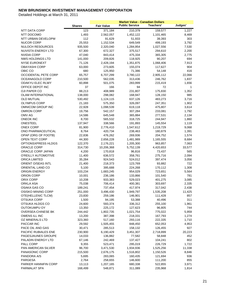|                           |                   |                        | <b>Market Value - Canadian Dollars</b> |                      |                |
|---------------------------|-------------------|------------------------|----------------------------------------|----------------------|----------------|
|                           | <b>Shares</b>     | <b>Fair Value</b>      | <b>Public Service</b>                  | Teachers'            | Judges'        |
| NTT DATA CORP             | 123               | 371,184                | 210,379                                | 159,577              | 1,227          |
| NTT DOCOMO                | 1,493             | 2,562,057              | 1,452,122                              | 1,101,465            | 8,469          |
| NTT URBAN DEVELOPM        | 112               | 91,629                 | 51,933                                 | 39,393               | 303            |
| <b>NUCOR CORP</b>         | 25,553            | 1,152,534              | 649,549                                | 499,193              | 3,792          |
| <b>NULOCH RESOURCES</b>   | 935,500           | 2,320,040              | 1,284,954                              | 1,027,556            | 7,530          |
| <b>NUVISTA ENERGY LTD</b> | 67,300            | 672,327                | 375,517                                | 294,610              | 2,200          |
| <b>NVIDIA CORP</b>        | 47,040            | 843,414                | 475,334                                | 365,305              | 2,775          |
| NWS HOLDINGS LTD          | 141,000           | 209,826                | 118,925                                | 90,207               | 694            |
| <b>NYSE EURONEXT</b>      | 71,126            | 2,428,194              | 1,351,875                              | 1,068,406            | 7,913          |
| OBAYASHI CORP             | 63,000            | 273,605                | 155,074                                | 117,627              | 904            |
| OBIC CO                   | 680               | 125,950                | 71,386                                 | 54,148               | 416            |
| OCCIDENTAL PETE CORP      | 65,757            | 6,707,299              | 3,780,122                              | 2,905,112            | 22,066         |
| OCEANAGOLD CORP           | 210,500           | 562,035                | 313,436                                | 246,762              | 1,837          |
| ODAKYU ELEC RLWY          | 60,898            | 501,075                | 283,999                                | 215,419              | 1,656          |
| OFFICE DEPOT INC          | 37                | 166                    | 94                                     | 72                   | 1              |
| OJI PAPER CO              | 88,213            | 408,989                | 231,807                                | 175,830              | 1,352          |
| <b>OLAM INTERNATIONAL</b> | 138,000           | 298,082                | 168,947                                | 128,150              | 985            |
| OLD MUTUAL                | 530,492           | 1,124,115              | 637,126                                | 483,273              | 3,716          |
| <b>OLYMPUS CORP</b>       | 21,183            | 575,350                | 326,097                                | 247,351              | 1,902          |
| OMNICOM GROUP INC         | 22,928            | 1,098,539              | 619,118                                | 475,807              | 3,614          |
| OMRON CORP                | 19,756            | 542,157                | 307,284                                | 233,081              | 1,792          |
| OMV AG                    | 14,586            | 645,548                | 365,884                                | 277,531              | 2,134          |
| <b>ONEOK INC</b>          | 8,700             | 565,532                | 318,725                                | 244,947              | 1,860          |
| ONESTEEL                  | 137,947           | 338,566                | 191,893                                | 145,554              | 1,119          |
| <b>ONEX CORP</b>          | 81,900            | 2,776,410              | 1,547,612                              | 1,219,729            | 9,068          |
| ONO PHARMACEUTICAL        | 8,764             | 420,734                | 238,463                                | 180,879              | 1,391          |
| OPAP (ORG OF FOOTB)       |                   | 476,262                |                                        |                      | 1,574          |
| OPEN TEXT CORP            | 22,836            |                        | 269,936                                | 204,752              |                |
| OPTIONSXPRESS HLDGS       | 44,300<br>122,370 | 2,656,228<br>2,176,221 | 1,481,989                              | 1,165,555<br>963,857 | 8,684<br>7,063 |
| ORACLE CORP               | 314,730           |                        | 1,205,300                              | 4,420,653            | 33,577         |
| ORACLE CORP JAPAN         | 4,200             | 10,206,368<br>170,818  | 5,752,139                              |                      | 565            |
| O'REILLY AUTOMOTIVE       |                   | 636,572                | 96,816<br>358,761                      | 73,437<br>275,716    | 2,094          |
| <b>ORICA LIMITED</b>      | 11,400            |                        |                                        |                      | 3,056          |
| ORIENT O/SEAS INTL        | 35,284            | 924,543                | 524,012                                | 397,474              | 722            |
|                           | 21,400            | 218,373                | 123,769                                | 93,882               |                |
| ORIENTAL LAND CO          | 5,100             | 395,688                | 224,268                                | 170,112              | 1,308          |
| <b>ORIGIN ENERGY</b>      | 103,234           | 1,683,245              | 954,029                                | 723,651              | 5,564          |
| ORION CORP                | 10,001            | 236,186                | 133,866                                | 101,540              | 781            |
| ORIX CORP                 | 10,208            | 933,383                | 529,023                                | 401,275              | 3,085          |
| <b>ORKLA ASA</b>          | 75,038            | 706,414                | 400,381                                | 303,697              | 2,335          |
| OSAKA GAS CO              | 189,241           | 737,454                | 417,974                                | 317,042              | 2,438          |
| OSISKO MINING CORP        | 251,000           | 3,496,430              | 1,949,797                              | 1,535,208            | 11,425         |
| OTE(HELLENIC TLCM)        | 23,830            | 259,186                | 146,901                                | 111,428              | 857            |
| OTSUKA CORP               | 1,500             | 94,195                 | 53,388                                 | 40,496               | 311            |
| OTSUKA HLDGS CO           | 24,600            | 593,374                | 336,312                                | 255,100              | 1,961          |
| <b>OUTOKUMPU OY</b>       | 13,350            | 225,172                | 127,623                                | 96,805               | 744            |
| OVERSEA-CHINESE BK        | 244,442           | 1,802,735              | 1,021,754                              | 775,022              | 5,959          |
| OWENS ILL INC             | 13,200            | 387,398                | 218,331                                | 167,793              | 1,274          |
| OZ MINERALS LTD           | 323,360           | 517,160                | 293,116                                | 222,335              | 1,710          |
| PACCAR INC                | 29,592            | 1,505,455              | 848,450                                | 652,053              | 4,953          |
| PACE OIL AND GAS          | 30,471            | 285,513                | 158,132                                | 126,455              | 927            |
| PACIFIC RUBIALES ENE      | 230,900           | 6,190,429              | 3,451,307                              | 2,718,899            | 20,223         |
| PAGESJAUNES GROUPE        | 14,033            | 136,882                | 77,582                                 | 58,848               | 452            |
| PALADIN ENERGY LTD        | 67,146            | 242,469                | 137,427                                | 104,241              | 802            |
| PALL CORP                 | 9,355             | 523,471                | 295,019                                | 226,729              | 1,722          |
| PAN AMERICAN SILVER       | 96,700            | 3,471,530              | 1,934,936                              | 1,525,256            | 11,338         |
| PANASONIC CORP            | 215,500           | 2,676,175              | 1,516,802                              | 1,150,526            | 8,846          |
| PANDORA A/S               | 5,695             | 283,065                | 160,435                                | 121,694              | 936            |
| <b>PARGESA</b>            | 2,764             | 258,655                | 146,600                                | 111,200              | 855            |
| PARKER HANNIFIN CORP      | 13,113            | 1,207,165              | 680,338                                | 522,855              | 3,971          |
| PARMALAT SPA              | 168,499           | 548,871                | 311,089                                | 235,968              | 1,814          |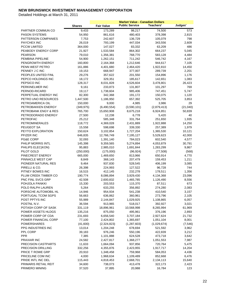|                                           |                  |                         | <b>Market Value - Canadian Dollars</b> |                      |                |
|-------------------------------------------|------------------|-------------------------|----------------------------------------|----------------------|----------------|
|                                           | <b>Shares</b>    | <b>Fair Value</b>       | <b>Public Service</b>                  | <b>Teachers'</b>     | Judges'        |
| PARTNER COMMUN CO                         | 9,433            | 173,289                 | 98,217                                 | 74,500               | 573            |
| <b>PASON SYSTEMS</b>                      | 54,950           | 861,616                 | 480,403                                | 378,398              | 2,815          |
| PATTERSON COMPANIES                       | 7,753            | 242,607                 | 136,729                                | 105,079              | 798            |
| <b>PAYCHEX INC</b>                        | 26,019           | 793,199                 | 447,034                                | 343,556              | 2,609          |
| <b>PCCW LIMITED</b>                       | 364,000          | 147,027                 | 83,332                                 | 63,209               | 486            |
| PEABODY ENERGY CORP                       | 21,927           | 1,533,584               | 864,302                                | 664,237              | 5,045          |
| <b>PEARSON</b>                            | 79,010           | 1,356,381               | 768,770                                | 583,128              | 4,484          |
| PEMBINA PIPELINE                          | 54,900           | 1,262,151               | 711,242                                | 546,742              | 4,167          |
| PENGROWTH ENERGY                          | 160,800          | 2,164,368               | 1,212,646                              | 944,617              | 7,105          |
| PENN WEST PETRO                           | 161,886          | 4,401,680               | 2,464,420                              | 1,922,810            | 14,450         |
| PENNEY J C INC                            | 19,153           | 668,947                 | 377,007                                | 289,739              | 2,201          |
| PEOPLES UNITED FINL                       | 29,276           | 357,622                 | 201,550                                | 154,896              | 1,176          |
| PEPCO HOLDINGS INC                        | 18,172           | 329,351                 | 185,617                                | 142,651              | 1,083          |
| PEPSICO INC                               | 128,317          | 8,031,828               | 4,526,604                              | 3,478,801            | 26,423         |
| PERKINELMER INC                           | 9,161            | 233,873                 | 131,807                                | 101,297              | 769            |
| PERNOD-RICARD                             | 19,117           | 1,738,604               | 985,406                                | 747,451              | 5,747          |
| PERPETUAL ENERGY INC                      | 82,300           | 342,368                 | 191,172                                | 150,075              | 1,120          |
| PETRO UNO RESOURCES                       | 1,447,500        | 1,186,950               | 657,392                                | 525,705              | 3,853          |
| PETROAMERICA OIL                          | 150,000          | 9,000                   | 4,985                                  | 3,986                | 29             |
| PETROBAKKEN ENERGY                        | (349, 975)       | (6,490,554)             | (3,590,101)                            | (2,879,413)          | (21,040)       |
| PETROBANK ENGY & RES                      | 765,700          | 15,650,908              | 8,675,218                              | 6,924,851            | 50,839         |
| PETRODORADO ENERGY                        | 27,500           | 12,238                  | 6,778                                  | 5,420                | 40             |
| PETROFAC                                  | 25,212           | 585,348                 | 331,764                                | 251,650              | 1,935          |
| PETROMINERALES                            | 118,772          | 4,369,028               | 2,431,889                              | 1,922,888            | 14,250         |
| PEUGEOT SA                                | 15,558           | 598,698                 | 339,330                                | 257,389              | 1,979          |
| PEYTO EXPLORATION                         | 150,624          | 3,102,854               | 1,727,204                              | 1,365,530            | 10,121         |
| PFIZER INC                                | 646,835          |                         |                                        |                      | 42,000         |
| PG&E CORP                                 | 32,093           | 12,766,749<br>1,391,140 | 7,195,127                              | 5,529,623            | 4,577          |
| PHILIP MORRIS INTL                        | 145,398          |                         | 784,023<br>5,274,894                   | 602,540<br>4,053,879 | 30,791         |
| PHILIPS ELEC(KON)                         | 95,883           | 9,359,565               |                                        | 1,283,299            | 9,867          |
| PILOT GOLD                                | (250,000)        | 2,985,010               | 1,691,844                              |                      |                |
| PINECREST ENERGY                          |                  | (175,000)               | (96, 924)                              | (77,508)             | (568)<br>4,770 |
| PINNACLE WEST CAP                         | 665,000<br>8,849 | 1,469,650<br>368,143    | 813,966                                | 650,914<br>159,453   |                |
| PIONEER NATURAL RES                       | 9,464            | 937,830                 | 207,479                                |                      | 1,211<br>3,085 |
|                                           |                  | 224,993                 | 528,545                                | 406,199              | 744            |
| PIRELLI & CO.<br>PITNEY BOWES INC         | 26,398           |                         | 127,522                                | 96,728               |                |
|                                           | 16,515           | 412,145                 | 232,278                                | 178,511              | 1,356          |
| PLUM CREEK TIMBER CO<br>PNC FINL SVCS GRP | 190,774          | 8,086,894               | 3,929,430                              | 4,134,368            | 23,096         |
| POHJOLA PANKKI                            | 42,508           | 2,600,832               | 1,465,785                              | 1,126,490            | 8,556          |
|                                           | 15,330           | 203,553                 | 115,370                                | 87,511               | 673            |
| POLO RALPH LAUREN                         | 5,264            | 633,255                 | 356,892                                | 274,280              | 2,083          |
| PORSCHE AUTOMOBIL HL                      | 14,946           | 954,934                 | 541,238                                | 410,540              | 3,157          |
| PORTUGAL TCOM SGPS                        | 56,663           | 636,862                 | 360,961                                | 273,796              | 2,105          |
| POST PPTYS INC                            | 55,989           | 2,144,847               | 1,029,925                              | 1,108,865            | 6,057          |
| POSTNL N.V.                               | 36,594           | 913,965                 | 518,017                                | 392,927              | 3,021          |
| POTASH CORP OF SASK                       | 331,119          | 18,896,961              | 10,568,998                             | 8,265,994            | 61,969         |
| POWER ASSETS HLDGS                        | 135,216          | 875,050                 | 495,961                                | 376,196              | 2,893          |
| POWER CORP OF CDA                         | 231,693          | 6,656,540               | 3,707,184                              | 2,927,624            | 21,732         |
| POWER FINANCIAL CORP                      | 77,100           | 2,424,802               | 1,365,697                              | 1,051,104            | 8,001          |
| <b>POWERSHARES</b>                        | (41,600)         | (2,324,823)             | (1, 287, 603)                          | (1,029,674)          | (7, 546)       |
| PPG INDUSTRIES INC                        | 13,014           | 1,204,248               | 678,694                                | 521,592              | 3,962          |
| PPL CORP                                  | 39,183           | 976,246                 | 550,196                                | 422,839              | 3,212          |
| <b>PPR</b>                                | 7,385            | 1,101,888               | 624,528                                | 473,718              | 3,642          |
| PRAXAIR INC                               | 24,582           | 2,427,817               | 1,368,277                              | 1,051,553            | 7,987          |
| PRECISION CASTPARTS                       | 11,633           | 1,664,094               | 937,856                                | 720,764              | 5,475          |
| PRECISION DRILLING                        | 332,256          | 4,355,876               | 2,423,955                              | 1,917,717            | 14,204         |
| PRICE T ROWE GRP                          | 20,910           | 1,348,458               | 759,968                                | 584,053              | 4,436          |
| PRICELINE COM INC                         | 4,000            | 1,968,634               | 1,109,489                              | 852,668              | 6,476          |
| PRIDE INTL INC DEL                        | 115,443          | 4,818,453               | 2,668,701                              | 2,134,113            | 15,640         |
| PRIMARIS RETAIL REIT                      | 34,600           | 738,073                 | 413,478                                | 322,173              | 2,423          |
| PRIMERO MINING                            | 37,520           | 37,895                  | 20,988                                 | 16,784               | 123            |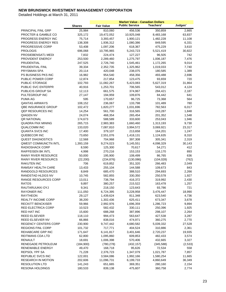|                             |               |                      | <b>Market Value - Canadian Dollars</b> |            |                |
|-----------------------------|---------------|----------------------|----------------------------------------|------------|----------------|
|                             | <b>Shares</b> | <b>Fair Value</b>    | <b>Public Service</b>                  | Teachers'  | Judges'        |
| PRINCIPAL FINL GRP          | 25,984        | 810,060              | 456,536                                | 350,859    | 2,665          |
| PROCTER & GAMBLE CO         | 325,172       | 19,472,052           | 10,925,048                             | 8,483,168  | 63,837         |
| PROGRESS ENERGY INC         | 75,714        | 3,393,457            | 1,900,121                              | 1,482,228  | 11,108         |
| <b>PROGRESS ENERGY RES</b>  | 138,308       | 1,936,312            | 1,080,386                              | 849,595    | 6,331          |
| <b>PROGRESSIVE CORP</b>     | 53,408        | 1,097,206            | 618,367                                | 475,229    | 3,610          |
| <b>PROLOGIS</b>             | 696,068       | 10,795,965           | 5,243,723                              | 5,521,419  | 30,822         |
| PROSIEBENSAT1 MEDI          | 7,832         | 224,474              | 127,227                                | 96,505     | 742            |
| PROVIDENT ENERGY            | 253,500       | 2,289,460            | 1,275,797                              | 1,006,187  | 7,476          |
| PRUDENTIAL                  | 247,525       | 2,726,740            | 1,545,461                              | 1,172,265  | 9,014          |
| PRUDENTIAL FINL             | 39,334        | 2,352,735            | 1,325,962                              | 1,019,033  | 7,740          |
| PRYSMIAN SPA                | 20,114        | 420,048              | 238,075                                | 180,585    | 1,389          |
| PS BUSINESS PKS INC         | 16,982        | 954,540              | 458,356                                | 493,488    | 2,696          |
| PUBLIC POWER CORP           | 12,874        | 217,854              | 123,475                                | 93,659     | 720            |
| PUBLIC STORAGE              | 102,793       | 11,082,267           | 5,423,083                              | 5,627,319  | 31,864         |
| PUBLIC SVC ENTERPR          | 40,916        | 1,253,701            | 706,565                                | 543,012    | 4,124          |
| PUBLICIS GROUP SA           | 12,113        | 661,575              | 374,967                                | 284,421    | 2,187          |
| PULTEGROUP INC              | 27,147        | 194,959              | 109,876                                | 84,442     | 641            |
| PUMA AG                     | 595           | 170,657              | 96,725                                 | 73,368     | 564            |
| <b>QANTAS AIRWAYS</b>       | 108,152       | 236,067              | 133,798                                | 101,489    | 780            |
| <b>QBE INSURANCE GROUP</b>  | 102,472       | 1,820,277            | 1,031,696                              | 782,563    | 6,017          |
| QEP RESOURCES INC           | 14,254        | 561,700              | 316,565                                | 243,287    |                |
| QIAGEN NV                   | 24,074        | 468,354              | 265,454                                | 201,352    | 1,848<br>1,548 |
| <b>QR NATIONAL</b>          | 174,673       |                      |                                        |            | 1,946          |
| QUADRA FNX MINING           | 265,715       | 588,589<br>2,983,383 | 333,600<br>1,660,460                   | 253,043    | 9,730          |
| <b>QUALCOMM INC</b>         | 133,020       | 7,087,810            | 3,994,572                              | 1,313,193  | 23,317         |
|                             |               |                      |                                        | 3,069,921  |                |
| <b>QUANTA SVCS INC</b>      | 17,400        | 379,107              | 213,658                                | 164,201    | 1,247          |
| QUEBECOR INC                | 73,650        | 2,551,076            | 1,418,131                              | 1,124,635  | 8,310          |
| <b>QUEST DIAGNOSTICS</b>    | 12,568        | 704,968              | 397,308                                | 305,341    | 2,319          |
| <b>QWEST COMMUNCTN INTL</b> | 1,393,159     | 9,274,023            | 5,145,551                              | 4,098,329  | 30,143         |
| RADIOSHACK CORP             | 8,590         | 125,300              | 70,617                                 | 54,271     | 412            |
| RAIFFEISEN BK INTL          | 4,998         | 270,216              | 153,153                                | 116,170    | 893            |
| RAINY RIVER RESOURCE        | 50,000        | 195,900              | 108,499                                | 86,765     | 636            |
| <b>RAINY RIVER RESOURCS</b> | (22, 200)     | (234, 876)           | (130,086)                              | (104, 028) | (762)          |
| <b>RAKUTEN INC</b>          | 706           | 619,852              | 351,320                                | 266,483    | 2,049          |
| <b>RAMSAY HEALTH CARE</b>   | 13,433        | 255,104              | 144,588                                | 109,673    | 843            |
| RANDGOLD RESOURCES          | 8,849         | 685,470              | 388,510                                | 294,693    | 2,266          |
| RANDSTAD HLDGS NV           | 10,745        | 582,855              | 330,350                                | 250,578    | 1,927          |
| <b>RANGE RESOURCES CORP</b> | 13,011        | 738,794              | 416,372                                | 319,992    | 2,430          |
| <b>RATOS</b>                | 9,897         | 380,257              | 215,522                                | 163,478    | 1,257          |
| RAUTARUUKKI OYJ             | 9,341         | 218,150              | 123,643                                | 93,786     | 721            |
| <b>RAYONIER INC</b>         | 111,050       | 6,724,395            | 3,228,958                              | 3,476,447  | 18,990         |
| <b>RAYTHEON</b>             | 29,127        | 1,439,624            | 811,348                                | 623,540    | 4,736          |
| <b>REALTY INCOME CORP</b>   | 38,200        | 1,302,436            | 625,411                                | 673,347    | 3,678          |
| <b>RECKITT BENCKISER</b>    | 59,966        | 2,992,976            | 1,696,359                              | 1,286,723  | 9,894          |
| <b>RED ELECTRICA CORP</b>   | 10,523        | 582,432              | 330,111                                | 250,396    | 1,925          |
| RED HAT INC                 | 15,600        | 688,268              | 387,896                                | 298,107    | 2,264          |
| <b>REED ELSEVIER</b>        | 118,110       | 994,473              | 563,647                                | 427,538    | 3,287          |
| REED ELSEVIER NV            | 66,866        | 838,016              | 474,971                                | 360,275    | 2,770          |
| <b>REGENCY CENTERS CORP</b> | 230,900       | 9,747,442            | 4,680,582                              | 5,039,332  | 27,528         |
| <b>REGIONS FINL CORP</b>    | 101,732       | 717,771              | 404,524                                | 310,886    | 2,361          |
| REHABCARE GRP INC           | 171,647       | 6,141,817            | 3,401,646                              | 2,720,237  | 19,935         |
| REITMANS CDA LTD            | 62,800        | 1,095,860            | 609,853                                | 482,433    | 3,574          |
| <b>RENAULT</b>              | 18,691        | 1,006,398            | 570,406                                | 432,665    | 3,327          |
| RENEGADE PETROLEUM          | (184,900)     | (780, 278)           | (432, 157)                             | (345,588)  | (2,533)        |
| RENEWABLE ENERGY            | 49,470        | 168,718              | 95,626                                 | 72,534     | 558            |
| REPSOL YPF SA               | 71,228        | 2,376,723            | 1,347,079                              | 1,021,787  | 7,857          |
| REPUBLIC SVCS INC           | 122,001       | 3,584,086            | 1,992,166                              | 1,580,254  | 11,665         |
| RESEARCH IN MOTION          | 202,606       | 11,096,731           | 6,199,733                              | 4,860,649  | 36,349         |
| <b>RESOLUTION LTD</b>       | 141,243       | 651,665              | 369,351                                | 280,160    | 2,154          |
| RESONA HOLDINGS             | 180,533       | 839,138              | 475,607                                | 360,758    | 2,774          |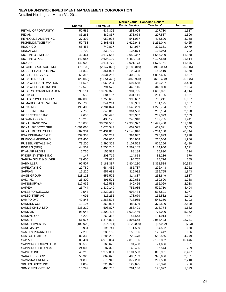|                                  |                 |                      | <b>Market Value - Canadian Dollars</b> |                    |              |
|----------------------------------|-----------------|----------------------|----------------------------------------|--------------------|--------------|
|                                  | <b>Shares</b>   | <b>Fair Value</b>    | <b>Public Service</b>                  | Teachers'          | Judges'      |
| <b>RETAIL OPPORTUNITY</b>        | 50,585          | 537,302              | 258,005                                | 277,780            | 1,517        |
| <b>REXAM</b>                     | 85,263          | 482,857              | 273,674                                | 207,587            | 1,596        |
| <b>REYNOLDS AMERN INC</b>        | 27,392          | 959,995              | 541,037                                | 415,800            | 3,158        |
| RICHEMONT(CIE FIN)               | 50,758          | 2,863,453            | 1,622,948                              | 1,231,040          | 9,465        |
| RICOH CO                         | 65,453          | 749,827              | 424,987                                | 322,361            | 2,479        |
| <b>RINNAI CORP</b>               | 3,700           | 239,730              | 135,874                                | 103,063            | 792          |
| RIO TINTO LIMITED                | 42,461          | 3,617,555            | 2,050,357                              | 1,555,239          | 11,958       |
| RIO TINTO PLC                    | 140,986         | 9,624,190            | 5,454,798                              | 4,137,578          | 31,814       |
| <b>RIOCAN</b>                    | 142,000         | 3,611,770            | 2,021,773                              | 1,578,151          | 11,846       |
| RITCHIE BROS AUCTNRS             | (78, 100)       | (2, 147, 022)        | (1, 180, 019)                          | (960, 086)         | (6,916)      |
| ROBERT HALF INTL INC             | 11,830          | 351,905              | 198,328                                | 152,419            | 1,158        |
| ROCHE HLDGS AG                   | 68,315          | 9,531,256            | 5,402,125                              | 4,097,625          | 31,507       |
| ROCK-TENN CO                     | (23,068)        | (1,554,428)          | (860, 920)                             | (688, 463)         | (5,045)      |
| ROCKWELL AUTOMATION              | 11,526          | 1,060,284            | 597,558                                | 459,237            | 3,488        |
| ROCKWELL COLLINS INC             | 12,572          | 791,570              | 446,116                                | 342,850            | 2,604        |
| ROGERS COMMUNICATION             | 298,111         | 10,599,370           | 5,904,735                              | 4,660,021          | 34,614       |
| ROHM CO                          | 9,553           | 584,197              | 331,111                                | 251,155            | 1,931        |
| ROLLS ROYCE GROUP                | 182,005         | 1,756,655            | 995,637                                | 755,211            | 5,807        |
| ROMARCO MINERALS INC             | 153,700         | 341,214              | 188,981                                | 151,125            | 1,107        |
| RONA INC                         | 196,400         | 2,781,024            | 1,546,209                              | 1,225,754          | 9,061        |
| ROPER INDS INC                   | 7,700           | 646,818              | 364,536                                | 280,154            | 2,128        |
| ROSS STORES INC                  | 9,600           | 663,498              | 373,937                                | 287,379            | 2,183        |
| <b>ROWAN COS INC</b>             | 10,215          | 438,175              | 246,948                                | 189,785            | 1,441        |
| ROYAL BANK CDA                   | 515,833         | 30,934,505           | 17,333,377                             | 13,499,488         | 101,640      |
| ROYAL BK SCOT GRP                | 1,691,068       | 1,075,542            | 609,595                                | 462,391            | 3,555        |
| ROYAL DUTCH SHELL                | 607,301         | 21,431,818           | 12,146,816                             | 9,214,158          | 70,844       |
| <b>RSA INSURANCE GR</b>          | 339,333         | 695,239              | 394,047                                | 298,893            | 2,298        |
| <b>RUBICON MINERALS</b>          | 121,400         | 607,000              | 338,968                                | 266,046            | 1,986        |
| RUSSEL METALS INC                | 73,200          | 1,990,308            | 1,107,562                              | 876,256            | 6,490        |
| RWE AG (NEU)                     | 44,507          | 2,756,246            | 1,562,185                              | 1,184,950          | 9,111        |
| RYANAIR HLDGS                    | 5,760           | 155,588              | 88,184                                 | 66,890             | 514          |
| RYDER SYSTEMS INC                | 4,147           | 203,719              | 114,813                                | 88,236             | 670          |
| SABINA GOLD & SILVER             | 29,600          | 171,088              | 94,757                                 | 75,776             | 555          |
| SABMILLER                        | 92,507          | 3,183,387            | 1,804,280                              | 1,368,584          | 10,523       |
| <b>SAFEWAY INC</b>               | 29,780          | 684,436              | 385,737                                | 296,448            | 2,252        |
| <b>SAFRAN</b>                    | 16,220          | 557,681              | 316,082                                | 239,755            | 1,843        |
| <b>SAGE GROUP</b>                | 128,123         | 555,572              | 314,887                                | 238,849            | 1,837        |
| <b>SAIC INC</b>                  | 23,800          | 391,571              | 220,683                                | 169,600            | 1,288        |
| SAINSBURY(J)                     | 117,932         | 616,563              | 349,456                                | 265,069            | 2,038        |
| <b>SAIPEM</b>                    | 25,744          | 1,332,149            | 755,035                                | 572,710            | 4,404        |
| SALESFORCE.COM                   | 9,543           | 1,239,362            | 698,484                                | 536,801            | 4,077        |
| SALZGITTER AG                    | 4,091           | 315,252              | 178,679                                | 135,532            | 1,042        |
| SAMPO OYJ<br><b>SANDISK CORP</b> | 40,846          | 1,268,508            | 718,965                                | 545,350            | 4,193        |
| <b>SANDS CHINA LTD</b>           | 19,197          | 860,025<br>508,877   | 484,696<br>288,421                     | 372,500            | 2,829        |
| SANDVIK                          | 235,219         |                      |                                        | 218,774            | 1,682        |
| SANKYO CO                        | 98,048<br>5,200 | 1,800,428<br>260,318 | 1,020,446<br>147,543                   | 774,030<br>111,914 | 5,952<br>861 |
| <b>SANOFI</b>                    | 61,977          | 6,874,832            | 3,897,668                              | 2,954,433          | 22,731       |
| SANOFI-AVENTIS                   | (100,000)       | (216, 711)           | (120, 026)                             | (95, 982)          |              |
| SANOMA OYJ                       | 8,931           | 196,741              | 111,509                                | 84,582             | (703)<br>650 |
| SANTEN PHARM. CO.                | 7,200           | 280,155              | 158,786                                | 120,442            | 926          |
| <b>SANTOS LIMITED</b>            | 82,332          | 1,285,292            | 728,478                                | 552,566            | 4,249        |
| SAP AG                           | 83,494          | 4,975,064            | 2,819,766                              | 2,138,852          | 16,446       |
| SAPPORO HOKUYO HLD               | 35,500          | 166,675              | 94,468                                 | 71,656             | 551          |
| SAPPORO HOLDINGS                 | 24,000          | 87,328               | 49,496                                 | 37,544             | 289          |
| SAPUTO INC                       | 45,219          | 1,972,001            | 1,104,563                              | 860,961            | 6,477        |
| SARA LEE CORP                    | 50,326          | 869,620              | 490,103                                | 376,656            | 2,861        |
| SAVANNA ENERGY                   | 74,800          | 676,940              | 377,230                                | 297,500            | 2,210        |
| SBI HOLDINGS INC                 | 1,862           | 228,827              | 129,695                                | 98,376             | 756          |
| SBM OFFSHORE NV                  | 16,299          | 460,736              | 261,136                                | 198,077            | 1,523        |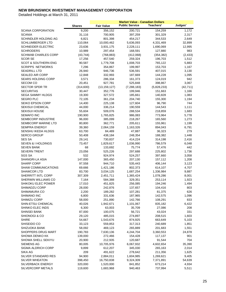|                                                  |                | <b>Market Value - Canadian Dollars</b> |                       |                   |            |  |
|--------------------------------------------------|----------------|----------------------------------------|-----------------------|-------------------|------------|--|
|                                                  | <b>Shares</b>  | <b>Fair Value</b>                      | <b>Public Service</b> | <b>Teachers'</b>  | Judges'    |  |
| <b>SCANA CORPORATION</b>                         | 9,200          | 356,152                                | 200,721               | 154,259           | 1,172      |  |
| <b>SCANIA</b>                                    | 31,116         | 700,905                                | 397,259               | 301,329           | 2,317      |  |
| SCHINDLER HOLDING AG                             | 6,821          | 801,398                                | 454,217               | 344,533           | 2,649      |  |
| <b>SCHLUMBERGER LTD</b>                          | 110,064        | 10,000,462                             | 5,636,093             | 4,331,469         | 32,899     |  |
| <b>SCHNEIDER ELECTRIC</b>                        | 23,636         | 3,931,175                              | 2,228,111             | 1,690,069         | 12,995     |  |
| <b>SCHRODERS</b>                                 | 10,989         | 297,454                                | 168,591               | 127,880           | 983        |  |
| <b>SCHWAB CHARLES CORP</b>                       | (43, 744)      | (768, 883)                             | (412,068)             | (354, 382)        | (2, 433)   |  |
| <b>SCOR SE</b>                                   | 17,256         | 457,540                                | 259,324               | 196,703           | 1,512      |  |
| <b>SCOT &amp; SOUTHERN ENG</b>                   | 90,587         | 1,779,708                              | 1,008,703             | 765,122           | 5,883      |  |
| <b>SCRIPPS NETWORKS</b>                          | 7,296          | 354,867                                | 199,997               | 153,703           | 1,167      |  |
| <b>SEADRILL LTD</b>                              | 26,940         | 946,736                                | 536,591               | 407,015           | 3,130      |  |
| <b>SEALED AIR CORP</b>                           | 12,848         | 332,993                                | 187,669               | 144,228           | 1,095      |  |
| <b>SEARS HOLDING CORP</b>                        | 3,571          | 286,334                                | 161,373               | 124,019           | 942        |  |
| <b>SECOM CO</b>                                  | 20,451         | 927,781                                | 525,848               | 398,867           | 3,067      |  |
| <b>SECTOR SPDR TR</b>                            | (314,600)      | (13, 159, 127)                         | (7, 288, 183)         | (5,828,233)       | (42, 711)  |  |
| <b>SECURITAS</b>                                 | 30,447         | 352,776                                | 199,946               | 151,663           | 1,166      |  |
| <b>SEGA SAMMY HLDGS</b>                          | 19,300         | 327,572                                | 185,661               | 140,828           | 1,083      |  |
| <b>SEGRO PLC</b>                                 | 72,105         | 361,234                                | 204,740               | 155,300           | 1,194      |  |
| SEIKO EPSON CORP                                 | 14,400         | 225,138                                | 127,604               | 96,790            | 744        |  |
| <b>SEKISUI CHEMICAL</b>                          | 44,000         | 336,214                                | 190,559               | 144,543           | 1,111      |  |
| <b>SEKISUI HOUSE</b>                             | 55,604         | 509,076                                | 288,534               | 218,859           | 1,683      |  |
| <b>SEMAFO INC</b>                                | 190,900        | 1,765,825                              | 986,083               | 773,964           | 5,778      |  |
| <b>SEMBCORP INDUSTRIE</b>                        | 96,000         | 385,099                                | 218,267               | 165,560           | 1,273      |  |
| <b>SEMBCORP MARINE LTD</b>                       | 80,800         | 362,771                                | 205,611               | 155,961           | 1,199      |  |
| <b>SEMPRA ENERGY</b>                             | 39,360         | 2,064,159                              | 1,163,326             | 894,043           | 6,791      |  |
| SENSHU IKEDA HLDGS                               | 63,700         | 84,489                                 | 47,887                | 36,323            | 279        |  |
| <b>SERCO GROUP</b>                               | 50,408         | 438,184                                | 248,354               | 188,382           | 1,448      |  |
| <b>SES SA</b>                                    | 29,141         | 730,837                                | 414,224               | 314,198           | 2,416      |  |
| <b>SEVEN &amp; I HOLDINGS</b>                    | 73,457         | 1,829,617                              | 1,036,990             | 786,579           | 6,048      |  |
| SEVEN BANK                                       | 68             | 133,692                                | 75,774                | 57,476            | 442        |  |
| <b>SEVERN TRENT</b>                              | 23,056         | 525,226                                | 297,688               | 225,802           | 1,736      |  |
| SGS SA                                           | 532            | 924,974                                | 524,257               | 397,660           | 3,058      |  |
| SHANGRI-LA ASIA                                  | 147,000        | 365,450                                | 207,130               | 157,112           | 1,208      |  |
| <b>SHARP CORP</b>                                | 97,558         | 944,710                                | 535,443               | 406,144           | 3,123      |  |
| <b>SHAW COMMUNICATIONS</b>                       | 69,666         | 1,421,186                              | 802,373               | 614,107           | 4,707      |  |
| <b>SHAWCOR LTD</b>                               | 83,700         | 3,034,125                              | 1,687,254             | 1,336,984         | 9,887      |  |
| SHERRITT INTL CORP                               | 307,309        | 2,451,711                              | 1,365,424             | 1,078,286         | 8,001      |  |
| SHERWIN WILLIAMS CO<br><b>SHIKOKU ELEC POWER</b> | 7,164          | 584,388                                | 329,351               | 253,114           | 1,923      |  |
|                                                  | 17,010         | 451,825                                | 256,085               | 194,246           | 1,494      |  |
| SHIMADZU CORP<br>SHIMAMURA CO                    | 28,000         | 242,876<br>189,282                     | 137,657<br>107,281    | 104,416           | 803<br>626 |  |
| <b>SHIMANO INC</b>                               | 2,200<br>6,800 | 331,636                                | 187,965               | 81,375<br>142,575 | 1,096      |  |
| SHIMIZU CORP                                     | 58,000         | 251,890                                | 142,766               | 108,291           | 833        |  |
| SHIN-ETSU CHEMICAL                               | 40,026         | 1,942,671                              | 1,101,067             | 835,182           | 6,422      |  |
| SHINKO ELEC INDS                                 | 6,300          | 63,003                                 | 35,709                | 27,086            | 208        |  |
| SHINSEI BANK                                     | 87,000         | 100,075                                | 56,721                | 43,024            | 331        |  |
| <b>SHIONOGI &amp; CO</b>                         | 29,120         | 485,015                                | 274,897               | 208,515           | 1,603      |  |
| <b>SHIRE</b>                                     | 54,667         | 1,543,676                              | 874,925               | 663,649           | 5,103      |  |
| SHISEIDO CO                                      | 33,123         | 559,853                                | 317,313               | 240,689           | 1,851      |  |
| SHIZUOKA BANK                                    | 58,092         | 469,123                                | 265,889               | 201,683           | 1,551      |  |
| SHOPPERS DRUG MART                               | 190,783        | 7,630,136                              | 4,244,704             | 3,360,553         | 24,878     |  |
| SHOWA DENKO KK                                   | 139,000        | 272,466                                | 154,428               | 117,137           | 901        |  |
| SHOWA SHELL SEKIYU                               | 20,900         | 212,935                                | 120,687               | 91,544            | 704        |  |
| <b>SIEMENS AG</b>                                | 80,005         | 10,705,976                             | 6,067,932             | 4,602,654         | 35,390     |  |
| SIGMA ALDRICH CORP                               | 9,899          | 612,207                                | 345,030               | 265,163           | 2,014      |  |
| SIKA AG                                          | 209            | 491,622                                | 278,642               | 211,356           | 1,625      |  |
| SILVER STANDARD RES                              | 94,900         | 2,884,011                              | 1,604,985             | 1,269,621         | 9,405      |  |
| SILVER WHEATON                                   | 398,450        | 16,750,838                             | 9,324,309             | 7,371,891         | 54,639     |  |
| <b>SILVERBACK ENERGY</b>                         | 320,000        | 1,520,000                              | 841,852               | 673,214           | 4,934      |  |
| SILVERCORP METALS                                | 119,600        | 1,683,968                              | 940,463               | 737,994           | 5,511      |  |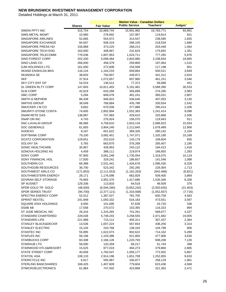| <b>Public Service</b><br>Judges'<br>Teachers'<br><b>Fair Value</b><br><b>Shares</b><br>SIMON PPTY INC<br>315,754<br>32,869,744<br>15,991,982<br>16,783,771<br>93,991<br><b>SIMS METAL MGMT</b><br>15,960<br>278,692<br>157,957<br>119,814<br>921<br>SINGAPORE AIRLINES<br>52,665<br>554,972<br>314,547<br>238,590<br>1,835<br>SINGAPORE EXCHANGE<br>84,047<br>508,319<br>288,105<br>218,534<br>1,680<br>SINGAPORE PRESS HD<br>156,889<br>473,225<br>268,214<br>203,446<br>1,564<br>SINGAPORE TECH ENG<br>163,000<br>231,624<br>1,351<br>408,667<br>175,692<br>SINGAPORE TELECOMM<br>776,036<br>1,807,953<br>1,024,711<br>777,265<br>5,976<br><b>SINO FOREST CORP</b><br>202,200<br>5,099,484<br>2,843,985<br>2,238,834<br>16,665<br>SINO LAND CO<br>266,000<br>458,379<br>259,800<br>197,064<br>1,515<br>SJM HOLDINGS LTD.<br>161,000<br>272,608<br>154,509<br>117,198<br>901<br>SKAND ENSKILDA BKN<br>134,124<br>1,164,233<br>659,864<br>500,521<br>3,849<br><b>SKANSKA SE</b><br>38,833<br>793,907<br>449,971<br>341,312<br>2,624<br><b>SKF</b><br>37,914<br>1,072,657<br>607,960<br>3,546<br>461,151<br>SKY CITY ENT GP<br>54,519<br>77,372<br>451<br>136,512<br>58,688<br>SL GREEN RLTY CORP<br>147,803<br>10,811,403<br>5,191,481<br>5,589,390<br>30,533<br><b>SLM CORP</b><br>42,619<br>633,268<br>356,899<br>2,083<br>274,285<br><b>SMC CORP</b><br>5,284<br>2,807<br>849,078<br>481,241<br>365,031<br><b>SMITH &amp; NEPHEW</b><br>86,439<br>3,130<br>946,822<br>536,640<br>407,053<br><b>SMITHS GROUP</b><br>38,049<br>768,884<br>435,788<br>330,554<br>2,542<br>SMUCKER J M CO<br>9,662<br>670,506<br>377,886<br>290,414<br>2,206<br>SMURFIT-STONE CONTA<br>74,605<br>2,802,894<br>1,552,383<br>1,241,414<br>9,098<br><b>SNAM RETE GAS</b><br>138,887<br>757,983<br>429,610<br>325,868<br>2,506<br>SNAP-ON INC<br>4,743<br>276,924<br>156,070<br>119,943<br>911<br>15,554<br>SNC-LAVALIN GROUP<br>86,066<br>4,758,610<br>2,653,134<br>2,089,923<br><b>SOC GENERALE</b><br>61,693<br>12,906<br>3,904,240<br>2,212,845<br>1,678,489<br>SODEXO<br>9,167<br>2,154<br>651,622<br>369,326<br>280,142<br>SOFTBANK CORP<br>79,100<br>1,747,071<br>10,189<br>3,082,451<br>1,325,190<br><b>SOJITZ CORPORATION</b><br>129,651<br>835<br>252,619<br>143,179<br>108,604<br>SOLVAY SA<br>5,765<br>663,870<br>376,268<br>285,407<br>2,195<br>SONIC HEALTHCARE<br>35,957<br>428,953<br>243,122<br>1,418<br>184,413<br>SONOVA HOLDING AG<br>4,459<br>388,111<br>219,974<br>1,283<br>166,855<br>SONY CORP<br>97,900<br>10,119<br>3,061,248<br>1,735,054<br>1,316,075<br>SONY FINANCIAL HOL<br>17,000<br>329,241<br>186,607<br>1,088<br>141,546<br>SOUTHERN CO<br>68,388<br>2,531,441<br>1,426,678<br>1,096,435<br>8,328<br><b>SOUTHGOBI RESOURCES</b><br>36,700<br>523,342<br>292,265<br>229,364<br>1,713<br>SOUTHWEST AIRLS CO<br>(171, 853)<br>(2, 111, 553)<br>(1, 162, 263)<br>(942, 468)<br>(6, 821)<br>SOUTHWESTERN ENERGY<br>28,171<br>662,829<br>509,400<br>3,869<br>1,176,098<br>SOVRAN SELF STORAGE<br>76,893<br>1,526,346<br>8,338<br>2,952,370<br>1,417,686<br><b>SP AUSNET</b><br>129,336<br>376<br>113,833<br>64,518<br>48,939<br>SPDR GOLD TR GOLD<br>(48,500)<br>(3,652,242)<br>(6, 594, 280)<br>(2,920,635)<br>(21, 403)<br><b>SPDR SERIES TRUST</b><br>(94, 700)<br>(2,377,121)<br>(1,316,568)<br>(1,052,837)<br>(7, 716)<br>SPECTRA ENERGY CORP<br>52,512<br>781,705<br>1,387,027<br>600,759<br>4,563<br>SPRINT NEXTEL<br>241,948<br>1,093,332<br>616,183<br>473,551<br>3,597<br>SQUARE ENIX HOLDINGS<br>6,000<br>101,695<br>57,639<br>43,720<br>336<br><b>SSAB AB</b><br>17,558<br>270,572<br>153,355<br>116,323<br>894<br>ST JUDE MEDICAL INC<br>26,316<br>1,315,265<br>741,261<br>569,677<br>4,327<br>STANDARD CHARTERED<br>228,028<br>5,749,243<br>3,258,555<br>2,471,682<br>19,005<br>STANDARD LIFE<br>221,989<br>715,112<br>405,311<br>307,437<br>2,364<br>STANLEY BLACK&DECKR<br>13,536<br>1,007,224<br>567,654<br>436,256<br>3,314<br>15,104<br>STANLEY ELECTRIC<br>243,768<br>138,163<br>104,799<br>806<br><b>STANTEC INC</b><br>55,895<br>1,622,073<br>902,622<br>714,162<br>5,289<br><b>STAPLES INC</b><br>621,850<br>58,196<br>1,103,386<br>477,906<br>3,630<br><b>STARBUCKS CORP</b><br>60,308<br>2,166,126<br>1,220,793<br>938,208<br>7,126<br><b>STARHUB LTD</b><br>68,217<br>58,000<br>120,359<br>51,744<br>398<br>STARWOOD HTLS&RESORT<br>15,525<br>877,019<br>494,273<br>379,860<br>2,885<br><b>STATE STREET CORP</b><br>40,658<br>1,783,547<br>1,005,177<br>772,502<br>5,867<br>STATOIL ASA<br>108,133<br>2,914,196<br>1,651,708<br>1,252,855<br>9,633<br><b>STERICYCLE INC</b><br>6,917<br>595,967<br>335,877<br>258,129<br>1,961<br>STERLING BANCSHARES<br>168,425<br>779,604<br>1,407,609<br>623,436<br>4,569 |                           |        |         | <b>Market Value - Canadian Dollars</b> |         |       |
|------------------------------------------------------------------------------------------------------------------------------------------------------------------------------------------------------------------------------------------------------------------------------------------------------------------------------------------------------------------------------------------------------------------------------------------------------------------------------------------------------------------------------------------------------------------------------------------------------------------------------------------------------------------------------------------------------------------------------------------------------------------------------------------------------------------------------------------------------------------------------------------------------------------------------------------------------------------------------------------------------------------------------------------------------------------------------------------------------------------------------------------------------------------------------------------------------------------------------------------------------------------------------------------------------------------------------------------------------------------------------------------------------------------------------------------------------------------------------------------------------------------------------------------------------------------------------------------------------------------------------------------------------------------------------------------------------------------------------------------------------------------------------------------------------------------------------------------------------------------------------------------------------------------------------------------------------------------------------------------------------------------------------------------------------------------------------------------------------------------------------------------------------------------------------------------------------------------------------------------------------------------------------------------------------------------------------------------------------------------------------------------------------------------------------------------------------------------------------------------------------------------------------------------------------------------------------------------------------------------------------------------------------------------------------------------------------------------------------------------------------------------------------------------------------------------------------------------------------------------------------------------------------------------------------------------------------------------------------------------------------------------------------------------------------------------------------------------------------------------------------------------------------------------------------------------------------------------------------------------------------------------------------------------------------------------------------------------------------------------------------------------------------------------------------------------------------------------------------------------------------------------------------------------------------------------------------------------------------------------------------------------------------------------------------------------------------------------------------------------------------------------------------------------------------------------------------------------------------------------------------------------------------------------------------------------------------------------------------------------------------------------------------------------------------------------------------------------------------------------------------------------------------------------------------------------------------------------------------------------------------------------------------------------------------------------------------------------------------------------------------------------------------------------------------------------------------------------------------------------------------------------------------------------------------------------------------------------------------------------------------------------------------------------------------------------------------------------------------------------------|---------------------------|--------|---------|----------------------------------------|---------|-------|
|                                                                                                                                                                                                                                                                                                                                                                                                                                                                                                                                                                                                                                                                                                                                                                                                                                                                                                                                                                                                                                                                                                                                                                                                                                                                                                                                                                                                                                                                                                                                                                                                                                                                                                                                                                                                                                                                                                                                                                                                                                                                                                                                                                                                                                                                                                                                                                                                                                                                                                                                                                                                                                                                                                                                                                                                                                                                                                                                                                                                                                                                                                                                                                                                                                                                                                                                                                                                                                                                                                                                                                                                                                                                                                                                                                                                                                                                                                                                                                                                                                                                                                                                                                                                                                                                                                                                                                                                                                                                                                                                                                                                                                                                                                                                                |                           |        |         |                                        |         |       |
|                                                                                                                                                                                                                                                                                                                                                                                                                                                                                                                                                                                                                                                                                                                                                                                                                                                                                                                                                                                                                                                                                                                                                                                                                                                                                                                                                                                                                                                                                                                                                                                                                                                                                                                                                                                                                                                                                                                                                                                                                                                                                                                                                                                                                                                                                                                                                                                                                                                                                                                                                                                                                                                                                                                                                                                                                                                                                                                                                                                                                                                                                                                                                                                                                                                                                                                                                                                                                                                                                                                                                                                                                                                                                                                                                                                                                                                                                                                                                                                                                                                                                                                                                                                                                                                                                                                                                                                                                                                                                                                                                                                                                                                                                                                                                |                           |        |         |                                        |         |       |
|                                                                                                                                                                                                                                                                                                                                                                                                                                                                                                                                                                                                                                                                                                                                                                                                                                                                                                                                                                                                                                                                                                                                                                                                                                                                                                                                                                                                                                                                                                                                                                                                                                                                                                                                                                                                                                                                                                                                                                                                                                                                                                                                                                                                                                                                                                                                                                                                                                                                                                                                                                                                                                                                                                                                                                                                                                                                                                                                                                                                                                                                                                                                                                                                                                                                                                                                                                                                                                                                                                                                                                                                                                                                                                                                                                                                                                                                                                                                                                                                                                                                                                                                                                                                                                                                                                                                                                                                                                                                                                                                                                                                                                                                                                                                                |                           |        |         |                                        |         |       |
|                                                                                                                                                                                                                                                                                                                                                                                                                                                                                                                                                                                                                                                                                                                                                                                                                                                                                                                                                                                                                                                                                                                                                                                                                                                                                                                                                                                                                                                                                                                                                                                                                                                                                                                                                                                                                                                                                                                                                                                                                                                                                                                                                                                                                                                                                                                                                                                                                                                                                                                                                                                                                                                                                                                                                                                                                                                                                                                                                                                                                                                                                                                                                                                                                                                                                                                                                                                                                                                                                                                                                                                                                                                                                                                                                                                                                                                                                                                                                                                                                                                                                                                                                                                                                                                                                                                                                                                                                                                                                                                                                                                                                                                                                                                                                |                           |        |         |                                        |         |       |
|                                                                                                                                                                                                                                                                                                                                                                                                                                                                                                                                                                                                                                                                                                                                                                                                                                                                                                                                                                                                                                                                                                                                                                                                                                                                                                                                                                                                                                                                                                                                                                                                                                                                                                                                                                                                                                                                                                                                                                                                                                                                                                                                                                                                                                                                                                                                                                                                                                                                                                                                                                                                                                                                                                                                                                                                                                                                                                                                                                                                                                                                                                                                                                                                                                                                                                                                                                                                                                                                                                                                                                                                                                                                                                                                                                                                                                                                                                                                                                                                                                                                                                                                                                                                                                                                                                                                                                                                                                                                                                                                                                                                                                                                                                                                                |                           |        |         |                                        |         |       |
|                                                                                                                                                                                                                                                                                                                                                                                                                                                                                                                                                                                                                                                                                                                                                                                                                                                                                                                                                                                                                                                                                                                                                                                                                                                                                                                                                                                                                                                                                                                                                                                                                                                                                                                                                                                                                                                                                                                                                                                                                                                                                                                                                                                                                                                                                                                                                                                                                                                                                                                                                                                                                                                                                                                                                                                                                                                                                                                                                                                                                                                                                                                                                                                                                                                                                                                                                                                                                                                                                                                                                                                                                                                                                                                                                                                                                                                                                                                                                                                                                                                                                                                                                                                                                                                                                                                                                                                                                                                                                                                                                                                                                                                                                                                                                |                           |        |         |                                        |         |       |
|                                                                                                                                                                                                                                                                                                                                                                                                                                                                                                                                                                                                                                                                                                                                                                                                                                                                                                                                                                                                                                                                                                                                                                                                                                                                                                                                                                                                                                                                                                                                                                                                                                                                                                                                                                                                                                                                                                                                                                                                                                                                                                                                                                                                                                                                                                                                                                                                                                                                                                                                                                                                                                                                                                                                                                                                                                                                                                                                                                                                                                                                                                                                                                                                                                                                                                                                                                                                                                                                                                                                                                                                                                                                                                                                                                                                                                                                                                                                                                                                                                                                                                                                                                                                                                                                                                                                                                                                                                                                                                                                                                                                                                                                                                                                                |                           |        |         |                                        |         |       |
|                                                                                                                                                                                                                                                                                                                                                                                                                                                                                                                                                                                                                                                                                                                                                                                                                                                                                                                                                                                                                                                                                                                                                                                                                                                                                                                                                                                                                                                                                                                                                                                                                                                                                                                                                                                                                                                                                                                                                                                                                                                                                                                                                                                                                                                                                                                                                                                                                                                                                                                                                                                                                                                                                                                                                                                                                                                                                                                                                                                                                                                                                                                                                                                                                                                                                                                                                                                                                                                                                                                                                                                                                                                                                                                                                                                                                                                                                                                                                                                                                                                                                                                                                                                                                                                                                                                                                                                                                                                                                                                                                                                                                                                                                                                                                |                           |        |         |                                        |         |       |
|                                                                                                                                                                                                                                                                                                                                                                                                                                                                                                                                                                                                                                                                                                                                                                                                                                                                                                                                                                                                                                                                                                                                                                                                                                                                                                                                                                                                                                                                                                                                                                                                                                                                                                                                                                                                                                                                                                                                                                                                                                                                                                                                                                                                                                                                                                                                                                                                                                                                                                                                                                                                                                                                                                                                                                                                                                                                                                                                                                                                                                                                                                                                                                                                                                                                                                                                                                                                                                                                                                                                                                                                                                                                                                                                                                                                                                                                                                                                                                                                                                                                                                                                                                                                                                                                                                                                                                                                                                                                                                                                                                                                                                                                                                                                                |                           |        |         |                                        |         |       |
|                                                                                                                                                                                                                                                                                                                                                                                                                                                                                                                                                                                                                                                                                                                                                                                                                                                                                                                                                                                                                                                                                                                                                                                                                                                                                                                                                                                                                                                                                                                                                                                                                                                                                                                                                                                                                                                                                                                                                                                                                                                                                                                                                                                                                                                                                                                                                                                                                                                                                                                                                                                                                                                                                                                                                                                                                                                                                                                                                                                                                                                                                                                                                                                                                                                                                                                                                                                                                                                                                                                                                                                                                                                                                                                                                                                                                                                                                                                                                                                                                                                                                                                                                                                                                                                                                                                                                                                                                                                                                                                                                                                                                                                                                                                                                |                           |        |         |                                        |         |       |
|                                                                                                                                                                                                                                                                                                                                                                                                                                                                                                                                                                                                                                                                                                                                                                                                                                                                                                                                                                                                                                                                                                                                                                                                                                                                                                                                                                                                                                                                                                                                                                                                                                                                                                                                                                                                                                                                                                                                                                                                                                                                                                                                                                                                                                                                                                                                                                                                                                                                                                                                                                                                                                                                                                                                                                                                                                                                                                                                                                                                                                                                                                                                                                                                                                                                                                                                                                                                                                                                                                                                                                                                                                                                                                                                                                                                                                                                                                                                                                                                                                                                                                                                                                                                                                                                                                                                                                                                                                                                                                                                                                                                                                                                                                                                                |                           |        |         |                                        |         |       |
|                                                                                                                                                                                                                                                                                                                                                                                                                                                                                                                                                                                                                                                                                                                                                                                                                                                                                                                                                                                                                                                                                                                                                                                                                                                                                                                                                                                                                                                                                                                                                                                                                                                                                                                                                                                                                                                                                                                                                                                                                                                                                                                                                                                                                                                                                                                                                                                                                                                                                                                                                                                                                                                                                                                                                                                                                                                                                                                                                                                                                                                                                                                                                                                                                                                                                                                                                                                                                                                                                                                                                                                                                                                                                                                                                                                                                                                                                                                                                                                                                                                                                                                                                                                                                                                                                                                                                                                                                                                                                                                                                                                                                                                                                                                                                |                           |        |         |                                        |         |       |
|                                                                                                                                                                                                                                                                                                                                                                                                                                                                                                                                                                                                                                                                                                                                                                                                                                                                                                                                                                                                                                                                                                                                                                                                                                                                                                                                                                                                                                                                                                                                                                                                                                                                                                                                                                                                                                                                                                                                                                                                                                                                                                                                                                                                                                                                                                                                                                                                                                                                                                                                                                                                                                                                                                                                                                                                                                                                                                                                                                                                                                                                                                                                                                                                                                                                                                                                                                                                                                                                                                                                                                                                                                                                                                                                                                                                                                                                                                                                                                                                                                                                                                                                                                                                                                                                                                                                                                                                                                                                                                                                                                                                                                                                                                                                                |                           |        |         |                                        |         |       |
|                                                                                                                                                                                                                                                                                                                                                                                                                                                                                                                                                                                                                                                                                                                                                                                                                                                                                                                                                                                                                                                                                                                                                                                                                                                                                                                                                                                                                                                                                                                                                                                                                                                                                                                                                                                                                                                                                                                                                                                                                                                                                                                                                                                                                                                                                                                                                                                                                                                                                                                                                                                                                                                                                                                                                                                                                                                                                                                                                                                                                                                                                                                                                                                                                                                                                                                                                                                                                                                                                                                                                                                                                                                                                                                                                                                                                                                                                                                                                                                                                                                                                                                                                                                                                                                                                                                                                                                                                                                                                                                                                                                                                                                                                                                                                |                           |        |         |                                        |         |       |
|                                                                                                                                                                                                                                                                                                                                                                                                                                                                                                                                                                                                                                                                                                                                                                                                                                                                                                                                                                                                                                                                                                                                                                                                                                                                                                                                                                                                                                                                                                                                                                                                                                                                                                                                                                                                                                                                                                                                                                                                                                                                                                                                                                                                                                                                                                                                                                                                                                                                                                                                                                                                                                                                                                                                                                                                                                                                                                                                                                                                                                                                                                                                                                                                                                                                                                                                                                                                                                                                                                                                                                                                                                                                                                                                                                                                                                                                                                                                                                                                                                                                                                                                                                                                                                                                                                                                                                                                                                                                                                                                                                                                                                                                                                                                                |                           |        |         |                                        |         |       |
|                                                                                                                                                                                                                                                                                                                                                                                                                                                                                                                                                                                                                                                                                                                                                                                                                                                                                                                                                                                                                                                                                                                                                                                                                                                                                                                                                                                                                                                                                                                                                                                                                                                                                                                                                                                                                                                                                                                                                                                                                                                                                                                                                                                                                                                                                                                                                                                                                                                                                                                                                                                                                                                                                                                                                                                                                                                                                                                                                                                                                                                                                                                                                                                                                                                                                                                                                                                                                                                                                                                                                                                                                                                                                                                                                                                                                                                                                                                                                                                                                                                                                                                                                                                                                                                                                                                                                                                                                                                                                                                                                                                                                                                                                                                                                |                           |        |         |                                        |         |       |
|                                                                                                                                                                                                                                                                                                                                                                                                                                                                                                                                                                                                                                                                                                                                                                                                                                                                                                                                                                                                                                                                                                                                                                                                                                                                                                                                                                                                                                                                                                                                                                                                                                                                                                                                                                                                                                                                                                                                                                                                                                                                                                                                                                                                                                                                                                                                                                                                                                                                                                                                                                                                                                                                                                                                                                                                                                                                                                                                                                                                                                                                                                                                                                                                                                                                                                                                                                                                                                                                                                                                                                                                                                                                                                                                                                                                                                                                                                                                                                                                                                                                                                                                                                                                                                                                                                                                                                                                                                                                                                                                                                                                                                                                                                                                                |                           |        |         |                                        |         |       |
|                                                                                                                                                                                                                                                                                                                                                                                                                                                                                                                                                                                                                                                                                                                                                                                                                                                                                                                                                                                                                                                                                                                                                                                                                                                                                                                                                                                                                                                                                                                                                                                                                                                                                                                                                                                                                                                                                                                                                                                                                                                                                                                                                                                                                                                                                                                                                                                                                                                                                                                                                                                                                                                                                                                                                                                                                                                                                                                                                                                                                                                                                                                                                                                                                                                                                                                                                                                                                                                                                                                                                                                                                                                                                                                                                                                                                                                                                                                                                                                                                                                                                                                                                                                                                                                                                                                                                                                                                                                                                                                                                                                                                                                                                                                                                |                           |        |         |                                        |         |       |
|                                                                                                                                                                                                                                                                                                                                                                                                                                                                                                                                                                                                                                                                                                                                                                                                                                                                                                                                                                                                                                                                                                                                                                                                                                                                                                                                                                                                                                                                                                                                                                                                                                                                                                                                                                                                                                                                                                                                                                                                                                                                                                                                                                                                                                                                                                                                                                                                                                                                                                                                                                                                                                                                                                                                                                                                                                                                                                                                                                                                                                                                                                                                                                                                                                                                                                                                                                                                                                                                                                                                                                                                                                                                                                                                                                                                                                                                                                                                                                                                                                                                                                                                                                                                                                                                                                                                                                                                                                                                                                                                                                                                                                                                                                                                                |                           |        |         |                                        |         |       |
|                                                                                                                                                                                                                                                                                                                                                                                                                                                                                                                                                                                                                                                                                                                                                                                                                                                                                                                                                                                                                                                                                                                                                                                                                                                                                                                                                                                                                                                                                                                                                                                                                                                                                                                                                                                                                                                                                                                                                                                                                                                                                                                                                                                                                                                                                                                                                                                                                                                                                                                                                                                                                                                                                                                                                                                                                                                                                                                                                                                                                                                                                                                                                                                                                                                                                                                                                                                                                                                                                                                                                                                                                                                                                                                                                                                                                                                                                                                                                                                                                                                                                                                                                                                                                                                                                                                                                                                                                                                                                                                                                                                                                                                                                                                                                |                           |        |         |                                        |         |       |
|                                                                                                                                                                                                                                                                                                                                                                                                                                                                                                                                                                                                                                                                                                                                                                                                                                                                                                                                                                                                                                                                                                                                                                                                                                                                                                                                                                                                                                                                                                                                                                                                                                                                                                                                                                                                                                                                                                                                                                                                                                                                                                                                                                                                                                                                                                                                                                                                                                                                                                                                                                                                                                                                                                                                                                                                                                                                                                                                                                                                                                                                                                                                                                                                                                                                                                                                                                                                                                                                                                                                                                                                                                                                                                                                                                                                                                                                                                                                                                                                                                                                                                                                                                                                                                                                                                                                                                                                                                                                                                                                                                                                                                                                                                                                                |                           |        |         |                                        |         |       |
|                                                                                                                                                                                                                                                                                                                                                                                                                                                                                                                                                                                                                                                                                                                                                                                                                                                                                                                                                                                                                                                                                                                                                                                                                                                                                                                                                                                                                                                                                                                                                                                                                                                                                                                                                                                                                                                                                                                                                                                                                                                                                                                                                                                                                                                                                                                                                                                                                                                                                                                                                                                                                                                                                                                                                                                                                                                                                                                                                                                                                                                                                                                                                                                                                                                                                                                                                                                                                                                                                                                                                                                                                                                                                                                                                                                                                                                                                                                                                                                                                                                                                                                                                                                                                                                                                                                                                                                                                                                                                                                                                                                                                                                                                                                                                |                           |        |         |                                        |         |       |
|                                                                                                                                                                                                                                                                                                                                                                                                                                                                                                                                                                                                                                                                                                                                                                                                                                                                                                                                                                                                                                                                                                                                                                                                                                                                                                                                                                                                                                                                                                                                                                                                                                                                                                                                                                                                                                                                                                                                                                                                                                                                                                                                                                                                                                                                                                                                                                                                                                                                                                                                                                                                                                                                                                                                                                                                                                                                                                                                                                                                                                                                                                                                                                                                                                                                                                                                                                                                                                                                                                                                                                                                                                                                                                                                                                                                                                                                                                                                                                                                                                                                                                                                                                                                                                                                                                                                                                                                                                                                                                                                                                                                                                                                                                                                                |                           |        |         |                                        |         |       |
|                                                                                                                                                                                                                                                                                                                                                                                                                                                                                                                                                                                                                                                                                                                                                                                                                                                                                                                                                                                                                                                                                                                                                                                                                                                                                                                                                                                                                                                                                                                                                                                                                                                                                                                                                                                                                                                                                                                                                                                                                                                                                                                                                                                                                                                                                                                                                                                                                                                                                                                                                                                                                                                                                                                                                                                                                                                                                                                                                                                                                                                                                                                                                                                                                                                                                                                                                                                                                                                                                                                                                                                                                                                                                                                                                                                                                                                                                                                                                                                                                                                                                                                                                                                                                                                                                                                                                                                                                                                                                                                                                                                                                                                                                                                                                |                           |        |         |                                        |         |       |
|                                                                                                                                                                                                                                                                                                                                                                                                                                                                                                                                                                                                                                                                                                                                                                                                                                                                                                                                                                                                                                                                                                                                                                                                                                                                                                                                                                                                                                                                                                                                                                                                                                                                                                                                                                                                                                                                                                                                                                                                                                                                                                                                                                                                                                                                                                                                                                                                                                                                                                                                                                                                                                                                                                                                                                                                                                                                                                                                                                                                                                                                                                                                                                                                                                                                                                                                                                                                                                                                                                                                                                                                                                                                                                                                                                                                                                                                                                                                                                                                                                                                                                                                                                                                                                                                                                                                                                                                                                                                                                                                                                                                                                                                                                                                                |                           |        |         |                                        |         |       |
|                                                                                                                                                                                                                                                                                                                                                                                                                                                                                                                                                                                                                                                                                                                                                                                                                                                                                                                                                                                                                                                                                                                                                                                                                                                                                                                                                                                                                                                                                                                                                                                                                                                                                                                                                                                                                                                                                                                                                                                                                                                                                                                                                                                                                                                                                                                                                                                                                                                                                                                                                                                                                                                                                                                                                                                                                                                                                                                                                                                                                                                                                                                                                                                                                                                                                                                                                                                                                                                                                                                                                                                                                                                                                                                                                                                                                                                                                                                                                                                                                                                                                                                                                                                                                                                                                                                                                                                                                                                                                                                                                                                                                                                                                                                                                |                           |        |         |                                        |         |       |
|                                                                                                                                                                                                                                                                                                                                                                                                                                                                                                                                                                                                                                                                                                                                                                                                                                                                                                                                                                                                                                                                                                                                                                                                                                                                                                                                                                                                                                                                                                                                                                                                                                                                                                                                                                                                                                                                                                                                                                                                                                                                                                                                                                                                                                                                                                                                                                                                                                                                                                                                                                                                                                                                                                                                                                                                                                                                                                                                                                                                                                                                                                                                                                                                                                                                                                                                                                                                                                                                                                                                                                                                                                                                                                                                                                                                                                                                                                                                                                                                                                                                                                                                                                                                                                                                                                                                                                                                                                                                                                                                                                                                                                                                                                                                                |                           |        |         |                                        |         |       |
|                                                                                                                                                                                                                                                                                                                                                                                                                                                                                                                                                                                                                                                                                                                                                                                                                                                                                                                                                                                                                                                                                                                                                                                                                                                                                                                                                                                                                                                                                                                                                                                                                                                                                                                                                                                                                                                                                                                                                                                                                                                                                                                                                                                                                                                                                                                                                                                                                                                                                                                                                                                                                                                                                                                                                                                                                                                                                                                                                                                                                                                                                                                                                                                                                                                                                                                                                                                                                                                                                                                                                                                                                                                                                                                                                                                                                                                                                                                                                                                                                                                                                                                                                                                                                                                                                                                                                                                                                                                                                                                                                                                                                                                                                                                                                |                           |        |         |                                        |         |       |
|                                                                                                                                                                                                                                                                                                                                                                                                                                                                                                                                                                                                                                                                                                                                                                                                                                                                                                                                                                                                                                                                                                                                                                                                                                                                                                                                                                                                                                                                                                                                                                                                                                                                                                                                                                                                                                                                                                                                                                                                                                                                                                                                                                                                                                                                                                                                                                                                                                                                                                                                                                                                                                                                                                                                                                                                                                                                                                                                                                                                                                                                                                                                                                                                                                                                                                                                                                                                                                                                                                                                                                                                                                                                                                                                                                                                                                                                                                                                                                                                                                                                                                                                                                                                                                                                                                                                                                                                                                                                                                                                                                                                                                                                                                                                                |                           |        |         |                                        |         |       |
|                                                                                                                                                                                                                                                                                                                                                                                                                                                                                                                                                                                                                                                                                                                                                                                                                                                                                                                                                                                                                                                                                                                                                                                                                                                                                                                                                                                                                                                                                                                                                                                                                                                                                                                                                                                                                                                                                                                                                                                                                                                                                                                                                                                                                                                                                                                                                                                                                                                                                                                                                                                                                                                                                                                                                                                                                                                                                                                                                                                                                                                                                                                                                                                                                                                                                                                                                                                                                                                                                                                                                                                                                                                                                                                                                                                                                                                                                                                                                                                                                                                                                                                                                                                                                                                                                                                                                                                                                                                                                                                                                                                                                                                                                                                                                |                           |        |         |                                        |         |       |
|                                                                                                                                                                                                                                                                                                                                                                                                                                                                                                                                                                                                                                                                                                                                                                                                                                                                                                                                                                                                                                                                                                                                                                                                                                                                                                                                                                                                                                                                                                                                                                                                                                                                                                                                                                                                                                                                                                                                                                                                                                                                                                                                                                                                                                                                                                                                                                                                                                                                                                                                                                                                                                                                                                                                                                                                                                                                                                                                                                                                                                                                                                                                                                                                                                                                                                                                                                                                                                                                                                                                                                                                                                                                                                                                                                                                                                                                                                                                                                                                                                                                                                                                                                                                                                                                                                                                                                                                                                                                                                                                                                                                                                                                                                                                                |                           |        |         |                                        |         |       |
|                                                                                                                                                                                                                                                                                                                                                                                                                                                                                                                                                                                                                                                                                                                                                                                                                                                                                                                                                                                                                                                                                                                                                                                                                                                                                                                                                                                                                                                                                                                                                                                                                                                                                                                                                                                                                                                                                                                                                                                                                                                                                                                                                                                                                                                                                                                                                                                                                                                                                                                                                                                                                                                                                                                                                                                                                                                                                                                                                                                                                                                                                                                                                                                                                                                                                                                                                                                                                                                                                                                                                                                                                                                                                                                                                                                                                                                                                                                                                                                                                                                                                                                                                                                                                                                                                                                                                                                                                                                                                                                                                                                                                                                                                                                                                |                           |        |         |                                        |         |       |
|                                                                                                                                                                                                                                                                                                                                                                                                                                                                                                                                                                                                                                                                                                                                                                                                                                                                                                                                                                                                                                                                                                                                                                                                                                                                                                                                                                                                                                                                                                                                                                                                                                                                                                                                                                                                                                                                                                                                                                                                                                                                                                                                                                                                                                                                                                                                                                                                                                                                                                                                                                                                                                                                                                                                                                                                                                                                                                                                                                                                                                                                                                                                                                                                                                                                                                                                                                                                                                                                                                                                                                                                                                                                                                                                                                                                                                                                                                                                                                                                                                                                                                                                                                                                                                                                                                                                                                                                                                                                                                                                                                                                                                                                                                                                                |                           |        |         |                                        |         |       |
|                                                                                                                                                                                                                                                                                                                                                                                                                                                                                                                                                                                                                                                                                                                                                                                                                                                                                                                                                                                                                                                                                                                                                                                                                                                                                                                                                                                                                                                                                                                                                                                                                                                                                                                                                                                                                                                                                                                                                                                                                                                                                                                                                                                                                                                                                                                                                                                                                                                                                                                                                                                                                                                                                                                                                                                                                                                                                                                                                                                                                                                                                                                                                                                                                                                                                                                                                                                                                                                                                                                                                                                                                                                                                                                                                                                                                                                                                                                                                                                                                                                                                                                                                                                                                                                                                                                                                                                                                                                                                                                                                                                                                                                                                                                                                |                           |        |         |                                        |         |       |
|                                                                                                                                                                                                                                                                                                                                                                                                                                                                                                                                                                                                                                                                                                                                                                                                                                                                                                                                                                                                                                                                                                                                                                                                                                                                                                                                                                                                                                                                                                                                                                                                                                                                                                                                                                                                                                                                                                                                                                                                                                                                                                                                                                                                                                                                                                                                                                                                                                                                                                                                                                                                                                                                                                                                                                                                                                                                                                                                                                                                                                                                                                                                                                                                                                                                                                                                                                                                                                                                                                                                                                                                                                                                                                                                                                                                                                                                                                                                                                                                                                                                                                                                                                                                                                                                                                                                                                                                                                                                                                                                                                                                                                                                                                                                                |                           |        |         |                                        |         |       |
|                                                                                                                                                                                                                                                                                                                                                                                                                                                                                                                                                                                                                                                                                                                                                                                                                                                                                                                                                                                                                                                                                                                                                                                                                                                                                                                                                                                                                                                                                                                                                                                                                                                                                                                                                                                                                                                                                                                                                                                                                                                                                                                                                                                                                                                                                                                                                                                                                                                                                                                                                                                                                                                                                                                                                                                                                                                                                                                                                                                                                                                                                                                                                                                                                                                                                                                                                                                                                                                                                                                                                                                                                                                                                                                                                                                                                                                                                                                                                                                                                                                                                                                                                                                                                                                                                                                                                                                                                                                                                                                                                                                                                                                                                                                                                |                           |        |         |                                        |         |       |
|                                                                                                                                                                                                                                                                                                                                                                                                                                                                                                                                                                                                                                                                                                                                                                                                                                                                                                                                                                                                                                                                                                                                                                                                                                                                                                                                                                                                                                                                                                                                                                                                                                                                                                                                                                                                                                                                                                                                                                                                                                                                                                                                                                                                                                                                                                                                                                                                                                                                                                                                                                                                                                                                                                                                                                                                                                                                                                                                                                                                                                                                                                                                                                                                                                                                                                                                                                                                                                                                                                                                                                                                                                                                                                                                                                                                                                                                                                                                                                                                                                                                                                                                                                                                                                                                                                                                                                                                                                                                                                                                                                                                                                                                                                                                                |                           |        |         |                                        |         |       |
|                                                                                                                                                                                                                                                                                                                                                                                                                                                                                                                                                                                                                                                                                                                                                                                                                                                                                                                                                                                                                                                                                                                                                                                                                                                                                                                                                                                                                                                                                                                                                                                                                                                                                                                                                                                                                                                                                                                                                                                                                                                                                                                                                                                                                                                                                                                                                                                                                                                                                                                                                                                                                                                                                                                                                                                                                                                                                                                                                                                                                                                                                                                                                                                                                                                                                                                                                                                                                                                                                                                                                                                                                                                                                                                                                                                                                                                                                                                                                                                                                                                                                                                                                                                                                                                                                                                                                                                                                                                                                                                                                                                                                                                                                                                                                |                           |        |         |                                        |         |       |
|                                                                                                                                                                                                                                                                                                                                                                                                                                                                                                                                                                                                                                                                                                                                                                                                                                                                                                                                                                                                                                                                                                                                                                                                                                                                                                                                                                                                                                                                                                                                                                                                                                                                                                                                                                                                                                                                                                                                                                                                                                                                                                                                                                                                                                                                                                                                                                                                                                                                                                                                                                                                                                                                                                                                                                                                                                                                                                                                                                                                                                                                                                                                                                                                                                                                                                                                                                                                                                                                                                                                                                                                                                                                                                                                                                                                                                                                                                                                                                                                                                                                                                                                                                                                                                                                                                                                                                                                                                                                                                                                                                                                                                                                                                                                                |                           |        |         |                                        |         |       |
|                                                                                                                                                                                                                                                                                                                                                                                                                                                                                                                                                                                                                                                                                                                                                                                                                                                                                                                                                                                                                                                                                                                                                                                                                                                                                                                                                                                                                                                                                                                                                                                                                                                                                                                                                                                                                                                                                                                                                                                                                                                                                                                                                                                                                                                                                                                                                                                                                                                                                                                                                                                                                                                                                                                                                                                                                                                                                                                                                                                                                                                                                                                                                                                                                                                                                                                                                                                                                                                                                                                                                                                                                                                                                                                                                                                                                                                                                                                                                                                                                                                                                                                                                                                                                                                                                                                                                                                                                                                                                                                                                                                                                                                                                                                                                |                           |        |         |                                        |         |       |
|                                                                                                                                                                                                                                                                                                                                                                                                                                                                                                                                                                                                                                                                                                                                                                                                                                                                                                                                                                                                                                                                                                                                                                                                                                                                                                                                                                                                                                                                                                                                                                                                                                                                                                                                                                                                                                                                                                                                                                                                                                                                                                                                                                                                                                                                                                                                                                                                                                                                                                                                                                                                                                                                                                                                                                                                                                                                                                                                                                                                                                                                                                                                                                                                                                                                                                                                                                                                                                                                                                                                                                                                                                                                                                                                                                                                                                                                                                                                                                                                                                                                                                                                                                                                                                                                                                                                                                                                                                                                                                                                                                                                                                                                                                                                                |                           |        |         |                                        |         |       |
|                                                                                                                                                                                                                                                                                                                                                                                                                                                                                                                                                                                                                                                                                                                                                                                                                                                                                                                                                                                                                                                                                                                                                                                                                                                                                                                                                                                                                                                                                                                                                                                                                                                                                                                                                                                                                                                                                                                                                                                                                                                                                                                                                                                                                                                                                                                                                                                                                                                                                                                                                                                                                                                                                                                                                                                                                                                                                                                                                                                                                                                                                                                                                                                                                                                                                                                                                                                                                                                                                                                                                                                                                                                                                                                                                                                                                                                                                                                                                                                                                                                                                                                                                                                                                                                                                                                                                                                                                                                                                                                                                                                                                                                                                                                                                |                           |        |         |                                        |         |       |
|                                                                                                                                                                                                                                                                                                                                                                                                                                                                                                                                                                                                                                                                                                                                                                                                                                                                                                                                                                                                                                                                                                                                                                                                                                                                                                                                                                                                                                                                                                                                                                                                                                                                                                                                                                                                                                                                                                                                                                                                                                                                                                                                                                                                                                                                                                                                                                                                                                                                                                                                                                                                                                                                                                                                                                                                                                                                                                                                                                                                                                                                                                                                                                                                                                                                                                                                                                                                                                                                                                                                                                                                                                                                                                                                                                                                                                                                                                                                                                                                                                                                                                                                                                                                                                                                                                                                                                                                                                                                                                                                                                                                                                                                                                                                                |                           |        |         |                                        |         |       |
|                                                                                                                                                                                                                                                                                                                                                                                                                                                                                                                                                                                                                                                                                                                                                                                                                                                                                                                                                                                                                                                                                                                                                                                                                                                                                                                                                                                                                                                                                                                                                                                                                                                                                                                                                                                                                                                                                                                                                                                                                                                                                                                                                                                                                                                                                                                                                                                                                                                                                                                                                                                                                                                                                                                                                                                                                                                                                                                                                                                                                                                                                                                                                                                                                                                                                                                                                                                                                                                                                                                                                                                                                                                                                                                                                                                                                                                                                                                                                                                                                                                                                                                                                                                                                                                                                                                                                                                                                                                                                                                                                                                                                                                                                                                                                |                           |        |         |                                        |         |       |
|                                                                                                                                                                                                                                                                                                                                                                                                                                                                                                                                                                                                                                                                                                                                                                                                                                                                                                                                                                                                                                                                                                                                                                                                                                                                                                                                                                                                                                                                                                                                                                                                                                                                                                                                                                                                                                                                                                                                                                                                                                                                                                                                                                                                                                                                                                                                                                                                                                                                                                                                                                                                                                                                                                                                                                                                                                                                                                                                                                                                                                                                                                                                                                                                                                                                                                                                                                                                                                                                                                                                                                                                                                                                                                                                                                                                                                                                                                                                                                                                                                                                                                                                                                                                                                                                                                                                                                                                                                                                                                                                                                                                                                                                                                                                                |                           |        |         |                                        |         |       |
|                                                                                                                                                                                                                                                                                                                                                                                                                                                                                                                                                                                                                                                                                                                                                                                                                                                                                                                                                                                                                                                                                                                                                                                                                                                                                                                                                                                                                                                                                                                                                                                                                                                                                                                                                                                                                                                                                                                                                                                                                                                                                                                                                                                                                                                                                                                                                                                                                                                                                                                                                                                                                                                                                                                                                                                                                                                                                                                                                                                                                                                                                                                                                                                                                                                                                                                                                                                                                                                                                                                                                                                                                                                                                                                                                                                                                                                                                                                                                                                                                                                                                                                                                                                                                                                                                                                                                                                                                                                                                                                                                                                                                                                                                                                                                |                           |        |         |                                        |         |       |
|                                                                                                                                                                                                                                                                                                                                                                                                                                                                                                                                                                                                                                                                                                                                                                                                                                                                                                                                                                                                                                                                                                                                                                                                                                                                                                                                                                                                                                                                                                                                                                                                                                                                                                                                                                                                                                                                                                                                                                                                                                                                                                                                                                                                                                                                                                                                                                                                                                                                                                                                                                                                                                                                                                                                                                                                                                                                                                                                                                                                                                                                                                                                                                                                                                                                                                                                                                                                                                                                                                                                                                                                                                                                                                                                                                                                                                                                                                                                                                                                                                                                                                                                                                                                                                                                                                                                                                                                                                                                                                                                                                                                                                                                                                                                                |                           |        |         |                                        |         |       |
|                                                                                                                                                                                                                                                                                                                                                                                                                                                                                                                                                                                                                                                                                                                                                                                                                                                                                                                                                                                                                                                                                                                                                                                                                                                                                                                                                                                                                                                                                                                                                                                                                                                                                                                                                                                                                                                                                                                                                                                                                                                                                                                                                                                                                                                                                                                                                                                                                                                                                                                                                                                                                                                                                                                                                                                                                                                                                                                                                                                                                                                                                                                                                                                                                                                                                                                                                                                                                                                                                                                                                                                                                                                                                                                                                                                                                                                                                                                                                                                                                                                                                                                                                                                                                                                                                                                                                                                                                                                                                                                                                                                                                                                                                                                                                |                           |        |         |                                        |         |       |
|                                                                                                                                                                                                                                                                                                                                                                                                                                                                                                                                                                                                                                                                                                                                                                                                                                                                                                                                                                                                                                                                                                                                                                                                                                                                                                                                                                                                                                                                                                                                                                                                                                                                                                                                                                                                                                                                                                                                                                                                                                                                                                                                                                                                                                                                                                                                                                                                                                                                                                                                                                                                                                                                                                                                                                                                                                                                                                                                                                                                                                                                                                                                                                                                                                                                                                                                                                                                                                                                                                                                                                                                                                                                                                                                                                                                                                                                                                                                                                                                                                                                                                                                                                                                                                                                                                                                                                                                                                                                                                                                                                                                                                                                                                                                                |                           |        |         |                                        |         |       |
|                                                                                                                                                                                                                                                                                                                                                                                                                                                                                                                                                                                                                                                                                                                                                                                                                                                                                                                                                                                                                                                                                                                                                                                                                                                                                                                                                                                                                                                                                                                                                                                                                                                                                                                                                                                                                                                                                                                                                                                                                                                                                                                                                                                                                                                                                                                                                                                                                                                                                                                                                                                                                                                                                                                                                                                                                                                                                                                                                                                                                                                                                                                                                                                                                                                                                                                                                                                                                                                                                                                                                                                                                                                                                                                                                                                                                                                                                                                                                                                                                                                                                                                                                                                                                                                                                                                                                                                                                                                                                                                                                                                                                                                                                                                                                |                           |        |         |                                        |         |       |
|                                                                                                                                                                                                                                                                                                                                                                                                                                                                                                                                                                                                                                                                                                                                                                                                                                                                                                                                                                                                                                                                                                                                                                                                                                                                                                                                                                                                                                                                                                                                                                                                                                                                                                                                                                                                                                                                                                                                                                                                                                                                                                                                                                                                                                                                                                                                                                                                                                                                                                                                                                                                                                                                                                                                                                                                                                                                                                                                                                                                                                                                                                                                                                                                                                                                                                                                                                                                                                                                                                                                                                                                                                                                                                                                                                                                                                                                                                                                                                                                                                                                                                                                                                                                                                                                                                                                                                                                                                                                                                                                                                                                                                                                                                                                                |                           |        |         |                                        |         |       |
|                                                                                                                                                                                                                                                                                                                                                                                                                                                                                                                                                                                                                                                                                                                                                                                                                                                                                                                                                                                                                                                                                                                                                                                                                                                                                                                                                                                                                                                                                                                                                                                                                                                                                                                                                                                                                                                                                                                                                                                                                                                                                                                                                                                                                                                                                                                                                                                                                                                                                                                                                                                                                                                                                                                                                                                                                                                                                                                                                                                                                                                                                                                                                                                                                                                                                                                                                                                                                                                                                                                                                                                                                                                                                                                                                                                                                                                                                                                                                                                                                                                                                                                                                                                                                                                                                                                                                                                                                                                                                                                                                                                                                                                                                                                                                |                           |        |         |                                        |         |       |
|                                                                                                                                                                                                                                                                                                                                                                                                                                                                                                                                                                                                                                                                                                                                                                                                                                                                                                                                                                                                                                                                                                                                                                                                                                                                                                                                                                                                                                                                                                                                                                                                                                                                                                                                                                                                                                                                                                                                                                                                                                                                                                                                                                                                                                                                                                                                                                                                                                                                                                                                                                                                                                                                                                                                                                                                                                                                                                                                                                                                                                                                                                                                                                                                                                                                                                                                                                                                                                                                                                                                                                                                                                                                                                                                                                                                                                                                                                                                                                                                                                                                                                                                                                                                                                                                                                                                                                                                                                                                                                                                                                                                                                                                                                                                                |                           |        |         |                                        |         |       |
|                                                                                                                                                                                                                                                                                                                                                                                                                                                                                                                                                                                                                                                                                                                                                                                                                                                                                                                                                                                                                                                                                                                                                                                                                                                                                                                                                                                                                                                                                                                                                                                                                                                                                                                                                                                                                                                                                                                                                                                                                                                                                                                                                                                                                                                                                                                                                                                                                                                                                                                                                                                                                                                                                                                                                                                                                                                                                                                                                                                                                                                                                                                                                                                                                                                                                                                                                                                                                                                                                                                                                                                                                                                                                                                                                                                                                                                                                                                                                                                                                                                                                                                                                                                                                                                                                                                                                                                                                                                                                                                                                                                                                                                                                                                                                |                           |        |         |                                        |         |       |
|                                                                                                                                                                                                                                                                                                                                                                                                                                                                                                                                                                                                                                                                                                                                                                                                                                                                                                                                                                                                                                                                                                                                                                                                                                                                                                                                                                                                                                                                                                                                                                                                                                                                                                                                                                                                                                                                                                                                                                                                                                                                                                                                                                                                                                                                                                                                                                                                                                                                                                                                                                                                                                                                                                                                                                                                                                                                                                                                                                                                                                                                                                                                                                                                                                                                                                                                                                                                                                                                                                                                                                                                                                                                                                                                                                                                                                                                                                                                                                                                                                                                                                                                                                                                                                                                                                                                                                                                                                                                                                                                                                                                                                                                                                                                                |                           |        |         |                                        |         |       |
|                                                                                                                                                                                                                                                                                                                                                                                                                                                                                                                                                                                                                                                                                                                                                                                                                                                                                                                                                                                                                                                                                                                                                                                                                                                                                                                                                                                                                                                                                                                                                                                                                                                                                                                                                                                                                                                                                                                                                                                                                                                                                                                                                                                                                                                                                                                                                                                                                                                                                                                                                                                                                                                                                                                                                                                                                                                                                                                                                                                                                                                                                                                                                                                                                                                                                                                                                                                                                                                                                                                                                                                                                                                                                                                                                                                                                                                                                                                                                                                                                                                                                                                                                                                                                                                                                                                                                                                                                                                                                                                                                                                                                                                                                                                                                |                           |        |         |                                        |         |       |
|                                                                                                                                                                                                                                                                                                                                                                                                                                                                                                                                                                                                                                                                                                                                                                                                                                                                                                                                                                                                                                                                                                                                                                                                                                                                                                                                                                                                                                                                                                                                                                                                                                                                                                                                                                                                                                                                                                                                                                                                                                                                                                                                                                                                                                                                                                                                                                                                                                                                                                                                                                                                                                                                                                                                                                                                                                                                                                                                                                                                                                                                                                                                                                                                                                                                                                                                                                                                                                                                                                                                                                                                                                                                                                                                                                                                                                                                                                                                                                                                                                                                                                                                                                                                                                                                                                                                                                                                                                                                                                                                                                                                                                                                                                                                                |                           |        |         |                                        |         |       |
|                                                                                                                                                                                                                                                                                                                                                                                                                                                                                                                                                                                                                                                                                                                                                                                                                                                                                                                                                                                                                                                                                                                                                                                                                                                                                                                                                                                                                                                                                                                                                                                                                                                                                                                                                                                                                                                                                                                                                                                                                                                                                                                                                                                                                                                                                                                                                                                                                                                                                                                                                                                                                                                                                                                                                                                                                                                                                                                                                                                                                                                                                                                                                                                                                                                                                                                                                                                                                                                                                                                                                                                                                                                                                                                                                                                                                                                                                                                                                                                                                                                                                                                                                                                                                                                                                                                                                                                                                                                                                                                                                                                                                                                                                                                                                |                           |        |         |                                        |         |       |
|                                                                                                                                                                                                                                                                                                                                                                                                                                                                                                                                                                                                                                                                                                                                                                                                                                                                                                                                                                                                                                                                                                                                                                                                                                                                                                                                                                                                                                                                                                                                                                                                                                                                                                                                                                                                                                                                                                                                                                                                                                                                                                                                                                                                                                                                                                                                                                                                                                                                                                                                                                                                                                                                                                                                                                                                                                                                                                                                                                                                                                                                                                                                                                                                                                                                                                                                                                                                                                                                                                                                                                                                                                                                                                                                                                                                                                                                                                                                                                                                                                                                                                                                                                                                                                                                                                                                                                                                                                                                                                                                                                                                                                                                                                                                                |                           |        |         |                                        |         |       |
|                                                                                                                                                                                                                                                                                                                                                                                                                                                                                                                                                                                                                                                                                                                                                                                                                                                                                                                                                                                                                                                                                                                                                                                                                                                                                                                                                                                                                                                                                                                                                                                                                                                                                                                                                                                                                                                                                                                                                                                                                                                                                                                                                                                                                                                                                                                                                                                                                                                                                                                                                                                                                                                                                                                                                                                                                                                                                                                                                                                                                                                                                                                                                                                                                                                                                                                                                                                                                                                                                                                                                                                                                                                                                                                                                                                                                                                                                                                                                                                                                                                                                                                                                                                                                                                                                                                                                                                                                                                                                                                                                                                                                                                                                                                                                |                           |        |         |                                        |         |       |
|                                                                                                                                                                                                                                                                                                                                                                                                                                                                                                                                                                                                                                                                                                                                                                                                                                                                                                                                                                                                                                                                                                                                                                                                                                                                                                                                                                                                                                                                                                                                                                                                                                                                                                                                                                                                                                                                                                                                                                                                                                                                                                                                                                                                                                                                                                                                                                                                                                                                                                                                                                                                                                                                                                                                                                                                                                                                                                                                                                                                                                                                                                                                                                                                                                                                                                                                                                                                                                                                                                                                                                                                                                                                                                                                                                                                                                                                                                                                                                                                                                                                                                                                                                                                                                                                                                                                                                                                                                                                                                                                                                                                                                                                                                                                                | <b>STMICROELECTRONICS</b> | 61,964 | 747,502 | 423,669                                | 321,362 | 2,471 |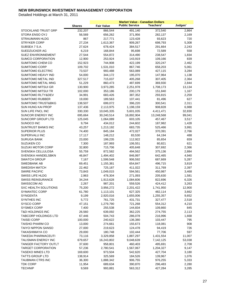|                               | <b>Shares</b> | <b>Fair Value</b> | <b>Public Service</b> | Teachers'          | Judges' |
|-------------------------------|---------------|-------------------|-----------------------|--------------------|---------|
| STOCKLAND TRUST GRP           | 232,207       | 866,544           | 491,140               | 372,540            | 2,864   |
| STORA ENSO OYJ                | 56,569        | 656,262           | 371,956               | 282,137            | 2,169   |
| STRAUMANN HLDG                | 867           | 217,771           | 123,428               | 93,623             | 720     |
| <b>STRYKER CORP</b>           | 27,234        | 1,613,367         | 909,267               | 698,793            | 5,308   |
| SUBSEA 7 S.A.                 | 27,624        | 678,424           | 384,517               | 291,664            | 2,243   |
| SUEDZUCKER AG                 | 6,219         | 168,844           | 95,698                | 72,589             | 558     |
| <b>SUEZ ENVIRONNEMENT</b>     | 27,544        | 554,872           | 314,490               | 238,547            | 1,834   |
| <b>SUMCO CORPORATION</b>      | 12,900        | 253,924           | 143,919               | 109,166            | 839     |
| SUMITOMO CHEM CO              | 152,923       | 744,908           | 422,199               | 320,247            | 2,462   |
| SUMITOMO CORP                 | 109,702       | 1,531,010         | 867,746               | 658,203            | 5,061   |
| SUMITOMO ELECTRIC             | 73,537        | 993,488           | 563,089               |                    | 3,284   |
| SUMITOMO HEAVY IND            | 54,000        | 344,172           | 195,070               | 427,115<br>147,964 | 1,138   |
|                               |               |                   |                       |                    |         |
| SUMITOMO METAL IND            | 327,517       | 715,037           | 405,268               | 307,405            | 2,364   |
| <b>SUMITOMO METAL MNG</b>     | 51,229        | 860,473           | 487,699               | 369,930            | 2,844   |
| SUMITOMO MITSUI GR            | 130,900       | 3,973,285         | 2,251,978             | 1,708,173          | 13,134  |
| <b>SUMITOMO MITSUI TR</b>     | 102,000       | 353,186           | 200,179               | 151,840            | 1,167   |
| SUMITOMO RLTY&DEV             | 34,991        | 683,426           | 387,352               | 293,815            | 2,259   |
| <b>SUMITOMO RUBBER</b>        | 19,000        | 189,563           | 107,441               | 81,496             | 627     |
| <b>SUMITOMO TRUST&amp;BKG</b> | 138,507       | 699,072           | 396,220               | 300,541            | 2,311   |
| <b>SUN HUNG KAI PROP</b>      | 137,436       | 2,113,975         | 1,198,159             | 908,828            | 6,988   |
| SUN LIFE FNCL INC             | 330,330       | 10,045,335        | 5,601,035             | 4,411,471          | 32,830  |
| SUNCOR ENERGY INC             | 695,664       | 30,240,514        | 16,892,904            | 13,248,568         | 99,041  |
| SUNCORP GROUP LTD             | 125,045       | 1,064,089         | 603,105               | 457,467            | 3,517   |
| SUNOCO INC                    | 9,794         | 434,012           | 244,602               | 187,982            | 1,428   |
| <b>SUNTRUST BANKS INC</b>     | 43,257        | 1,213,192         | 683,735               | 525,466            | 3,991   |
| <b>SUPERIOR PLUS</b>          | 74,400        | 845,184           | 472,027               | 370,391            | 2,766   |
| SUPERVALU INC                 | 17,117        | 148,212           | 83,530                | 64,194             | 488     |
| SURUGA BANK                   | 23,000        | 199,235           | 112,922               | 85,654             | 659     |
| <b>SUZUKEN CO</b>             | 7,300         | 187,993           | 106,551               | 80,821             | 621     |
| <b>SUZUKI MOTOR CORP</b>      | 32,800        | 715,706           | 405,648               | 307,692            | 2,366   |
| SVENSKA CELLULOSA             | 55,759        | 872,582           | 494,562               | 375,136            | 2,884   |
| SVENSKA HANDELSBKN            | 46,847        | 1,494,402         | 846,997               | 642,465            | 4,940   |
| <b>SWATCH GROUP</b>           | 7,167         | 1,599,548         | 906,592               | 687,669            | 5,287   |
| SWEDBANK AB                   | 69,451        | 1,155,381         | 654,847               | 496,715            | 3,819   |
| <b>SWEDISH MATCH</b>          | 22,462        | 725,187           | 411,022               | 311,769            | 2,397   |
| <b>SWIRE PACIFIC</b>          | 73,843        | 1,049,015         | 594,561               | 450,987            | 3,468   |
| SWISS LIFE HLDG               | 2,963         | 478,304           | 271,093               | 205,630            | 1,581   |
| <b>SWISS REINSURANCE</b>      | 34,244        | 1,913,628         | 1,084,606             | 822,696            | 6,326   |
| <b>SWISSCOM AG</b>            | 2,267         | 987,201           | 559,526               | 424,412            | 3,263   |
| SXC HEALTH SOLUTIONS          | 75,200        | 3,956,272         | 2,201,422             | 1,741,950          | 12,900  |
| <b>SYMANTEC CORP</b>          | 61,780        | 1,113,101         | 627,325               | 482,114            | 3,662   |
| <b>SYNGENTA</b>               | 9,199         | 2,920,016         | 1,655,006             | 1,255,357          | 9,652   |
| SYNTHES INC                   | 5,772         | 761,725           | 431,731               | 327,477            | 2,518   |
| SYSCO CORP                    | 47,151        | 1,279,790         | 721,268               | 554,312            | 4,210   |
| <b>SYSMEX CORP</b>            | 7,400         | 255,538           | 144,834               | 109,860            | 845     |
| T&D HOLDINGS INC              | 26,560        | 639,092           | 362,225               | 274,755            | 2,113   |
| <b>TABCORP HOLDINGS LTD</b>   | 67,446        | 504,743           | 286,078               | 216,996            | 1,668   |
| <b>TAISEI CORP</b>            | 100,000       | 240,622           | 136,380               | 103,447            | 795     |
| <b>TAISHO PHARM CO</b>        |               |                   | 155,673               | 118,081            |         |
| <b>TAIYO NIPPON SANSO</b>     | 13,000        | 274,661           |                       |                    | 908     |
|                               | 27,000        | 219,623           | 124,478               | 94,419             | 726     |
| <b>TAKASHIMAYA CO</b>         | 29,000        | 180,748           | 102,444               | 77,706             | 597     |
| <b>TAKEDA PHARMACEUTI</b>     | 73,116        | 3,329,858         | 1,887,297             | 1,431,554          | 11,007  |
| TALISMAN ENERGY INC           | 679,657       | 16,243,802        | 9,048,639             | 7,142,125          | 53,038  |
| TANGER FACTORY OUTLT          | 37,600        | 958,801           | 460,403               | 495,691            | 2,708   |
| <b>TARGET CORPORATION</b>     | 57,236        | 2,780,541         | 1,567,067             | 1,204,327          | 9,147   |
| <b>TASEKO MINES LTD</b>       | 169,600       | 973,504           | 542,620               | 427,704            | 3,180   |
| TATTS GROUP LTD               | 138,914       | 325,569           | 184,526               | 139,967            | 1,076   |
| TAUBMAN CTRS INC              | 36,300        | 1,888,342         | 906,755               | 976,255            | 5,333   |
| TDK CORP                      | 11,954        | 689,634           | 390,870               | 296,483            | 2,280   |
| <b>TECHNIP</b>                | 9,569         | 993,881           | 563,312               | 427,284            | 3,285   |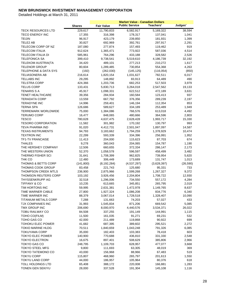|                                             |                   |                      | <b>Market Value - Canadian Dollars</b> |                    |                |
|---------------------------------------------|-------------------|----------------------|----------------------------------------|--------------------|----------------|
|                                             | <b>Shares</b>     | <b>Fair Value</b>    | <b>Public Service</b>                  | <b>Teachers'</b>   | Judges'        |
| <b>TECK RESOURCES LTD</b>                   | 229,617           | 11,790,833           | 6,582,917                              | 5,169,322          | 38,594         |
| <b>TECO ENERGY INC</b>                      | 17,355            | 316,398              | 178,317                                | 137,041            | 1,041          |
| TEIJIN                                      | 96,917            | 423,179              | 239,850                                | 181,931            | 1,399          |
| TELE2 AB                                    | 30,827            | 692,969              | 392,761                                | 297,917            | 2,291          |
| TELECOM CORP OF NZ                          | 187,080           | 277,874              | 157,493                                | 119,462            | 919            |
| <b>TELECOM ITALIA</b>                       | 912,624           | 1,365,471            | 773,922                                | 587,036            | 4,514          |
| TELECOM ITALIA DI                           | 585,961           | 764,296              | 433,188                                | 328,582            | 2,526          |
| <b>TELEFONICA SA</b>                        | 399,410           | 9,738,541            | 5,519,610                              | 4,186,739          | 32,192         |
| TELEKOM AUSTRIA(TA                          | 34,420            | 489,101              | 277,213                                | 210,272            | 1,617          |
| <b>TELENOR GROUP</b>                        | 80,604            | 1,289,485            | 730,854                                | 554,368            | 4,263          |
| <b>TELEPHONE &amp; DATA SYS</b>             | (192)             | (262,030)            | (145, 125)                             | (116, 054)         | (850)          |
| <b>TELIASONERA AB</b>                       | 216,614           | 1,820,154            | 1,031,627                              | 782,511            | 6,017          |
| <b>TELLABS INC</b>                          | 29,295            | 148,892              | 83,913                                 | 64,489             | 490            |
| <b>TELSTRA CORP</b>                         | 424,366           | 1,203,736            | 682,253                                | 517,503            | 3,979          |
| <b>TELUS CORP</b>                           | 133,431           | 5,830,713            | 3,264,018                              | 2,547,562          | 19,133         |
| <b>TENARIS S A</b>                          | 45,917            | 1,098,331            | 622,512                                | 472,189            | 3,631          |
| <b>TENET HEALTHCARE</b>                     | 39,356            | 284,934              | 160,584                                | 123,413            | 937            |
| <b>TERADATA CORP</b>                        | 13,559            | 667,792              | 376,356                                | 289,239            | 2,197          |
| <b>TERADYNE INC</b>                         | 14,996            | 259,401              | 146,194                                | 112,354            | 853            |
| <b>TERNA SPA</b>                            | 126,686           | 589,627              | 334,189                                | 253,489            | 1,949          |
| <b>TERREMARK WORLDWIDE</b>                  | 75,000            | 1,384,086            | 766,576                                | 613,018            | 4,492          |
| <b>TERUMO CORP</b>                          | 16,477            | 848,065              | 480,666                                | 364,596            | 2,803          |
| <b>TESCO</b>                                | 780,628           | 4,637,475            | 2,628,428                              | 1,993,717          | 15,330         |
| <b>TESORO CORPORATION</b>                   | 11,582            | 301,982              | 170,192                                | 130,797            | 993            |
| TEVA PHARMA IND                             | 91,020            | 4,412,731            | 2,501,047                              | 1,897,097          | 14,587         |
| TEXAS INSTRUMENTS                           | 94,793            | 3,183,662            | 1,794,259                              | 1,378,929          | 10,474         |
| <b>TEXTRON INC</b>                          | 22,299            | 593,339              | 334,396                                | 256,991            | 1,952          |
| <b>TF1-TV FRANCAISE</b>                     | 11,413            | 204,000              | 115,623                                | 87,703             | 674            |
| <b>THALES</b>                               | 9,278             | 360,043              | 204,065                                | 154,787            | 1,190          |
| THE HERSHEY COMPANY                         | 12,506            | 660,655              | 372,334                                | 286,147            | 2,173          |
| THE WESTERN UNION                           | 52,370            | 1,058,578            | 596,597                                | 458,499            | 3,482          |
| THERMO FISHER SCI                           | 31,641            | 1,708,399            | 962,825                                | 739,954            | 5,620          |
| THK CO                                      | 12,480            | 306,449              | 173,689                                | 131,747            | 1,013          |
| <b>THOMAS &amp; BETTS CORP</b>              | (141, 800)        | (8, 192, 284)        | (4,537,297)                            | (3,628,397)        | (26, 590)      |
| <b>THOMAS COOK GROUP</b>                    | 83,458            | 221,743              | 125,680                                | 95,331             | 733            |
| THOMPSON CREEK MTLS                         | 236,900           | 2,875,966            | 1,599,268                              | 1,267,327          | 9,372          |
| <b>THOMSON REUTERS CORP</b>                 | 103,192           | 3,926,456            | 2,204,804                              | 1,708,722          | 12,930         |
| THYSSENKRUPP AG                             | 32,518            | 1,296,006            | 734,550                                | 557,172            | 4,284          |
| <b>TIFFANY &amp; CO</b>                     | 10,235            | 613,665              | 345,851                                | 265,795            | 2,019          |
| TIM HORTONS INC                             | 59,995            | 2,631,381            | 1,472,978                              | 1,149,765          | 8,637          |
| TIME WARNER CABLE                           | 27,800            | 1,927,324            | 1,086,208                              | 834,776            | 6,340          |
| TIME WARNER INC                             | 88,379            | 3,067,014            | 1,728,518                              | 1,328,407          | 10,090         |
| TITANIUM METALS CORP                        | 7,288             | 131,663              | 74,203                                 | 57,027             | 433            |
| TJX COMPANIES INC                           | 31,993            | 1,545,834            | 871,206                                | 669,542            | 5,085          |
| TMX GROUP INC<br><b>TOBU RAILWAY CO</b>     | 206,690           | 8,000,970            | 4,440,576                              | 3,534,371          | 26,022         |
| TOHO CO(FILM)                               | 84,508<br>11,500  | 337,255              | 191,149                                | 144,991            | 1,115<br>532   |
| TOHO GAS CO                                 |                   | 161,035              | 91,271                                 | 69,231             | 699            |
| TOHOKU ELEC POWER                           | 42,000            | 211,489              | 119,868                                | 90,922             |                |
| <b>TOKIO MARINE HLDG</b>                    | 41,682<br>70,511  | 687,395<br>1,840,659 | 389,602<br>1,043,248                   | 295,521<br>791,326 | 2,272<br>6,085 |
| <b>TOKUYAMA CORP</b>                        | 35,000            | 182,403              | 103,383                                | 78,418             | 603            |
| <b>TOKYO ELEC POWER</b>                     | 140,900           |                      |                                        |                    |                |
| <b>TOKYO ELECTRON</b>                       |                   | 770,688              | 436,810                                | 331,330            | 2,548          |
| <b>TOKYO GAS CO</b>                         | 16,675<br>248,795 | 897,401              | 508,629                                | 385,806            | 2,966          |
|                                             |                   | 1,109,703            | 628,957                                | 477,077            | 3,668          |
| <b>TOKYO STEEL MFG</b><br>TOKYO TATEMONO CO | 9,800<br>43,000   | 111,693<br>156,968   | 63,305<br>88,966                       | 48,019<br>67,483   | 369<br>519     |
| <b>TOKYU CORP</b>                           | 115,807           | 468,960              | 265,797                                | 201,613            | 1,550          |
| TOKYU LAND CORP                             | 44,000            | 186,957              | 105,964                                | 80,376             | 618            |
| TOLL HOLDINGS LTD                           | 65,408            | 388,172              | 220,008                                | 166,881            | 1,283          |
| TONEN GEN SEKIYU                            | 28,000            | 337,528              | 191,304                                | 145,108            | 1,116          |
|                                             |                   |                      |                                        |                    |                |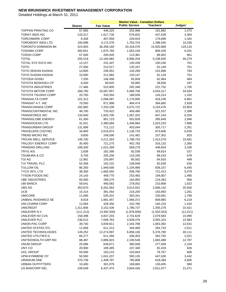|                            |               |                   | <b>Market Value - Canadian Dollars</b> |             |           |
|----------------------------|---------------|-------------------|----------------------------------------|-------------|-----------|
|                            | <b>Shares</b> | <b>Fair Value</b> | <b>Public Service</b>                  | Teachers'   | Judges'   |
| <b>TOPPAN PRINTING CO</b>  | 57,965        | 446,325           | 252,968                                | 191,882     | 1,475     |
| <b>TORAY INDS INC</b>      | 143,317       | 1,017,735         | 576,832                                | 437,539     | 3,364     |
| <b>TORCHMARK CORP</b>      | 6,308         | 407,959           | 229,919                                | 176,698     | 1,342     |
| <b>TOROMONT INDS LTD</b>   | 100,698       | 3,172,578         | 1,763,703                              | 1,398,540   | 10,335    |
| TORONTO DOMINION BK        | 423,903       | 36,358,160        | 20,318,076                             | 15,920,968  | 119,116   |
| <b>TOSHIBA CORP</b>        | 392,651       | 1,875,783         | 1,063,156                              | 806,426     | 6,201     |
| <b>TOSOH CORP</b>          | 57,000        | 200,045           | 113,381                                | 86,002      | 661       |
| <b>TOTAL</b>               | 205,518       | 12,184,982        | 6,906,204                              | 5,238,500   | 40,279    |
| TOTAL SYS SVCS INC         | 13,157        | 231,447           | 130,439                                | 100,246     | 761       |
| <b>TOTO</b>                | 27,000        | 212,017           | 120,167                                | 91,149      | 701       |
| <b>TOYO SEIKAN KAISHA</b>  | 14,800        | 236,951           | 134,299                                | 101,868     | 783       |
| TOYO SUISAN KAISHA         | 10,000        | 211,982           | 120,147                                | 91,134      | 701       |
| <b>TOYODA GOSEI</b>        | 7,200         | 146,458           | 83,009                                 | 62,964      | 484       |
| TOYOTA BOSHOKU CP          | 6,400         | 89,920            | 50,965                                 | 38,658      | 297       |
| <b>TOYOTA INDUSTRIES</b>   | 17,466        |                   |                                        |             | 1,705     |
|                            |               | 515,805           | 292,348                                | 221,752     |           |
| <b>TOYOTA MOTOR CORP</b>   | 268,760       | 10,567,957        | 5,989,706                              | 4,543,317   | 34,934    |
| <b>TOYOTA TSUSHO CORP</b>  | 20,700        | 333,354           | 188,939                                | 143,314     | 1,102     |
| TRANSALTA CORP             | 101,312       | 2,096,087         | 1,170,990                              | 918,236     | 6,861     |
| <b>TRANSAT A.T. INC</b>    | 70,550        | 871,998           | 484,474                                | 384,685     | 2,839     |
| TRANSCANADA CORP           | 182,882       | 7,253,100         | 4,075,722                              | 3,153,476   | 23,903    |
| TRANSCONTINENTAL INC       | 48,700        | 733,422           | 409,486                                | 321,537     | 2,399     |
| <b>TRANSFORCE INC</b>      | 133,940       | 1,920,700         | 1,067,202                              | 847,244     | 6,254     |
| <b>TRANSGLOBE ENERGY</b>   | 61,300        | 901,723           | 502,828                                | 395,949     | 2,946     |
| <b>TRANSOCEAN LTD</b>      | 31,021        | 2,380,084         | 1,348,984                              | 1,023,233   | 7,868     |
| <b>TRANSURBAN GROUP</b>    | 131,896       | 711,112           | 403,044                                | 305,717     | 2,351     |
| TRAVELERS CO(THE)          | 34,900        | 2,016,974         | 1,136,733                              | 873,606     | 6,635     |
| <b>TREND MICRO INC</b>     | 9,600         | 249,590           | 141,462                                | 107,302     | 825       |
| TRICAN WELL SERVICE        | 146,700       | 3,211,263         | 1,788,703                              | 1,412,079   | 10,481    |
| <b>TRILOGY ENERGY CORP</b> | 35,400        | 721,275           | 402,783                                | 316,132     | 2,360     |
| <b>TRINIDAD DRILLING</b>   | 108,300       | 1,021,269         | 569,279                                | 448,654     | 3,336     |
| TRYG A/S                   | 2,838         | 162,390           | 92,039                                 | 69,814      | 537       |
| <b>TSUMURA &amp; CO</b>    | 6,700         | 205,256           | 116,335                                | 88,243      | 678       |
| TUI AG                     | 12,991        | 150,997           | 85,582                                 | 64,916      | 499       |
| TUI TRAVEL PLC             | 54,356        | 192,222           | 108,948                                | 82,639      | 635       |
| <b>TULLOW OIL</b>          | 86,350        | 1,949,590         | 1,104,989                              | 838,157     | 6,445     |
| <b>TYCO INTL LTD</b>       | 38,300        | 1,665,592         | 938,700                                | 721,413     | 5,479     |
| <b>TYSON FOODS INC</b>     | 24,143        | 449,770           | 253,483                                | 194,807     | 1,480     |
| <b>UBE INDUSTRIES</b>      | 93,000        | 289,275           | 163,955                                | 124,363     | 956       |
| <b>UBI BANCA</b>           | 59,041        | 490,582           | 278,052                                | 210,908     | 1,622     |
| UBS AG                     | 353,870       | 6,201,563         | 3,514,922                              | 2,666,142   | 20,500    |
| <b>UCB</b>                 | 10,314        | 381,454           | 216,200                                | 163,993     | 1,261     |
| <b>UMICORE</b>             | 11,085        | 535,201           | 303,341                                | 230,091     | 1,769     |
| UNIBAIL-RODAMCO SE         | 8,918         | 1,881,457         | 1,066,372                              | 808,865     | 6,219     |
| <b>UNI-CHARM CORP</b>      | 12,064        | 428,350           | 242,780                                | 184,154     | 1,416     |
| <b>UNICREDIT</b>           | 1,311,856     | 3,152,436         | 1,786,737                              | 1,355,278   | 10,421    |
| UNILEVER N.V               | (111, 212)    | (3,392,500)       | (1,878,936)                            | (1,502,553) | (11, 011) |
| UNILEVER NV CVA            | 158,398       | 4,837,203         | 2,741,629                              | 2,079,583   | 15,990    |
| UNILEVER PLC               | 236,012       | 7,006,763         | 3,928,476                              | 3,055,323   | 22,963    |
| <b>UNION PAC CORP</b>      | 39,740        | 3,839,811         | 2,163,788                              | 1,663,392   | 12,631    |
| UNITED STATES STL          | 11,658        | 611,213           | 344,469                                | 264,733     | 2,011     |
| UNITED TECHNOLOGIES        | 149,252       | 12,274,997        | 6,858,106                              | 5,376,780   | 40,111    |
| UNITED UTILITIES G         | 66,277        | 611,266           | 346,453                                | 262,792     | 2,021     |
| UNITEDHEALTH GRP INC       | 88,487        |                   |                                        |             | 12,787    |
|                            |               | 3,886,823         | 2,190,549                              | 1,683,488   |           |
| <b>UNUM GROUP</b>          | 25,066        | 639,671           | 360,508                                | 277,059     | 2,104     |
| UNY CO                     | 20,900        | 189,385           | 107,340                                | 81,419      | 626       |
| <b>UOL GROUP</b>           | 50,000        | 183,215           | 103,843                                | 78,767      | 606       |
| UPM-KYMMENE OY             | 50,560        | 1,041,207         | 590,135                                | 447,630     | 3,442     |
| URANIUM ONE                | 370,736       | 1,408,797         | 785,808                                | 618,384     | 4,605     |
| <b>URBAN OUTFITTERS</b>    | 10,400        | 301,079           | 169,683                                | 130,405     | 990       |
| US BANCORP DEL             | 249,549       | 6,437,474         | 3,604,426                              | 2,811,977   | 21,071    |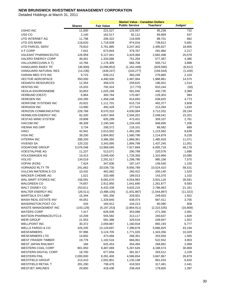|                                                     |                   | <b>Market Value - Canadian Dollars</b> |                        |                      |                  |  |
|-----------------------------------------------------|-------------------|----------------------------------------|------------------------|----------------------|------------------|--|
|                                                     | <b>Shares</b>     | <b>Fair Value</b>                      | <b>Public Service</b>  | <b>Teachers'</b>     | Judges'          |  |
| <b>USHIO INC</b>                                    | 11,600            | 221,527                                | 125,557                | 95,238               | 732              |  |
| USS <sub>CO</sub>                                   | 2,140             | 162,517                                | 92,112                 | 69,869               | 537              |  |
| UTD INTERNET AG                                     | 11,798            | 206,322                                | 116,939                | 88,701               | 682              |  |
| UTD O/S BANK                                        | 118,620           | 1,718,509                              | 974,016                | 738,812              | 5,681            |  |
| UTD PARCEL SERV                                     | 79,810            | 5,761,885                              | 3,247,302              | 2,495,627            | 18,955           |  |
| V F CORP                                            | 7,041             | 673,844                                | 379,767                | 291,860              | 2,217            |  |
| <b>VALEANT PHARMACEUTIC</b>                         | 126,959           | 6,127,041                              | 3,424,466              | 2,682,498            | 20,078           |  |
| VALERO ENERGY CORP                                  | 46,001            | 1,333,066                              | 751,294                | 577,387              | 4,385            |  |
| VALLOUREC(USIN A T)                                 | 10,766            | 1,176,309                              | 666,708                | 505,712              | 3,888            |  |
| VANGUARD INDEX TR                                   | (36,900)          | (2,098,852)                            | (1, 162, 449)          | (929, 590)           | (6, 812)         |  |
| VANGUARD NATURAL RES                                | (14, 236)         | (439, 247)                             | (243, 277)             | (194, 544)           | (1, 426)         |  |
| VARIAN MED SYS INC                                  | 9,723             | 639,212                                | 360,249                | 276,860              | 2,103            |  |
| <b>VECTOR AEROSPACE</b>                             | 350,000           | 4,490,500                              | 2,487,064              | 1,988,861            | 14,575           |  |
| <b>VEDANTA RESOURCES</b>                            | 12,354            | 458,070                                | 259,625                | 196,931              | 1,514            |  |
| <b>VENTAS INC</b>                                   | 15,033            | 792,424                                | (17, 770)              | 810,244              | (50)             |  |
| <b>VEOLIA ENVIRONNEME</b>                           | 33,853            | 1,025,168                              | 581,045                | 440,735              | 3,389            |  |
| <b>VERBUND (OEST)</b>                               | 6,964             | 300,764                                | 170,467                | 129,303              | 994              |  |
| <b>VERESEN INC</b>                                  | 104,285           | 1,458,248                              | 814,650                | 638,825              | 4,773            |  |
| <b>VERIFONE SYSTEMS INC</b>                         | 20,822            | 1,111,701                              | 615,716                | 492,377              | 3,608            |  |
| <b>VERISIGN INC</b>                                 | 13,990            | 492,428                                | 277,524                | 213,284              | 1,620            |  |
| <b>VERIZON COMMUNICATNS</b>                         | 228,768           | 8,570,310                              | 4,830,084              | 3,712,032            | 28,194           |  |
| <b>VERMILION ENERGY INC</b>                         | 92,200            | 4,657,944                              | 2,594,201              | 2,048,541            | 15,201           |  |
| <b>VESTAS WIND SYSTEM</b>                           | 19,808            | 835,299                                | 473,431                | 359,107              | 2,761            |  |
| <b>VIACOM INC</b>                                   | 48,309            | 2,190,340                              | 1,234,439              | 948,695              | 7,206            |  |
| <b>VIENNA INS GRP</b>                               | 3,734             | 208,372                                | 118,101                | 89,582               | 689              |  |
| <b>VINCI</b>                                        | 42,941            | 2,613,502                              | 1,481,280              | 1,123,582            | 8,639            |  |
| <b>VISA INC</b>                                     | 39,200            | 2,804,902                              | 1,580,796              | 1,214,879            | 9,228            |  |
| <b>VITERRA INC</b>                                  | 288,200           | 3,386,350                              | 1,889,361              | 1,485,918            | 11,071           |  |
| <b>VIVENDI SA</b>                                   | 120,232           | 3,343,095                              | 1,894,799              | 1,437,245            | 11,051           |  |
| <b>VODAFONE GROUP</b>                               | 5,076,048         | 13,969,565                             | 7,917,669              | 6,005,718            | 46,178           |  |
| <b>VOESTALPINE AG</b>                               | 11,237            | 513,071                                | 290,798                | 220,576              | 1,696            |  |
| <b>VOLKSWAGEN AG</b>                                | 19,413            | 3,049,430                              | 1,728,356              | 1,310,994            | 10,080           |  |
| <b>VOLVO</b>                                        | 134,019           | 2,291,517                              | 1,298,786              | 985,156              | 7,575            |  |
| <b>VOPAK (KON)</b>                                  | 7,424             | 347,836                                | 197,147                | 149,540              | 1,150            |  |
| <b>VORNADO RLTY TR</b>                              | 241,662           | 20,539,730                             | 9,956,789              | 10,524,410           | 58,531           |  |
| <b>VULCAN MATERIALS CO</b>                          | 10,432            | 462,082                                | 260,422                | 200,140              | 1,520            |  |
| <b>WACKER CHEMIE AG</b>                             | 1,521             | 333,486                                | 189,013                | 143,370              | 1,102            |  |
| WAL MART STORES INC                                 | 158,591           | 8,082,670                              | 4,554,963              | 3,501,116            | 26,591           |  |
| <b>WALGREEN CO</b>                                  | 74,657            | 2,912,950                              | 1,641,690              | 1,261,677            | 9,583            |  |
| WALT DISNEY CO                                      | 153,611           | 6,432,439                              | 3,625,216              | 2,786,063            | 21,161           |  |
| WALTER ENERGY INC                                   | (26, 511)         | (3,488,105)                            | (1,931,887)            | (1,544,897)          | (11, 322)        |  |
| WARTSILA OYJ ABP                                    | 15,344            | 581,356                                | 329,501                | 249,933              | 1,922            |  |
| WASH REAL ESTATE INV                                | 44,051            | 1,329,640                              | 638,474                | 687,411              | 3,755            |  |
| <b>WASHINGTON POST CO</b>                           | 433               | 184,912                                | 104,213                | 80,090               | 608              |  |
| WASTE MANAGEMENT INC                                | (143, 129)        | (5, 197, 253)                          | (2,864,911)            | (2,315,535)          | (16, 808)        |  |
| <b>WATERS CORP</b>                                  | 7,417             | 626,506                                | 353,088                | 271,356              | 2,061            |  |
| WATSON PHARMACEUTCLS                                | 10,209            | 555,582                                | 313,117                | 240,637              | 1,828            |  |
| <b>WEIR GROUP</b>                                   | 21,553            | 581,388                                | 329,519                | 249,947<br>892,193   | 1,922            |  |
| <b>WELLPOINT INC</b><br><b>WELLS FARGO &amp; CO</b> | 30,372            | 2,059,887<br>13,129,697                | 1,160,918<br>7,399,678 | 5,686,825            | 6,777            |  |
| WESFARMERS                                          | 426,205<br>97,996 | 3,124,705                              | 1,771,020              | 1,343,356            | 43,194<br>10,329 |  |
| <b>WESFARMERS LTD</b>                               |                   |                                        |                        |                      |                  |  |
|                                                     | 14,802            | 473,466                                | 268,351                | 203,550              | 1,565            |  |
| WEST FRASER TIMBER<br>WEST JAPAN RAILWAY            | 19,776<br>166     | 1,192,516                              | 666,061                | 522,552              | 3,903            |  |
| WESTERN COAL CORP                                   |                   | 625,453                                | 354,494                | 268,891              | 2,068            |  |
| <b>WESTERN DIGITAL CORP</b>                         | 801,950<br>18,700 | 9,487,069<br>677,658                   | 5,267,626<br>381,917   | 4,188,574<br>293,512 | 30,869<br>2,229  |  |
| <b>WESTERN FINL</b>                                 | 2,000,000         | 8,281,400                              | 4,586,654              | 3,667,867            | 26,879           |  |
| <b>WESTFIELD GROUP</b>                              | 213,410           | 2,002,801                              | 1,135,148              | 861,033              | 6,620            |  |
| WESTFIELD RETAIL T                                  | 281,290           | 738,476                                | 418,553                | 317,481              | 2,441            |  |
| <b>WESTJET AIRLINES</b>                             | 29,850            | 418,436                                | 238,434                | 178,605              | 1,397            |  |
|                                                     |                   |                                        |                        |                      |                  |  |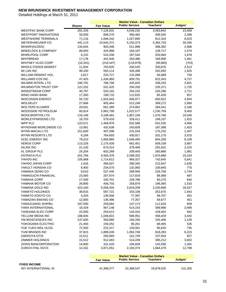Detailed Holdings at March 31, 2011

|                               |               | <b>Market Value - Canadian Dollars</b> |                                                                 |           |         |  |
|-------------------------------|---------------|----------------------------------------|-----------------------------------------------------------------|-----------|---------|--|
|                               | <b>Shares</b> | <b>Fair Value</b>                      | <b>Public Service</b>                                           | Teachers' | Judges' |  |
| <b>WESTPAC BANK CORP</b>      | 291,326       | 7,126,631                              | 4,039,232                                                       | 3,063,842 | 23,558  |  |
| <b>WESTPORT INNOVATIONS</b>   | 33,000        | 699,270                                | 390,482                                                         | 306,500   | 2,288   |  |
| <b>WESTSHORE TERMINALS</b>    | 71,116        | 1,846,242                              | 1,027,895                                                       | 812,324   | 6,023   |  |
| <b>WEYERHAEUSER CO</b>        | 441,113       | 10,545,371                             | 5,150,373                                                       | 5,364,733 | 30,265  |  |
| <b>WHARF(HLDGS)</b>           | 134,645       | 903,346                                | 511,998                                                         | 388,362   | 2,986   |  |
| <b>WHEELOCK &amp; COMPANY</b> | 89,000        | 324,988                                | 184,197                                                         | 139,717   | 1,074   |  |
| <b>WHIRLPOOL CORP</b>         | 6,152         | 510,206                                | 287,544                                                         | 220,984   | 1,678   |  |
| <b>WHITBREAD</b>              | 17,178        | 441,946                                | 250,486                                                         | 189,999   | 1,461   |  |
| <b>WHITNEY HLDG CORP</b>      | (16, 341)     | (216, 447)                             | (119, 879)                                                      | (95, 865) | (703)   |  |
| <b>WHOLE FOODS MARKET</b>     | 11,934        | 763,925                                | 430,535                                                         | 330,876   | 2,513   |  |
| WI LAN INC                    | 99,100        | 593,114                                | 328,496                                                         | 262,692   | 1,925   |  |
| <b>WILLIAM DEMANT HOL</b>     | 2,617         | 220,717                                | 125,098                                                         | 94,889    | 730     |  |
| <b>WILLIAMS COS INC</b>       | 47,420        | 1,436,860                              | 809,791                                                         | 622,343   | 4,727   |  |
| <b>WILMAR INTERL LTD</b>      | 186,791       | 786,768                                | 445,925                                                         | 338,243   | 2,601   |  |
| <b>WILMINGTON TRUST CRP</b>   | 121,252       | 531,425                                | 294,330                                                         | 235,371   | 1,725   |  |
| <b>WINDSTREAM CORP</b>        | 40,797        | 520,162                                | 293,155                                                         | 225,296   | 1,711   |  |
| <b>WING HANG BANK</b>         | 17,300        | 198,710                                | 112,625                                                         | 85,428    | 657     |  |
| <b>WISCONSIN ENERGY</b>       | 50,720        | 1,502,843                              | 846,977                                                         | 650,922   | 4,944   |  |
| <b>WOLSELEY</b>               | 27,666        | 905,464                                | 513,199                                                         | 389,272   | 2,993   |  |
| <b>WOLTERS KLUWER</b>         | 29,041        | 661,389                                | 374,862                                                         | 284,341   | 2,186   |  |
| WOODSIDE PETROLEUM            | 60,814        | 2,862,799                              | 1,622,577                                                       | 1,230,759 | 9,463   |  |
| <b>WOOLWORTHS LTD</b>         | 118,146       | 3,188,461                              | 1,807,156                                                       | 1,370,766 | 10,540  |  |
| <b>WORLEYPARSONS LTD</b>      | 18,703        | 579,433                                | 328,411                                                         | 249,107   | 1,915   |  |
| WPP PLC                       | 122,671       | 1,468,979                              | 832,588                                                         | 631,535   | 4,856   |  |
| WYNDHAM WORLDWIDE CO          | 13,991        | 432,639                                | 243,828                                                         | 187,388   | 1,423   |  |
| WYNN MACAU LTD                | 151,600       | 407,598                                | 231,018                                                         | 175,232   | 1,347   |  |
| WYNN RESORTS LTD              | 6,184         | 764,603                                | 430,917                                                         | 331,170   | 2,515   |  |
| <b>XCEL ENERGY INC</b>        | 79,210        | 1,856,860                              | 1,046,495                                                       | 804,256   | 6,109   |  |
| <b>XEROX CORP</b>             | 113,226       | 1,175,428                              | 662,451                                                         | 509,109   | 3,867   |  |
| <b>XILINX INC</b>             | 21,130        | 673,314                                | 379,469                                                         | 291,631   | 2,215   |  |
| <b>XL GROUP PLC</b>           | 25,204        | 602,289                                | 339,440                                                         | 260,868   | 1,981   |  |
| <b>XSTRATA PLC</b>            | 201,794       | 4,584,376                              | 2,598,332                                                       | 1,970,889 | 15,154  |  |
| YAHOO INC                     | 105,968       | 1,714,612                              | 966,327                                                         | 742,645   | 5,641   |  |
| YAHOO JAPAN CORP              | 1,416         | 494,627                                | 280,345                                                         | 212,647   | 1,635   |  |
| YAKULT HONSHA CO              | 9,400         | 234,570                                | 132,950                                                         | 100,845   | 775     |  |
| YAMADA DENKI CO               | 8,010         | 527,445                                | 298,945                                                         | 226,756   | 1,744   |  |
| YAMAGUCHI FINANCIAL           | 23,000        | 207,874                                | 117,819                                                         | 89,368    | 687     |  |
| YAMAHA CORP                   | 17,500        | 193,701                                | 109,786                                                         | 83,275    | 640     |  |
| YAMAHA MOTOR CO               | 26,800        | 456,755                                | 258,879                                                         | 196,365   | 1,510   |  |
| YAMANA GOLD INC               | 423,160       | 5,056,404                              | 2,819,209                                                       | 2,220,668 | 16,527  |  |
| YAMATO HOLDINGS               | 38,815        | 587,721                                | 333,108                                                         | 252,670   | 1,943   |  |
| YAMATO KOGYO CO               | 4,200         | 136,556                                | 77,397                                                          | 58,707    | 451     |  |
| YAMAZAKI BAKING CO            | 12,000        | 136,486                                | 77,357                                                          | 58,677    | 451     |  |
| YANGZIJIANG SHIPBU            | 187,000       | 259,664                                | 147,173                                                         | 111,633   | 858     |  |
| YARA INTERNATIONAL            | 18,429        | 907,148                                | 514,153                                                         | 389,996   | 2,999   |  |
| YASKAWA ELEC CORP             | 22,000        | 254,613                                | 144,310                                                         | 109,462   | 842     |  |
| YELLOW MEDIA INC              | 188,834       | 1,048,822                              | 586,951                                                         | 458,429   | 3,442   |  |
| YM BIOSCIENCES INC            | 137,600       | 350,880                                | 194,335                                                         | 155,406   | 1,139   |  |
| YOKOGAWA ELECTRIC             |               |                                        |                                                                 |           |         |  |
| YUE YUEN INDL HLDG            | 21,400        | 159,252                                | 90,261                                                          | 68,465    | 526     |  |
|                               | 72,300        | 222,417                                | 126,061                                                         | 95,620    | 735     |  |
| YUM BRANDS INC                | 37,815        | 1,889,246                              | 1,064,748                                                       | 818,283   | 6,215   |  |
| ZARDOYA-OTIS                  | 15,511        | 250,060                                | 141,729                                                         | 107,504   | 827     |  |
| <b>ZIMMER HOLDINGS</b>        | 15,512        | 912,463                                | 514,249                                                         | 395,212   | 3,002   |  |
| ZIONS BANCORPORATION          | 14,800        | 331,520                                | 186,839                                                         | 143,590   | 1,091   |  |
| <b>ZURICH FINL SVCS</b>       | 14,161        | 3,871,651                              | 2,194,374                                                       | 1,664,479 | 12,798  |  |
|                               |               |                                        |                                                                 |           |         |  |
|                               |               |                                        | <b>Market Value - Canadian Dollars</b><br><b>Public Service</b> | Teachers' | Judges' |  |
|                               |               | <b>Fair Value</b>                      |                                                                 |           |         |  |
| <b>FIXED INCOME</b>           |               |                                        |                                                                 |           |         |  |

407 INTERNATIONAL IN 41,398,277 22,388,547 18,878,525 131,205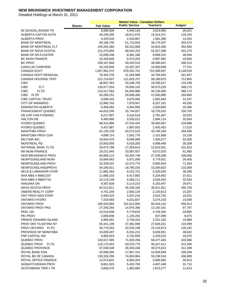|                             |               |                   | <b>Market Value - Canadian Dollars</b> |                  |           |
|-----------------------------|---------------|-------------------|----------------------------------------|------------------|-----------|
|                             | <b>Shares</b> | <b>Fair Value</b> | <b>Public Service</b>                  | <b>Teachers'</b> | Judges'   |
| 55 SCHOOL BOARD TR          |               | 8,080,839         | 4,440,133                              | 3,614,685        | 26,021    |
| ALBERTA CAP FIN AUTH        |               | 34,236,390        | 18,811,676                             | 15,314,471       | 110,243   |
| <b>ALBERTA PROV</b>         |               | 4,429,526         | 2,433,867                              | 1,981,396        | 14,263    |
| <b>BANK OF MONTREAL</b>     |               | 90,188,700        | 51,710,823                             | 38,175,207       | 302,670   |
| <b>BANK OF MONTREAL FLT</b> |               | 105,291,080       | 60,312,806                             | 44,625,280       | 352,993   |
| <b>BANK OF NOVA SCOTIA</b>  |               | 121,270,894       | 68,542,315                             | 52,327,306       | 401,273   |
| <b>BANK OF NS FLOATER</b>   |               | 15,099,436        | 8,381,186                              | 6,669,315        | 48,934    |
| <b>BC MUNI FINANCE</b>      |               | 15,420,840        | 8,473,202                              | 6,897,982        | 49,656    |
| <b>BC PROV</b>              |               | 108,167,668       | 59,432,513                             | 48,386,841       | 348,314   |
| <b>CADILLAC FAIRVIEW</b>    |               | 24,145,946        | 13,267,337                             | 10,800,858       | 77,751    |
| CANADA GOVT                 |               | 1,607,991,072     | 878,452,701                            | 724,389,837      | 5,148,534 |
| CANADA GOVT RESIDUAL        |               | 76,302,376        | 41,264,986                             | 34,795,562       | 241,827   |
| <b>CANADA HOUSING TRST</b>  |               | 221,724,607       | 121,829,767                            | 99,180,875       | 713,965   |
| <b>CIBC</b>                 |               | 36,607,364        | 20,198,758                             | 16,290,417       | 118,189   |
| <b>CIBC</b><br><b>FLT</b>   |               | 135,677,554       | 76,656,152                             | 58,573,226       | 448,175   |
| <b>CIBC</b><br><b>FLTG</b>  |               | 115,517,562       | 65,994,986                             | 49,136,405       | 386,172   |
| CIBC<br><b>FLTR</b>         |               | 50,269,151        | 29,006,406                             | 21,092,885       | 169,860   |
| <b>CIBC CAPITAL TRUST</b>   |               | 6,688,442         | 3,675,060                              | 2,991,844        | 21,537    |
| <b>CITY OF WINNIPEG</b>     |               | 13,980,782        | 7,678,567                              | 6,257,181        | 45,035    |
| <b>EDMONTON ALBERTA</b>     |               | 6,306,062         | 3,464,956                              | 2,820,800        | 20,306    |
| <b>FINANCEMENT QUEBEC</b>   |               | 44,615,295        | 25,744,007                             | 18,720,533       | 150,755   |
| <b>GE CAP CAN FUNDING</b>   |               | 6,217,907         | 3,416,518                              | 2,781,367        | 20,022    |
| <b>HALTON ON</b>            |               | 6,469,960         | 3,555,012                              | 2,894,114        | 20,834    |
| <b>HYDRO QUEBEC</b>         |               | 68,314,980        | 37,534,424                             | 30,560,567       | 219,988   |
| <b>HYDRO-QUEBEC</b>         |               | 5,437,887         | 2,987,925                              | 2,432,452        | 17,510    |
| <b>MANITOBA PROV</b>        |               | 91,135,139        | 50,075,510                             | 40,766,169       | 293,460   |
| <b>MANITOBA PROV CDA</b>    |               | 4,698,714         | 2,581,776                              | 2,101,808        | 15,130    |
| MILITAIR INC.               |               | 16,554,479        | 9,096,096                              | 7,405,077        | 53,306    |
| MONTREAL PQ                 |               | 10,953,000        | 6,018,283                              | 4,899,448        | 35,269    |
| NATIONAL BANK FLTG          |               | 30,074,788        | 17,353,814                             | 12,619,351       | 101,623   |
| <b>NB MUNI FINANCE</b>      |               | 19,221,945        | 10,587,937                             | 8,572,016        | 61,992    |
| <b>NEW BRUNSWICK PROV</b>   |               | 60,886,113        | 33,454,748                             | 27,235,308       | 196,056   |
| NEWFOUNDLAND MUNI           |               | 10,684,963        | 5,871,006                              | 4,779,551        | 34,406    |
| NEWFOUNDLAND PROV           |               | 22,339,537        | 12,274,779                             | 9,992,824        | 71,934    |
| NEWFOUNDLAND(PROV)          |               | 34,180,911        | 18,780,220                             | 15,290,622       | 110,069   |
| NFLD & LABRADOR HYDR        |               | 11,881,563        | 6,522,721                              | 5,320,555        | 38,286    |
| NHA MBS #96601257           |               | 11,680,103        | 6,417,800                              | 5,224,692        | 37,611    |
| NHA MBS #99007742           |               | 10,119,148        | 5,560,111                              | 4,526,453        | 32,584    |
| NIAGARA ON                  |               | 9,307,628         | 5,114,210                              | 4,163,447        | 29,971    |
| NOVA SCOTIA PROV            |               | 82,512,811        | 45,335,182                             | 36,911,921       | 265,708   |
| OMERS REALTY CORP           |               | 4,741,200         | 2,605,120                              | 2,120,813        | 15,267    |
| ONT PROV GEN STRIP          |               | 5,940,222         | 3,297,216                              | 2,623,755        | 19,251    |
| <b>ONTARIO HYDRO</b>        |               | 7,319,560         | 4,021,837                              | 3,274,153        | 23,569    |
| <b>ONTARIO PROV</b>         |               | 185,543,960       | 101,514,905                            | 83,434,142       | 594,913   |
| <b>ONTARIO PROV PKG</b>     |               | 27,256,284        | 14,976,356                             | 12,192,161       | 87,767    |
| PEEL ON                     |               | 10,516,848        | 5,778,633                              | 4,704,350        | 33,865    |
| PEI PROV                    |               | 2,069,836         | 1,135,262                              | 927,899          | 6,675     |
| PRINCE EDWARD ISLAND        |               | 4,965,581         | 2,728,410                              | 2,221,182        | 15,989    |
| PROV ONT FLOATING NT        |               | 65,341,198        | 37,482,598                             | 27,639,201       | 219,399   |
| PROV ONTARIO FLTG           |               | 35,779,263        | 20,533,199                             | 15,125,873       | 120,192   |
| PROVINCE OF MANITOBA        |               | 15,009,407        | 8,331,215                              | 6,629,551        | 48,642    |
| PSP CAPITAL INC             |               | 4,992,023         | 2,742,939                              | 2,233,010        | 16,075    |
| QUEBEC PROV                 |               | 130,517,585       | 71,620,256                             | 58,477,463       | 419,866   |
| QUEBEC PROV<br><b>FLTG</b>  |               | 110,170,453       | 63,570,775                             | 46,227,411       | 372,266   |
| QUEBEC PROVINCE             |               | 67,048,548        | 36,260,436                             | 30,575,613       | 212,499   |
| ROYAL BANK CDA              |               | 32,699,394        | 17,967,151                             | 14,626,949       | 105,294   |
| ROYAL BK OF CANADA          |               | 130,326,290       | 74,650,864                             | 55,238,518       | 436,909   |
| ROYAL OFFICE FINANCE        |               | 12,674,641        | 6,964,264                              | 5,669,565        | 40,813    |
| SASKATCHEWAN PROV           |               | 9,841,923         | 5,402,760                              | 4,407,448        | 31,715    |
| <b>SCOTIABANK TIER 1 TR</b> |               | 3,606,575         | 1,981,684                              | 1,613,277        | 11,613    |